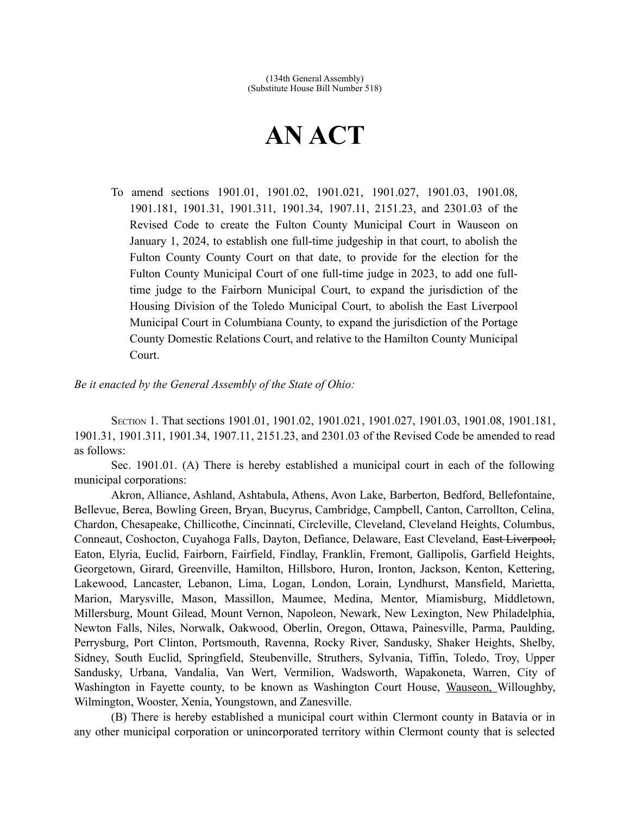## **AN ACT**

To amend sections 1901.01, 1901.02, 1901.021, 1901.027, 1901.03, 1901.08, 1901.181, 1901.31, 1901.311, 1901.34, 1907.11, 2151.23, and 2301.03 of the Revised Code to create the Fulton County Municipal Court in Wauseon on January 1, 2024, to establish one full-time judgeship in that court, to abolish the Fulton County County Court on that date, to provide for the election for the Fulton County Municipal Court of one full-time judge in 2023, to add one fulltime judge to the Fairborn Municipal Court, to expand the jurisdiction of the Housing Division of the Toledo Municipal Court, to abolish the East Liverpool Municipal Court in Columbiana County, to expand the jurisdiction of the Portage County Domestic Relations Court, and relative to the Hamilton County Municipal Court.

## *Be it enacted by the General Assembly of the State of Ohio:*

SECTION 1. That sections 1901.01, 1901.02, 1901.021, 1901.027, 1901.03, 1901.08, 1901.181, 1901.31, 1901.311, 1901.34, 1907.11, 2151.23, and 2301.03 of the Revised Code be amended to read as follows:

Sec. 1901.01. (A) There is hereby established a municipal court in each of the following municipal corporations:

Akron, Alliance, Ashland, Ashtabula, Athens, Avon Lake, Barberton, Bedford, Bellefontaine, Bellevue, Berea, Bowling Green, Bryan, Bucyrus, Cambridge, Campbell, Canton, Carrollton, Celina, Chardon, Chesapeake, Chillicothe, Cincinnati, Circleville, Cleveland, Cleveland Heights, Columbus, Conneaut, Coshocton, Cuyahoga Falls, Dayton, Defiance, Delaware, East Cleveland, East Liverpool, Eaton, Elyria, Euclid, Fairborn, Fairfield, Findlay, Franklin, Fremont, Gallipolis, Garfield Heights, Georgetown, Girard, Greenville, Hamilton, Hillsboro, Huron, Ironton, Jackson, Kenton, Kettering, Lakewood, Lancaster, Lebanon, Lima, Logan, London, Lorain, Lyndhurst, Mansfield, Marietta, Marion, Marysville, Mason, Massillon, Maumee, Medina, Mentor, Miamisburg, Middletown, Millersburg, Mount Gilead, Mount Vernon, Napoleon, Newark, New Lexington, New Philadelphia, Newton Falls, Niles, Norwalk, Oakwood, Oberlin, Oregon, Ottawa, Painesville, Parma, Paulding, Perrysburg, Port Clinton, Portsmouth, Ravenna, Rocky River, Sandusky, Shaker Heights, Shelby, Sidney, South Euclid, Springfield, Steubenville, Struthers, Sylvania, Tiffin, Toledo, Troy, Upper Sandusky, Urbana, Vandalia, Van Wert, Vermilion, Wadsworth, Wapakoneta, Warren, City of Washington in Fayette county, to be known as Washington Court House, Wauseon, Willoughby, Wilmington, Wooster, Xenia, Youngstown, and Zanesville.

(B) There is hereby established a municipal court within Clermont county in Batavia or in any other municipal corporation or unincorporated territory within Clermont county that is selected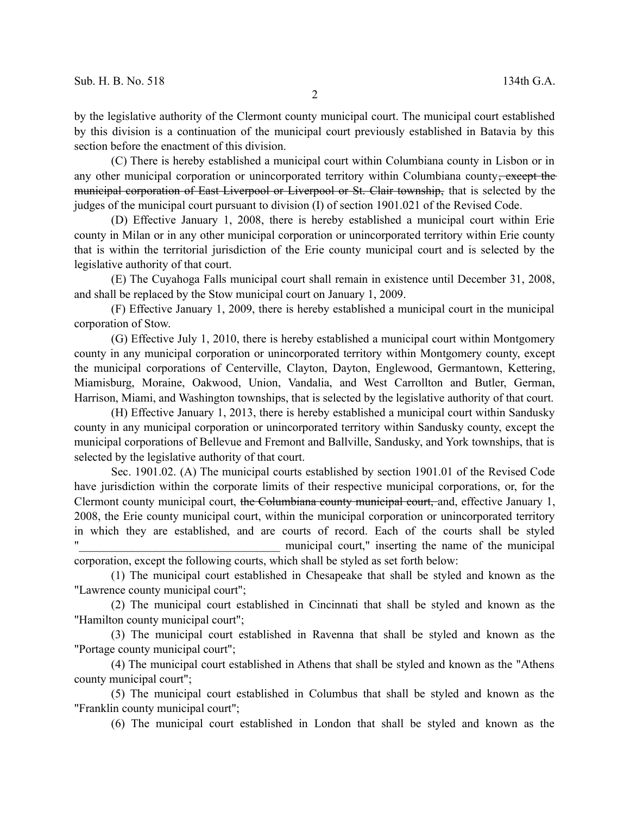by the legislative authority of the Clermont county municipal court. The municipal court established by this division is a continuation of the municipal court previously established in Batavia by this section before the enactment of this division.

(C) There is hereby established a municipal court within Columbiana county in Lisbon or in any other municipal corporation or unincorporated territory within Columbiana county, except the municipal corporation of East Liverpool or Liverpool or St. Clair township, that is selected by the judges of the municipal court pursuant to division (I) of section 1901.021 of the Revised Code.

(D) Effective January 1, 2008, there is hereby established a municipal court within Erie county in Milan or in any other municipal corporation or unincorporated territory within Erie county that is within the territorial jurisdiction of the Erie county municipal court and is selected by the legislative authority of that court.

(E) The Cuyahoga Falls municipal court shall remain in existence until December 31, 2008, and shall be replaced by the Stow municipal court on January 1, 2009.

(F) Effective January 1, 2009, there is hereby established a municipal court in the municipal corporation of Stow.

(G) Effective July 1, 2010, there is hereby established a municipal court within Montgomery county in any municipal corporation or unincorporated territory within Montgomery county, except the municipal corporations of Centerville, Clayton, Dayton, Englewood, Germantown, Kettering, Miamisburg, Moraine, Oakwood, Union, Vandalia, and West Carrollton and Butler, German, Harrison, Miami, and Washington townships, that is selected by the legislative authority of that court.

(H) Effective January 1, 2013, there is hereby established a municipal court within Sandusky county in any municipal corporation or unincorporated territory within Sandusky county, except the municipal corporations of Bellevue and Fremont and Ballville, Sandusky, and York townships, that is selected by the legislative authority of that court.

Sec. 1901.02. (A) The municipal courts established by section 1901.01 of the Revised Code have jurisdiction within the corporate limits of their respective municipal corporations, or, for the Clermont county municipal court, the Columbiana county municipal court, and, effective January 1, 2008, the Erie county municipal court, within the municipal corporation or unincorporated territory in which they are established, and are courts of record. Each of the courts shall be styled municipal court," inserting the name of the municipal

corporation, except the following courts, which shall be styled as set forth below:

(1) The municipal court established in Chesapeake that shall be styled and known as the "Lawrence county municipal court";

(2) The municipal court established in Cincinnati that shall be styled and known as the "Hamilton county municipal court";

(3) The municipal court established in Ravenna that shall be styled and known as the "Portage county municipal court";

(4) The municipal court established in Athens that shall be styled and known as the "Athens county municipal court";

(5) The municipal court established in Columbus that shall be styled and known as the "Franklin county municipal court";

(6) The municipal court established in London that shall be styled and known as the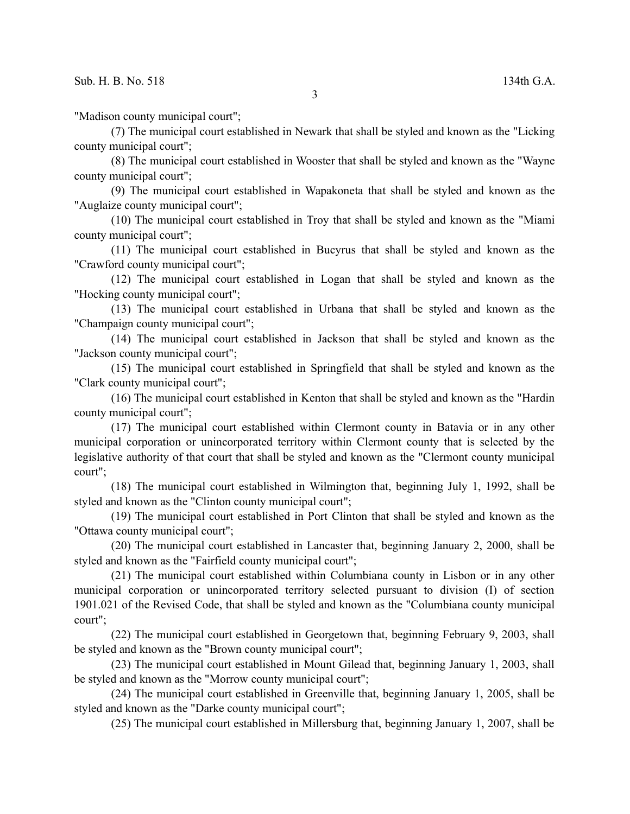"Madison county municipal court";

(7) The municipal court established in Newark that shall be styled and known as the "Licking county municipal court";

(8) The municipal court established in Wooster that shall be styled and known as the "Wayne county municipal court";

(9) The municipal court established in Wapakoneta that shall be styled and known as the "Auglaize county municipal court";

(10) The municipal court established in Troy that shall be styled and known as the "Miami county municipal court";

(11) The municipal court established in Bucyrus that shall be styled and known as the "Crawford county municipal court";

(12) The municipal court established in Logan that shall be styled and known as the "Hocking county municipal court";

(13) The municipal court established in Urbana that shall be styled and known as the "Champaign county municipal court";

(14) The municipal court established in Jackson that shall be styled and known as the "Jackson county municipal court";

(15) The municipal court established in Springfield that shall be styled and known as the "Clark county municipal court";

(16) The municipal court established in Kenton that shall be styled and known as the "Hardin county municipal court";

(17) The municipal court established within Clermont county in Batavia or in any other municipal corporation or unincorporated territory within Clermont county that is selected by the legislative authority of that court that shall be styled and known as the "Clermont county municipal court";

(18) The municipal court established in Wilmington that, beginning July 1, 1992, shall be styled and known as the "Clinton county municipal court";

(19) The municipal court established in Port Clinton that shall be styled and known as the "Ottawa county municipal court";

(20) The municipal court established in Lancaster that, beginning January 2, 2000, shall be styled and known as the "Fairfield county municipal court";

(21) The municipal court established within Columbiana county in Lisbon or in any other municipal corporation or unincorporated territory selected pursuant to division (I) of section 1901.021 of the Revised Code, that shall be styled and known as the "Columbiana county municipal court";

(22) The municipal court established in Georgetown that, beginning February 9, 2003, shall be styled and known as the "Brown county municipal court";

(23) The municipal court established in Mount Gilead that, beginning January 1, 2003, shall be styled and known as the "Morrow county municipal court";

(24) The municipal court established in Greenville that, beginning January 1, 2005, shall be styled and known as the "Darke county municipal court";

(25) The municipal court established in Millersburg that, beginning January 1, 2007, shall be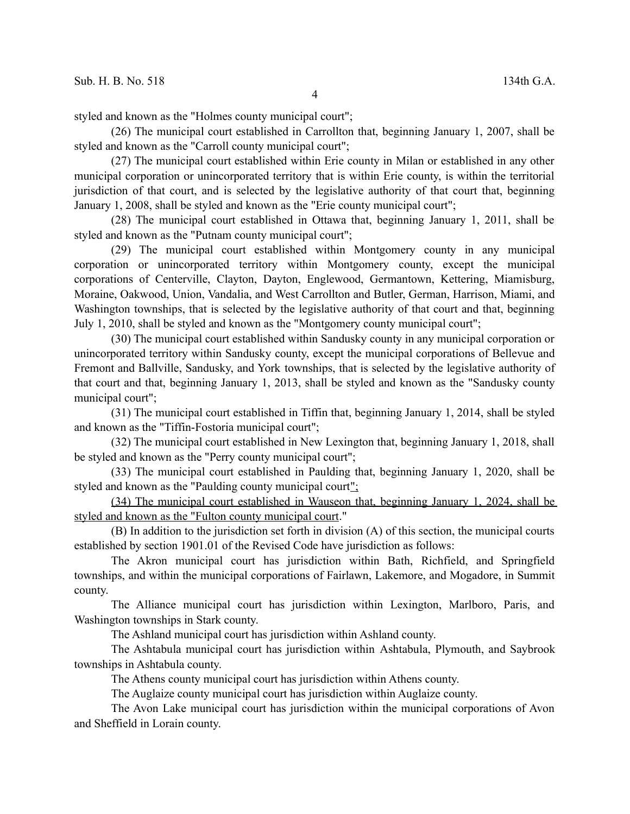4

styled and known as the "Holmes county municipal court";

(26) The municipal court established in Carrollton that, beginning January 1, 2007, shall be styled and known as the "Carroll county municipal court";

(27) The municipal court established within Erie county in Milan or established in any other municipal corporation or unincorporated territory that is within Erie county, is within the territorial jurisdiction of that court, and is selected by the legislative authority of that court that, beginning January 1, 2008, shall be styled and known as the "Erie county municipal court";

(28) The municipal court established in Ottawa that, beginning January 1, 2011, shall be styled and known as the "Putnam county municipal court";

(29) The municipal court established within Montgomery county in any municipal corporation or unincorporated territory within Montgomery county, except the municipal corporations of Centerville, Clayton, Dayton, Englewood, Germantown, Kettering, Miamisburg, Moraine, Oakwood, Union, Vandalia, and West Carrollton and Butler, German, Harrison, Miami, and Washington townships, that is selected by the legislative authority of that court and that, beginning July 1, 2010, shall be styled and known as the "Montgomery county municipal court";

(30) The municipal court established within Sandusky county in any municipal corporation or unincorporated territory within Sandusky county, except the municipal corporations of Bellevue and Fremont and Ballville, Sandusky, and York townships, that is selected by the legislative authority of that court and that, beginning January 1, 2013, shall be styled and known as the "Sandusky county municipal court";

(31) The municipal court established in Tiffin that, beginning January 1, 2014, shall be styled and known as the "Tiffin-Fostoria municipal court";

(32) The municipal court established in New Lexington that, beginning January 1, 2018, shall be styled and known as the "Perry county municipal court";

(33) The municipal court established in Paulding that, beginning January 1, 2020, shall be styled and known as the "Paulding county municipal court";

(34) The municipal court established in Wauseon that, beginning January 1, 2024, shall be styled and known as the "Fulton county municipal court."

(B) In addition to the jurisdiction set forth in division (A) of this section, the municipal courts established by section 1901.01 of the Revised Code have jurisdiction as follows:

The Akron municipal court has jurisdiction within Bath, Richfield, and Springfield townships, and within the municipal corporations of Fairlawn, Lakemore, and Mogadore, in Summit county.

The Alliance municipal court has jurisdiction within Lexington, Marlboro, Paris, and Washington townships in Stark county.

The Ashland municipal court has jurisdiction within Ashland county.

The Ashtabula municipal court has jurisdiction within Ashtabula, Plymouth, and Saybrook townships in Ashtabula county.

The Athens county municipal court has jurisdiction within Athens county.

The Auglaize county municipal court has jurisdiction within Auglaize county.

The Avon Lake municipal court has jurisdiction within the municipal corporations of Avon and Sheffield in Lorain county.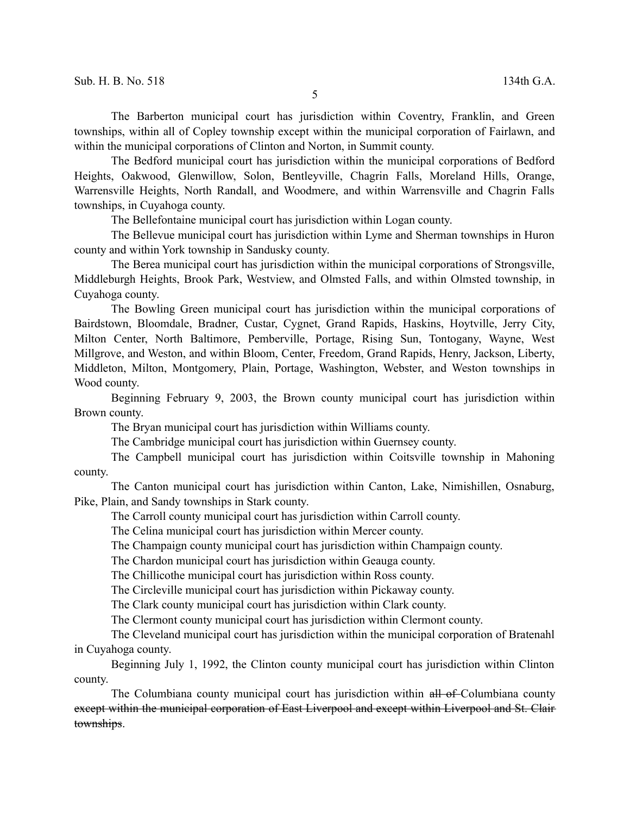The Barberton municipal court has jurisdiction within Coventry, Franklin, and Green townships, within all of Copley township except within the municipal corporation of Fairlawn, and within the municipal corporations of Clinton and Norton, in Summit county.

The Bedford municipal court has jurisdiction within the municipal corporations of Bedford Heights, Oakwood, Glenwillow, Solon, Bentleyville, Chagrin Falls, Moreland Hills, Orange, Warrensville Heights, North Randall, and Woodmere, and within Warrensville and Chagrin Falls townships, in Cuyahoga county.

The Bellefontaine municipal court has jurisdiction within Logan county.

The Bellevue municipal court has jurisdiction within Lyme and Sherman townships in Huron county and within York township in Sandusky county.

The Berea municipal court has jurisdiction within the municipal corporations of Strongsville, Middleburgh Heights, Brook Park, Westview, and Olmsted Falls, and within Olmsted township, in Cuyahoga county.

The Bowling Green municipal court has jurisdiction within the municipal corporations of Bairdstown, Bloomdale, Bradner, Custar, Cygnet, Grand Rapids, Haskins, Hoytville, Jerry City, Milton Center, North Baltimore, Pemberville, Portage, Rising Sun, Tontogany, Wayne, West Millgrove, and Weston, and within Bloom, Center, Freedom, Grand Rapids, Henry, Jackson, Liberty, Middleton, Milton, Montgomery, Plain, Portage, Washington, Webster, and Weston townships in Wood county.

Beginning February 9, 2003, the Brown county municipal court has jurisdiction within Brown county.

The Bryan municipal court has jurisdiction within Williams county.

The Cambridge municipal court has jurisdiction within Guernsey county.

The Campbell municipal court has jurisdiction within Coitsville township in Mahoning county.

The Canton municipal court has jurisdiction within Canton, Lake, Nimishillen, Osnaburg, Pike, Plain, and Sandy townships in Stark county.

The Carroll county municipal court has jurisdiction within Carroll county.

The Celina municipal court has jurisdiction within Mercer county.

The Champaign county municipal court has jurisdiction within Champaign county.

The Chardon municipal court has jurisdiction within Geauga county.

The Chillicothe municipal court has jurisdiction within Ross county.

The Circleville municipal court has jurisdiction within Pickaway county.

The Clark county municipal court has jurisdiction within Clark county.

The Clermont county municipal court has jurisdiction within Clermont county.

The Cleveland municipal court has jurisdiction within the municipal corporation of Bratenahl in Cuyahoga county.

Beginning July 1, 1992, the Clinton county municipal court has jurisdiction within Clinton county.

The Columbiana county municipal court has jurisdiction within all of Columbiana county except within the municipal corporation of East Liverpool and except within Liverpool and St. Clair townships.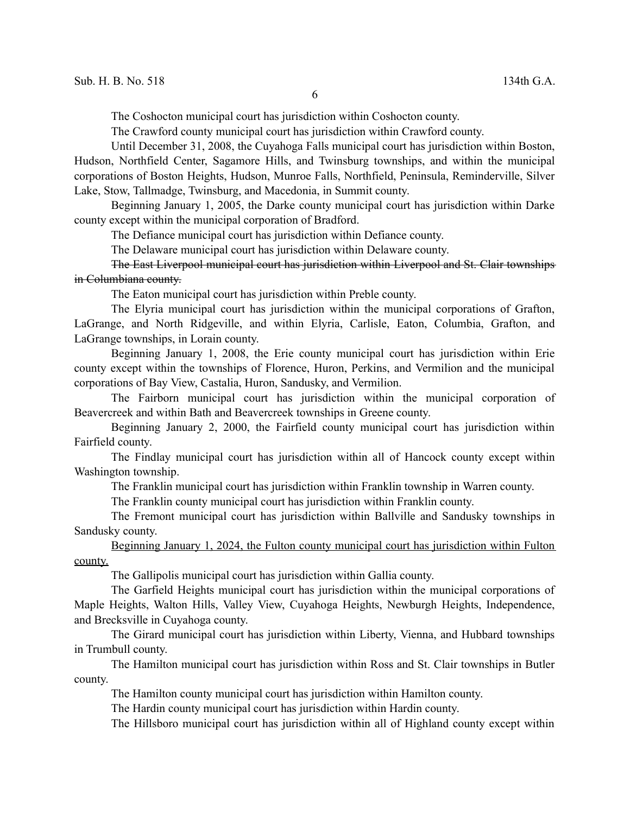The Coshocton municipal court has jurisdiction within Coshocton county.

The Crawford county municipal court has jurisdiction within Crawford county.

Until December 31, 2008, the Cuyahoga Falls municipal court has jurisdiction within Boston, Hudson, Northfield Center, Sagamore Hills, and Twinsburg townships, and within the municipal corporations of Boston Heights, Hudson, Munroe Falls, Northfield, Peninsula, Reminderville, Silver Lake, Stow, Tallmadge, Twinsburg, and Macedonia, in Summit county.

Beginning January 1, 2005, the Darke county municipal court has jurisdiction within Darke county except within the municipal corporation of Bradford.

The Defiance municipal court has jurisdiction within Defiance county.

The Delaware municipal court has jurisdiction within Delaware county.

The East Liverpool municipal court has jurisdiction within Liverpool and St. Clair townships in Columbiana county.

The Eaton municipal court has jurisdiction within Preble county.

The Elyria municipal court has jurisdiction within the municipal corporations of Grafton, LaGrange, and North Ridgeville, and within Elyria, Carlisle, Eaton, Columbia, Grafton, and LaGrange townships, in Lorain county.

Beginning January 1, 2008, the Erie county municipal court has jurisdiction within Erie county except within the townships of Florence, Huron, Perkins, and Vermilion and the municipal corporations of Bay View, Castalia, Huron, Sandusky, and Vermilion.

The Fairborn municipal court has jurisdiction within the municipal corporation of Beavercreek and within Bath and Beavercreek townships in Greene county.

Beginning January 2, 2000, the Fairfield county municipal court has jurisdiction within Fairfield county.

The Findlay municipal court has jurisdiction within all of Hancock county except within Washington township.

The Franklin municipal court has jurisdiction within Franklin township in Warren county.

The Franklin county municipal court has jurisdiction within Franklin county.

The Fremont municipal court has jurisdiction within Ballville and Sandusky townships in Sandusky county.

Beginning January 1, 2024, the Fulton county municipal court has jurisdiction within Fulton county.

The Gallipolis municipal court has jurisdiction within Gallia county.

The Garfield Heights municipal court has jurisdiction within the municipal corporations of Maple Heights, Walton Hills, Valley View, Cuyahoga Heights, Newburgh Heights, Independence, and Brecksville in Cuyahoga county.

The Girard municipal court has jurisdiction within Liberty, Vienna, and Hubbard townships in Trumbull county.

The Hamilton municipal court has jurisdiction within Ross and St. Clair townships in Butler county.

The Hamilton county municipal court has jurisdiction within Hamilton county.

The Hardin county municipal court has jurisdiction within Hardin county.

The Hillsboro municipal court has jurisdiction within all of Highland county except within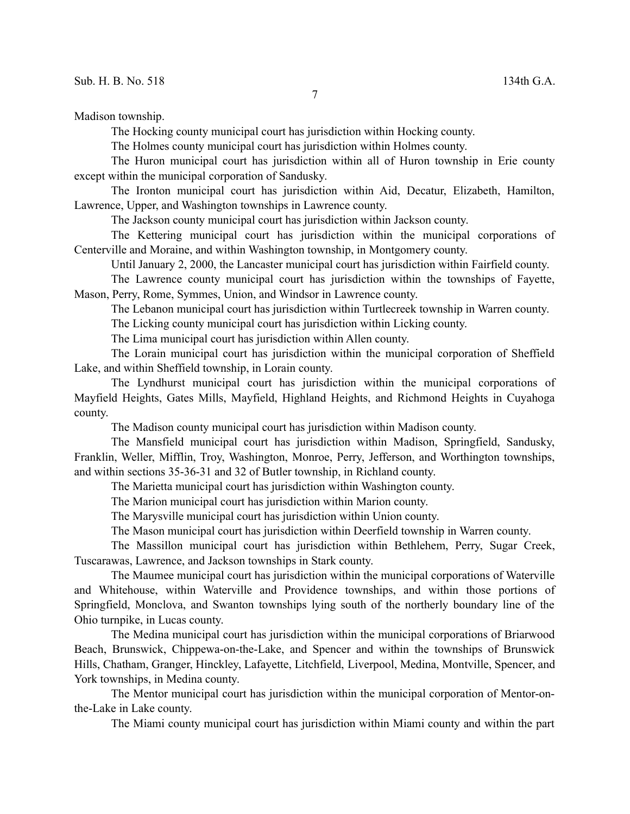Madison township.

The Hocking county municipal court has jurisdiction within Hocking county.

The Holmes county municipal court has jurisdiction within Holmes county.

The Huron municipal court has jurisdiction within all of Huron township in Erie county except within the municipal corporation of Sandusky.

The Ironton municipal court has jurisdiction within Aid, Decatur, Elizabeth, Hamilton, Lawrence, Upper, and Washington townships in Lawrence county.

The Jackson county municipal court has jurisdiction within Jackson county.

The Kettering municipal court has jurisdiction within the municipal corporations of Centerville and Moraine, and within Washington township, in Montgomery county.

Until January 2, 2000, the Lancaster municipal court has jurisdiction within Fairfield county.

The Lawrence county municipal court has jurisdiction within the townships of Fayette, Mason, Perry, Rome, Symmes, Union, and Windsor in Lawrence county.

The Lebanon municipal court has jurisdiction within Turtlecreek township in Warren county.

The Licking county municipal court has jurisdiction within Licking county.

The Lima municipal court has jurisdiction within Allen county.

The Lorain municipal court has jurisdiction within the municipal corporation of Sheffield Lake, and within Sheffield township, in Lorain county.

The Lyndhurst municipal court has jurisdiction within the municipal corporations of Mayfield Heights, Gates Mills, Mayfield, Highland Heights, and Richmond Heights in Cuyahoga county.

The Madison county municipal court has jurisdiction within Madison county.

The Mansfield municipal court has jurisdiction within Madison, Springfield, Sandusky, Franklin, Weller, Mifflin, Troy, Washington, Monroe, Perry, Jefferson, and Worthington townships, and within sections 35-36-31 and 32 of Butler township, in Richland county.

The Marietta municipal court has jurisdiction within Washington county.

The Marion municipal court has jurisdiction within Marion county.

The Marysville municipal court has jurisdiction within Union county.

The Mason municipal court has jurisdiction within Deerfield township in Warren county.

The Massillon municipal court has jurisdiction within Bethlehem, Perry, Sugar Creek, Tuscarawas, Lawrence, and Jackson townships in Stark county.

The Maumee municipal court has jurisdiction within the municipal corporations of Waterville and Whitehouse, within Waterville and Providence townships, and within those portions of Springfield, Monclova, and Swanton townships lying south of the northerly boundary line of the Ohio turnpike, in Lucas county.

The Medina municipal court has jurisdiction within the municipal corporations of Briarwood Beach, Brunswick, Chippewa-on-the-Lake, and Spencer and within the townships of Brunswick Hills, Chatham, Granger, Hinckley, Lafayette, Litchfield, Liverpool, Medina, Montville, Spencer, and York townships, in Medina county.

The Mentor municipal court has jurisdiction within the municipal corporation of Mentor-onthe-Lake in Lake county.

The Miami county municipal court has jurisdiction within Miami county and within the part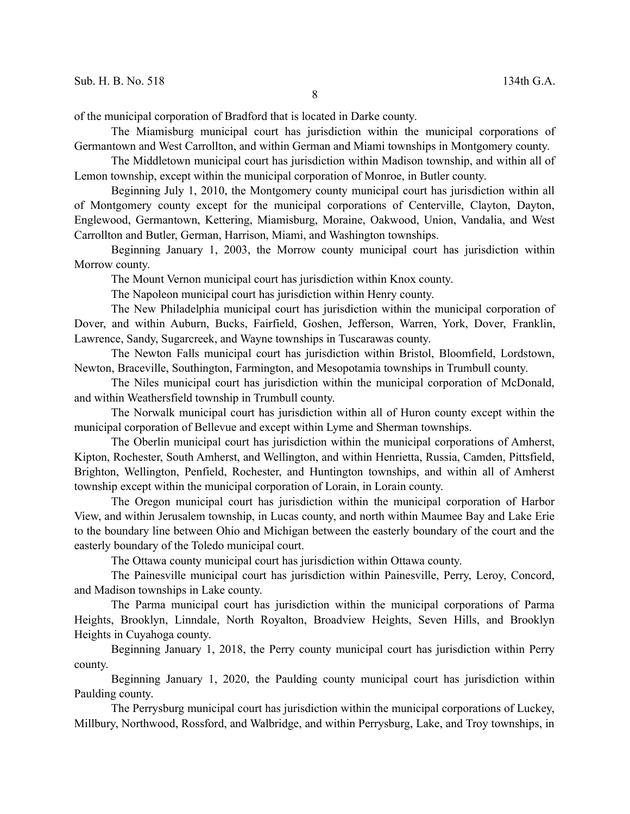8

of the municipal corporation of Bradford that is located in Darke county.

The Miamisburg municipal court has jurisdiction within the municipal corporations of Germantown and West Carrollton, and within German and Miami townships in Montgomery county.

The Middletown municipal court has jurisdiction within Madison township, and within all of Lemon township, except within the municipal corporation of Monroe, in Butler county.

Beginning July 1, 2010, the Montgomery county municipal court has jurisdiction within all of Montgomery county except for the municipal corporations of Centerville, Clayton, Dayton, Englewood, Germantown, Kettering, Miamisburg, Moraine, Oakwood, Union, Vandalia, and West Carrollton and Butler, German, Harrison, Miami, and Washington townships.

Beginning January 1, 2003, the Morrow county municipal court has jurisdiction within Morrow county.

The Mount Vernon municipal court has jurisdiction within Knox county.

The Napoleon municipal court has jurisdiction within Henry county.

The New Philadelphia municipal court has jurisdiction within the municipal corporation of Dover, and within Auburn, Bucks, Fairfield, Goshen, Jefferson, Warren, York, Dover, Franklin, Lawrence, Sandy, Sugarcreek, and Wayne townships in Tuscarawas county.

The Newton Falls municipal court has jurisdiction within Bristol, Bloomfield, Lordstown, Newton, Braceville, Southington, Farmington, and Mesopotamia townships in Trumbull county.

The Niles municipal court has jurisdiction within the municipal corporation of McDonald, and within Weathersfield township in Trumbull county.

The Norwalk municipal court has jurisdiction within all of Huron county except within the municipal corporation of Bellevue and except within Lyme and Sherman townships.

The Oberlin municipal court has jurisdiction within the municipal corporations of Amherst, Kipton, Rochester, South Amherst, and Wellington, and within Henrietta, Russia, Camden, Pittsfield, Brighton, Wellington, Penfield, Rochester, and Huntington townships, and within all of Amherst township except within the municipal corporation of Lorain, in Lorain county.

The Oregon municipal court has jurisdiction within the municipal corporation of Harbor View, and within Jerusalem township, in Lucas county, and north within Maumee Bay and Lake Erie to the boundary line between Ohio and Michigan between the easterly boundary of the court and the easterly boundary of the Toledo municipal court.

The Ottawa county municipal court has jurisdiction within Ottawa county.

The Painesville municipal court has jurisdiction within Painesville, Perry, Leroy, Concord, and Madison townships in Lake county.

The Parma municipal court has jurisdiction within the municipal corporations of Parma Heights, Brooklyn, Linndale, North Royalton, Broadview Heights, Seven Hills, and Brooklyn Heights in Cuyahoga county.

Beginning January 1, 2018, the Perry county municipal court has jurisdiction within Perry county.

Beginning January 1, 2020, the Paulding county municipal court has jurisdiction within Paulding county.

The Perrysburg municipal court has jurisdiction within the municipal corporations of Luckey, Millbury, Northwood, Rossford, and Walbridge, and within Perrysburg, Lake, and Troy townships, in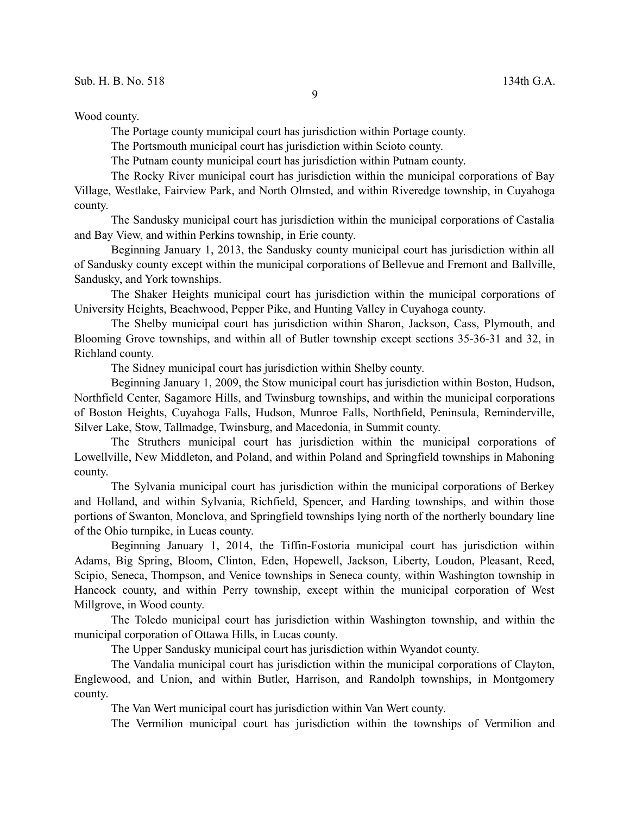Wood county.

The Portage county municipal court has jurisdiction within Portage county.

The Portsmouth municipal court has jurisdiction within Scioto county.

The Putnam county municipal court has jurisdiction within Putnam county.

The Rocky River municipal court has jurisdiction within the municipal corporations of Bay Village, Westlake, Fairview Park, and North Olmsted, and within Riveredge township, in Cuyahoga county.

The Sandusky municipal court has jurisdiction within the municipal corporations of Castalia and Bay View, and within Perkins township, in Erie county.

Beginning January 1, 2013, the Sandusky county municipal court has jurisdiction within all of Sandusky county except within the municipal corporations of Bellevue and Fremont and Ballville, Sandusky, and York townships.

The Shaker Heights municipal court has jurisdiction within the municipal corporations of University Heights, Beachwood, Pepper Pike, and Hunting Valley in Cuyahoga county.

The Shelby municipal court has jurisdiction within Sharon, Jackson, Cass, Plymouth, and Blooming Grove townships, and within all of Butler township except sections 35-36-31 and 32, in Richland county.

The Sidney municipal court has jurisdiction within Shelby county.

Beginning January 1, 2009, the Stow municipal court has jurisdiction within Boston, Hudson, Northfield Center, Sagamore Hills, and Twinsburg townships, and within the municipal corporations of Boston Heights, Cuyahoga Falls, Hudson, Munroe Falls, Northfield, Peninsula, Reminderville, Silver Lake, Stow, Tallmadge, Twinsburg, and Macedonia, in Summit county.

The Struthers municipal court has jurisdiction within the municipal corporations of Lowellville, New Middleton, and Poland, and within Poland and Springfield townships in Mahoning county.

The Sylvania municipal court has jurisdiction within the municipal corporations of Berkey and Holland, and within Sylvania, Richfield, Spencer, and Harding townships, and within those portions of Swanton, Monclova, and Springfield townships lying north of the northerly boundary line of the Ohio turnpike, in Lucas county.

Beginning January 1, 2014, the Tiffin-Fostoria municipal court has jurisdiction within Adams, Big Spring, Bloom, Clinton, Eden, Hopewell, Jackson, Liberty, Loudon, Pleasant, Reed, Scipio, Seneca, Thompson, and Venice townships in Seneca county, within Washington township in Hancock county, and within Perry township, except within the municipal corporation of West Millgrove, in Wood county.

The Toledo municipal court has jurisdiction within Washington township, and within the municipal corporation of Ottawa Hills, in Lucas county.

The Upper Sandusky municipal court has jurisdiction within Wyandot county.

The Vandalia municipal court has jurisdiction within the municipal corporations of Clayton, Englewood, and Union, and within Butler, Harrison, and Randolph townships, in Montgomery county.

The Van Wert municipal court has jurisdiction within Van Wert county.

The Vermilion municipal court has jurisdiction within the townships of Vermilion and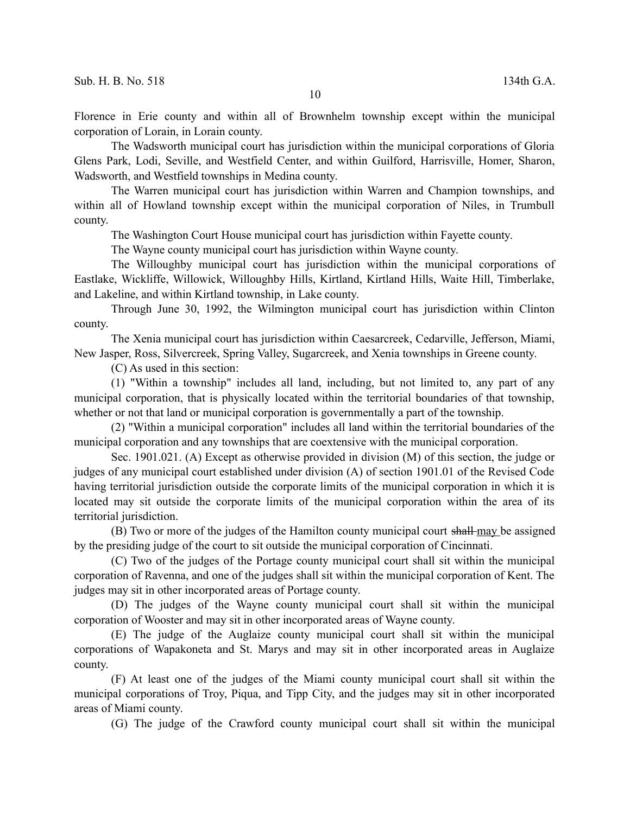Florence in Erie county and within all of Brownhelm township except within the municipal corporation of Lorain, in Lorain county.

The Wadsworth municipal court has jurisdiction within the municipal corporations of Gloria Glens Park, Lodi, Seville, and Westfield Center, and within Guilford, Harrisville, Homer, Sharon, Wadsworth, and Westfield townships in Medina county.

The Warren municipal court has jurisdiction within Warren and Champion townships, and within all of Howland township except within the municipal corporation of Niles, in Trumbull county.

The Washington Court House municipal court has jurisdiction within Fayette county.

The Wayne county municipal court has jurisdiction within Wayne county.

The Willoughby municipal court has jurisdiction within the municipal corporations of Eastlake, Wickliffe, Willowick, Willoughby Hills, Kirtland, Kirtland Hills, Waite Hill, Timberlake, and Lakeline, and within Kirtland township, in Lake county.

Through June 30, 1992, the Wilmington municipal court has jurisdiction within Clinton county.

The Xenia municipal court has jurisdiction within Caesarcreek, Cedarville, Jefferson, Miami, New Jasper, Ross, Silvercreek, Spring Valley, Sugarcreek, and Xenia townships in Greene county.

(C) As used in this section:

(1) "Within a township" includes all land, including, but not limited to, any part of any municipal corporation, that is physically located within the territorial boundaries of that township, whether or not that land or municipal corporation is governmentally a part of the township.

(2) "Within a municipal corporation" includes all land within the territorial boundaries of the municipal corporation and any townships that are coextensive with the municipal corporation.

Sec. 1901.021. (A) Except as otherwise provided in division (M) of this section, the judge or judges of any municipal court established under division (A) of section 1901.01 of the Revised Code having territorial jurisdiction outside the corporate limits of the municipal corporation in which it is located may sit outside the corporate limits of the municipal corporation within the area of its territorial jurisdiction.

(B) Two or more of the judges of the Hamilton county municipal court shall may be assigned by the presiding judge of the court to sit outside the municipal corporation of Cincinnati.

(C) Two of the judges of the Portage county municipal court shall sit within the municipal corporation of Ravenna, and one of the judges shall sit within the municipal corporation of Kent. The judges may sit in other incorporated areas of Portage county.

(D) The judges of the Wayne county municipal court shall sit within the municipal corporation of Wooster and may sit in other incorporated areas of Wayne county.

(E) The judge of the Auglaize county municipal court shall sit within the municipal corporations of Wapakoneta and St. Marys and may sit in other incorporated areas in Auglaize county.

(F) At least one of the judges of the Miami county municipal court shall sit within the municipal corporations of Troy, Piqua, and Tipp City, and the judges may sit in other incorporated areas of Miami county.

(G) The judge of the Crawford county municipal court shall sit within the municipal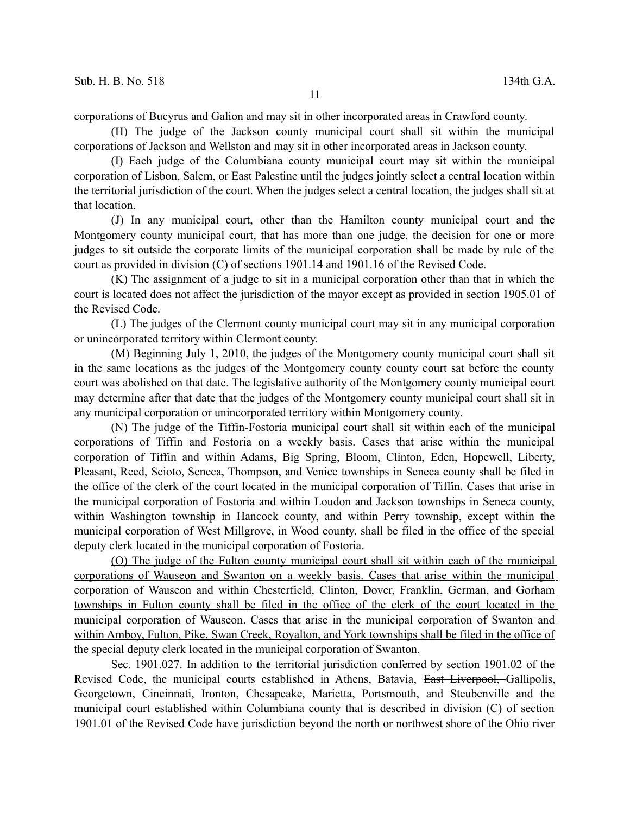corporations of Bucyrus and Galion and may sit in other incorporated areas in Crawford county.

(H) The judge of the Jackson county municipal court shall sit within the municipal corporations of Jackson and Wellston and may sit in other incorporated areas in Jackson county.

(I) Each judge of the Columbiana county municipal court may sit within the municipal corporation of Lisbon, Salem, or East Palestine until the judges jointly select a central location within the territorial jurisdiction of the court. When the judges select a central location, the judges shall sit at that location.

(J) In any municipal court, other than the Hamilton county municipal court and the Montgomery county municipal court, that has more than one judge, the decision for one or more judges to sit outside the corporate limits of the municipal corporation shall be made by rule of the court as provided in division (C) of sections 1901.14 and 1901.16 of the Revised Code.

(K) The assignment of a judge to sit in a municipal corporation other than that in which the court is located does not affect the jurisdiction of the mayor except as provided in section 1905.01 of the Revised Code.

(L) The judges of the Clermont county municipal court may sit in any municipal corporation or unincorporated territory within Clermont county.

(M) Beginning July 1, 2010, the judges of the Montgomery county municipal court shall sit in the same locations as the judges of the Montgomery county county court sat before the county court was abolished on that date. The legislative authority of the Montgomery county municipal court may determine after that date that the judges of the Montgomery county municipal court shall sit in any municipal corporation or unincorporated territory within Montgomery county.

(N) The judge of the Tiffin-Fostoria municipal court shall sit within each of the municipal corporations of Tiffin and Fostoria on a weekly basis. Cases that arise within the municipal corporation of Tiffin and within Adams, Big Spring, Bloom, Clinton, Eden, Hopewell, Liberty, Pleasant, Reed, Scioto, Seneca, Thompson, and Venice townships in Seneca county shall be filed in the office of the clerk of the court located in the municipal corporation of Tiffin. Cases that arise in the municipal corporation of Fostoria and within Loudon and Jackson townships in Seneca county, within Washington township in Hancock county, and within Perry township, except within the municipal corporation of West Millgrove, in Wood county, shall be filed in the office of the special deputy clerk located in the municipal corporation of Fostoria.

(O) The judge of the Fulton county municipal court shall sit within each of the municipal corporations of Wauseon and Swanton on a weekly basis. Cases that arise within the municipal corporation of Wauseon and within Chesterfield, Clinton, Dover, Franklin, German, and Gorham townships in Fulton county shall be filed in the office of the clerk of the court located in the municipal corporation of Wauseon. Cases that arise in the municipal corporation of Swanton and within Amboy, Fulton, Pike, Swan Creek, Royalton, and York townships shall be filed in the office of the special deputy clerk located in the municipal corporation of Swanton.

Sec. 1901.027. In addition to the territorial jurisdiction conferred by section 1901.02 of the Revised Code, the municipal courts established in Athens, Batavia, East Liverpool, Gallipolis, Georgetown, Cincinnati, Ironton, Chesapeake, Marietta, Portsmouth, and Steubenville and the municipal court established within Columbiana county that is described in division (C) of section 1901.01 of the Revised Code have jurisdiction beyond the north or northwest shore of the Ohio river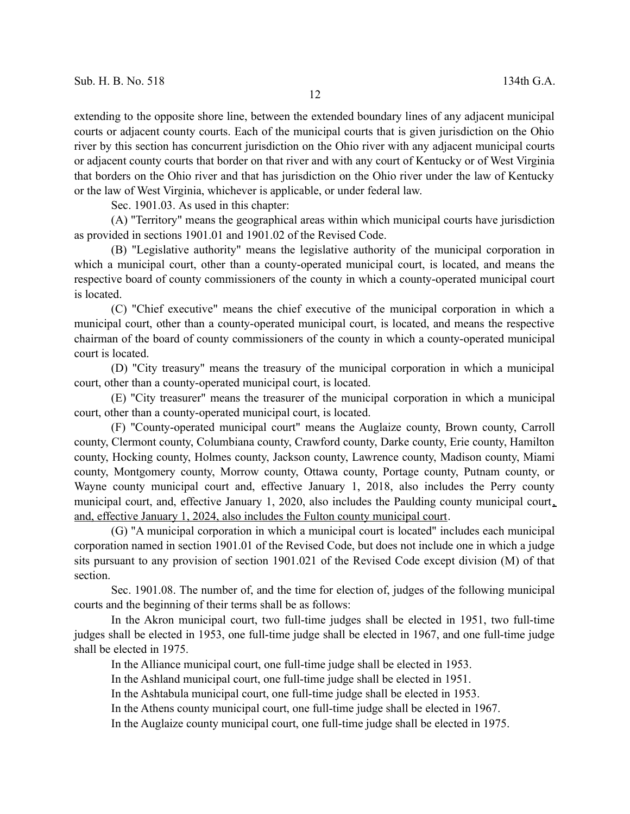extending to the opposite shore line, between the extended boundary lines of any adjacent municipal courts or adjacent county courts. Each of the municipal courts that is given jurisdiction on the Ohio river by this section has concurrent jurisdiction on the Ohio river with any adjacent municipal courts or adjacent county courts that border on that river and with any court of Kentucky or of West Virginia that borders on the Ohio river and that has jurisdiction on the Ohio river under the law of Kentucky or the law of West Virginia, whichever is applicable, or under federal law.

Sec. 1901.03. As used in this chapter:

(A) "Territory" means the geographical areas within which municipal courts have jurisdiction as provided in sections 1901.01 and 1901.02 of the Revised Code.

(B) "Legislative authority" means the legislative authority of the municipal corporation in which a municipal court, other than a county-operated municipal court, is located, and means the respective board of county commissioners of the county in which a county-operated municipal court is located.

(C) "Chief executive" means the chief executive of the municipal corporation in which a municipal court, other than a county-operated municipal court, is located, and means the respective chairman of the board of county commissioners of the county in which a county-operated municipal court is located.

(D) "City treasury" means the treasury of the municipal corporation in which a municipal court, other than a county-operated municipal court, is located.

(E) "City treasurer" means the treasurer of the municipal corporation in which a municipal court, other than a county-operated municipal court, is located.

(F) "County-operated municipal court" means the Auglaize county, Brown county, Carroll county, Clermont county, Columbiana county, Crawford county, Darke county, Erie county, Hamilton county, Hocking county, Holmes county, Jackson county, Lawrence county, Madison county, Miami county, Montgomery county, Morrow county, Ottawa county, Portage county, Putnam county, or Wayne county municipal court and, effective January 1, 2018, also includes the Perry county municipal court, and, effective January 1, 2020, also includes the Paulding county municipal court, and, effective January 1, 2024, also includes the Fulton county municipal court.

(G) "A municipal corporation in which a municipal court is located" includes each municipal corporation named in section 1901.01 of the Revised Code, but does not include one in which a judge sits pursuant to any provision of section 1901.021 of the Revised Code except division (M) of that section.

Sec. 1901.08. The number of, and the time for election of, judges of the following municipal courts and the beginning of their terms shall be as follows:

In the Akron municipal court, two full-time judges shall be elected in 1951, two full-time judges shall be elected in 1953, one full-time judge shall be elected in 1967, and one full-time judge shall be elected in 1975.

In the Alliance municipal court, one full-time judge shall be elected in 1953.

In the Ashland municipal court, one full-time judge shall be elected in 1951.

In the Ashtabula municipal court, one full-time judge shall be elected in 1953.

In the Athens county municipal court, one full-time judge shall be elected in 1967.

In the Auglaize county municipal court, one full-time judge shall be elected in 1975.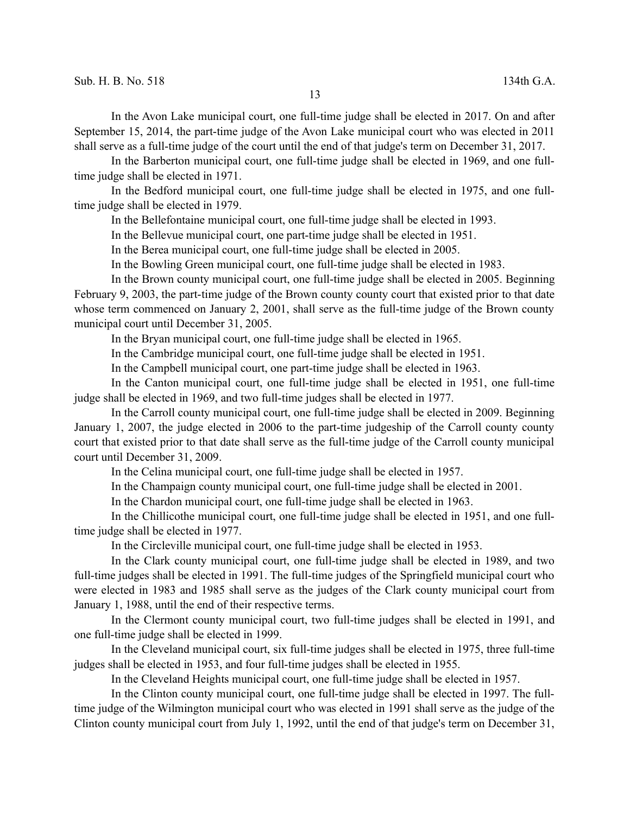In the Avon Lake municipal court, one full-time judge shall be elected in 2017. On and after September 15, 2014, the part-time judge of the Avon Lake municipal court who was elected in 2011 shall serve as a full-time judge of the court until the end of that judge's term on December 31, 2017.

In the Barberton municipal court, one full-time judge shall be elected in 1969, and one fulltime judge shall be elected in 1971.

In the Bedford municipal court, one full-time judge shall be elected in 1975, and one fulltime judge shall be elected in 1979.

In the Bellefontaine municipal court, one full-time judge shall be elected in 1993.

In the Bellevue municipal court, one part-time judge shall be elected in 1951.

In the Berea municipal court, one full-time judge shall be elected in 2005.

In the Bowling Green municipal court, one full-time judge shall be elected in 1983.

In the Brown county municipal court, one full-time judge shall be elected in 2005. Beginning February 9, 2003, the part-time judge of the Brown county county court that existed prior to that date whose term commenced on January 2, 2001, shall serve as the full-time judge of the Brown county municipal court until December 31, 2005.

In the Bryan municipal court, one full-time judge shall be elected in 1965.

In the Cambridge municipal court, one full-time judge shall be elected in 1951.

In the Campbell municipal court, one part-time judge shall be elected in 1963.

In the Canton municipal court, one full-time judge shall be elected in 1951, one full-time judge shall be elected in 1969, and two full-time judges shall be elected in 1977.

In the Carroll county municipal court, one full-time judge shall be elected in 2009. Beginning January 1, 2007, the judge elected in 2006 to the part-time judgeship of the Carroll county county court that existed prior to that date shall serve as the full-time judge of the Carroll county municipal court until December 31, 2009.

In the Celina municipal court, one full-time judge shall be elected in 1957.

In the Champaign county municipal court, one full-time judge shall be elected in 2001.

In the Chardon municipal court, one full-time judge shall be elected in 1963.

In the Chillicothe municipal court, one full-time judge shall be elected in 1951, and one fulltime judge shall be elected in 1977.

In the Circleville municipal court, one full-time judge shall be elected in 1953.

In the Clark county municipal court, one full-time judge shall be elected in 1989, and two full-time judges shall be elected in 1991. The full-time judges of the Springfield municipal court who were elected in 1983 and 1985 shall serve as the judges of the Clark county municipal court from January 1, 1988, until the end of their respective terms.

In the Clermont county municipal court, two full-time judges shall be elected in 1991, and one full-time judge shall be elected in 1999.

In the Cleveland municipal court, six full-time judges shall be elected in 1975, three full-time judges shall be elected in 1953, and four full-time judges shall be elected in 1955.

In the Cleveland Heights municipal court, one full-time judge shall be elected in 1957.

In the Clinton county municipal court, one full-time judge shall be elected in 1997. The fulltime judge of the Wilmington municipal court who was elected in 1991 shall serve as the judge of the Clinton county municipal court from July 1, 1992, until the end of that judge's term on December 31,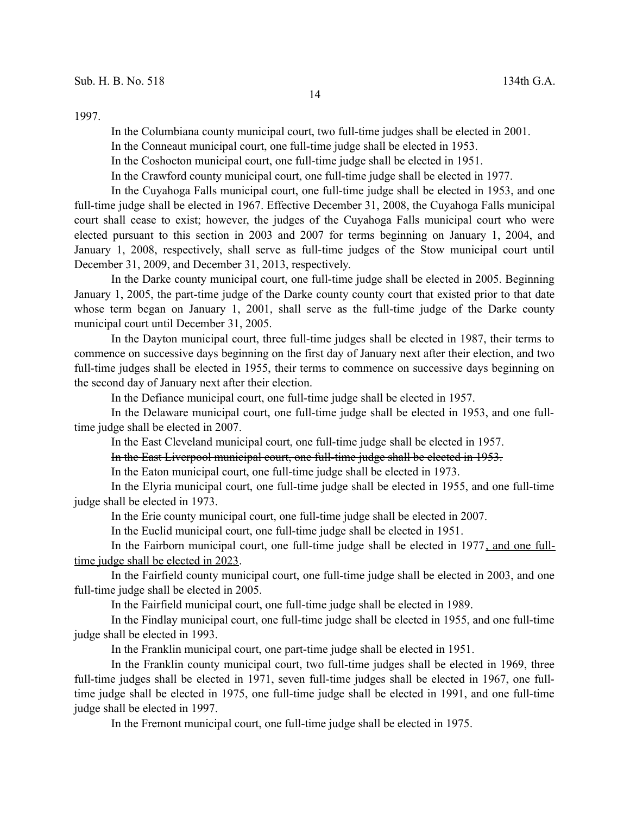1997.

In the Columbiana county municipal court, two full-time judges shall be elected in 2001.

In the Conneaut municipal court, one full-time judge shall be elected in 1953.

In the Coshocton municipal court, one full-time judge shall be elected in 1951.

In the Crawford county municipal court, one full-time judge shall be elected in 1977.

In the Cuyahoga Falls municipal court, one full-time judge shall be elected in 1953, and one full-time judge shall be elected in 1967. Effective December 31, 2008, the Cuyahoga Falls municipal court shall cease to exist; however, the judges of the Cuyahoga Falls municipal court who were elected pursuant to this section in 2003 and 2007 for terms beginning on January 1, 2004, and January 1, 2008, respectively, shall serve as full-time judges of the Stow municipal court until December 31, 2009, and December 31, 2013, respectively.

In the Darke county municipal court, one full-time judge shall be elected in 2005. Beginning January 1, 2005, the part-time judge of the Darke county county court that existed prior to that date whose term began on January 1, 2001, shall serve as the full-time judge of the Darke county municipal court until December 31, 2005.

In the Dayton municipal court, three full-time judges shall be elected in 1987, their terms to commence on successive days beginning on the first day of January next after their election, and two full-time judges shall be elected in 1955, their terms to commence on successive days beginning on the second day of January next after their election.

In the Defiance municipal court, one full-time judge shall be elected in 1957.

In the Delaware municipal court, one full-time judge shall be elected in 1953, and one fulltime judge shall be elected in 2007.

In the East Cleveland municipal court, one full-time judge shall be elected in 1957.

In the East Liverpool municipal court, one full-time judge shall be elected in 1953.

In the Eaton municipal court, one full-time judge shall be elected in 1973.

In the Elyria municipal court, one full-time judge shall be elected in 1955, and one full-time judge shall be elected in 1973.

In the Erie county municipal court, one full-time judge shall be elected in 2007.

In the Euclid municipal court, one full-time judge shall be elected in 1951.

In the Fairborn municipal court, one full-time judge shall be elected in 1977, and one fulltime judge shall be elected in 2023.

In the Fairfield county municipal court, one full-time judge shall be elected in 2003, and one full-time judge shall be elected in 2005.

In the Fairfield municipal court, one full-time judge shall be elected in 1989.

In the Findlay municipal court, one full-time judge shall be elected in 1955, and one full-time judge shall be elected in 1993.

In the Franklin municipal court, one part-time judge shall be elected in 1951.

In the Franklin county municipal court, two full-time judges shall be elected in 1969, three full-time judges shall be elected in 1971, seven full-time judges shall be elected in 1967, one fulltime judge shall be elected in 1975, one full-time judge shall be elected in 1991, and one full-time judge shall be elected in 1997.

In the Fremont municipal court, one full-time judge shall be elected in 1975.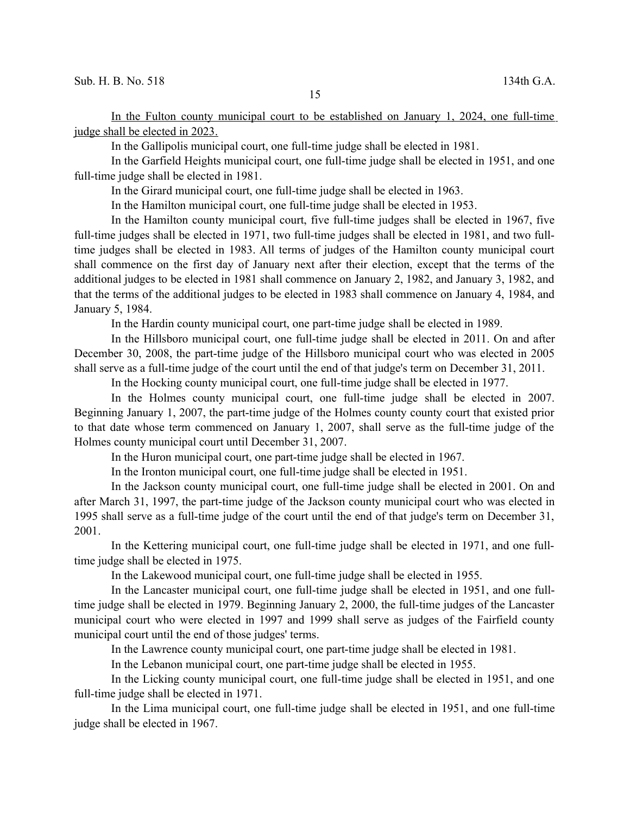In the Fulton county municipal court to be established on January 1, 2024, one full-time judge shall be elected in 2023.

In the Gallipolis municipal court, one full-time judge shall be elected in 1981.

In the Garfield Heights municipal court, one full-time judge shall be elected in 1951, and one full-time judge shall be elected in 1981.

In the Girard municipal court, one full-time judge shall be elected in 1963.

In the Hamilton municipal court, one full-time judge shall be elected in 1953.

In the Hamilton county municipal court, five full-time judges shall be elected in 1967, five full-time judges shall be elected in 1971, two full-time judges shall be elected in 1981, and two fulltime judges shall be elected in 1983. All terms of judges of the Hamilton county municipal court shall commence on the first day of January next after their election, except that the terms of the additional judges to be elected in 1981 shall commence on January 2, 1982, and January 3, 1982, and that the terms of the additional judges to be elected in 1983 shall commence on January 4, 1984, and January 5, 1984.

In the Hardin county municipal court, one part-time judge shall be elected in 1989.

In the Hillsboro municipal court, one full-time judge shall be elected in 2011. On and after December 30, 2008, the part-time judge of the Hillsboro municipal court who was elected in 2005 shall serve as a full-time judge of the court until the end of that judge's term on December 31, 2011.

In the Hocking county municipal court, one full-time judge shall be elected in 1977.

In the Holmes county municipal court, one full-time judge shall be elected in 2007. Beginning January 1, 2007, the part-time judge of the Holmes county county court that existed prior to that date whose term commenced on January 1, 2007, shall serve as the full-time judge of the Holmes county municipal court until December 31, 2007.

In the Huron municipal court, one part-time judge shall be elected in 1967.

In the Ironton municipal court, one full-time judge shall be elected in 1951.

In the Jackson county municipal court, one full-time judge shall be elected in 2001. On and after March 31, 1997, the part-time judge of the Jackson county municipal court who was elected in 1995 shall serve as a full-time judge of the court until the end of that judge's term on December 31, 2001.

In the Kettering municipal court, one full-time judge shall be elected in 1971, and one fulltime judge shall be elected in 1975.

In the Lakewood municipal court, one full-time judge shall be elected in 1955.

In the Lancaster municipal court, one full-time judge shall be elected in 1951, and one fulltime judge shall be elected in 1979. Beginning January 2, 2000, the full-time judges of the Lancaster municipal court who were elected in 1997 and 1999 shall serve as judges of the Fairfield county municipal court until the end of those judges' terms.

In the Lawrence county municipal court, one part-time judge shall be elected in 1981.

In the Lebanon municipal court, one part-time judge shall be elected in 1955.

In the Licking county municipal court, one full-time judge shall be elected in 1951, and one full-time judge shall be elected in 1971.

In the Lima municipal court, one full-time judge shall be elected in 1951, and one full-time judge shall be elected in 1967.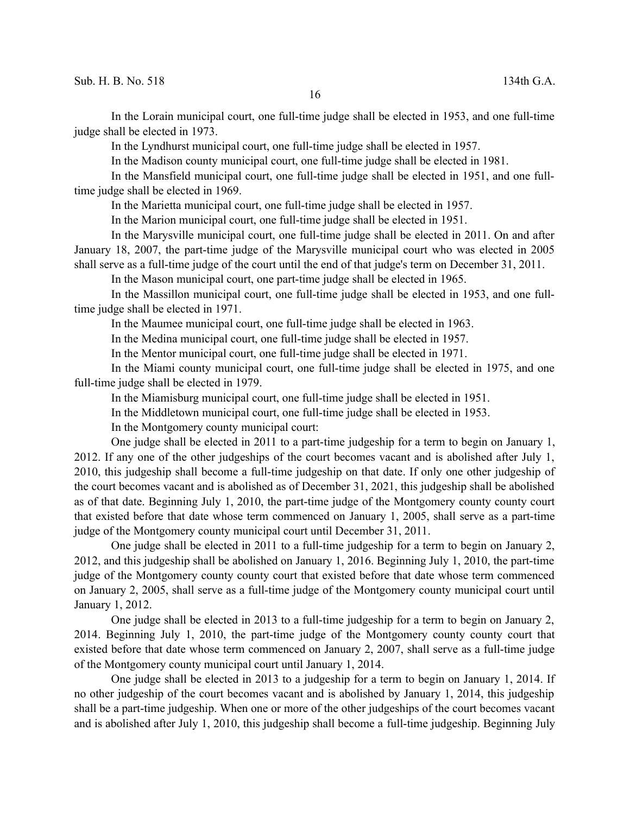In the Lorain municipal court, one full-time judge shall be elected in 1953, and one full-time judge shall be elected in 1973.

In the Lyndhurst municipal court, one full-time judge shall be elected in 1957.

In the Madison county municipal court, one full-time judge shall be elected in 1981.

In the Mansfield municipal court, one full-time judge shall be elected in 1951, and one fulltime judge shall be elected in 1969.

In the Marietta municipal court, one full-time judge shall be elected in 1957.

In the Marion municipal court, one full-time judge shall be elected in 1951.

In the Marysville municipal court, one full-time judge shall be elected in 2011. On and after January 18, 2007, the part-time judge of the Marysville municipal court who was elected in 2005 shall serve as a full-time judge of the court until the end of that judge's term on December 31, 2011.

In the Mason municipal court, one part-time judge shall be elected in 1965.

In the Massillon municipal court, one full-time judge shall be elected in 1953, and one fulltime judge shall be elected in 1971.

In the Maumee municipal court, one full-time judge shall be elected in 1963.

In the Medina municipal court, one full-time judge shall be elected in 1957.

In the Mentor municipal court, one full-time judge shall be elected in 1971.

In the Miami county municipal court, one full-time judge shall be elected in 1975, and one full-time judge shall be elected in 1979.

In the Miamisburg municipal court, one full-time judge shall be elected in 1951.

In the Middletown municipal court, one full-time judge shall be elected in 1953.

In the Montgomery county municipal court:

One judge shall be elected in 2011 to a part-time judgeship for a term to begin on January 1, 2012. If any one of the other judgeships of the court becomes vacant and is abolished after July 1, 2010, this judgeship shall become a full-time judgeship on that date. If only one other judgeship of the court becomes vacant and is abolished as of December 31, 2021, this judgeship shall be abolished as of that date. Beginning July 1, 2010, the part-time judge of the Montgomery county county court that existed before that date whose term commenced on January 1, 2005, shall serve as a part-time judge of the Montgomery county municipal court until December 31, 2011.

One judge shall be elected in 2011 to a full-time judgeship for a term to begin on January 2, 2012, and this judgeship shall be abolished on January 1, 2016. Beginning July 1, 2010, the part-time judge of the Montgomery county county court that existed before that date whose term commenced on January 2, 2005, shall serve as a full-time judge of the Montgomery county municipal court until January 1, 2012.

One judge shall be elected in 2013 to a full-time judgeship for a term to begin on January 2, 2014. Beginning July 1, 2010, the part-time judge of the Montgomery county county court that existed before that date whose term commenced on January 2, 2007, shall serve as a full-time judge of the Montgomery county municipal court until January 1, 2014.

One judge shall be elected in 2013 to a judgeship for a term to begin on January 1, 2014. If no other judgeship of the court becomes vacant and is abolished by January 1, 2014, this judgeship shall be a part-time judgeship. When one or more of the other judgeships of the court becomes vacant and is abolished after July 1, 2010, this judgeship shall become a full-time judgeship. Beginning July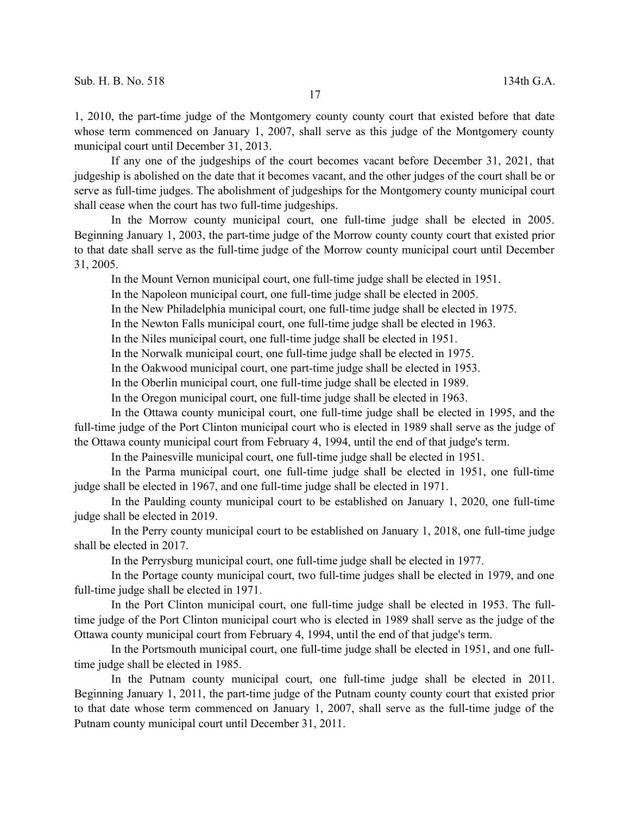1, 2010, the part-time judge of the Montgomery county county court that existed before that date whose term commenced on January 1, 2007, shall serve as this judge of the Montgomery county municipal court until December 31, 2013.

If any one of the judgeships of the court becomes vacant before December 31, 2021, that judgeship is abolished on the date that it becomes vacant, and the other judges of the court shall be or serve as full-time judges. The abolishment of judgeships for the Montgomery county municipal court shall cease when the court has two full-time judgeships.

In the Morrow county municipal court, one full-time judge shall be elected in 2005. Beginning January 1, 2003, the part-time judge of the Morrow county county court that existed prior to that date shall serve as the full-time judge of the Morrow county municipal court until December 31, 2005.

In the Mount Vernon municipal court, one full-time judge shall be elected in 1951.

In the Napoleon municipal court, one full-time judge shall be elected in 2005.

In the New Philadelphia municipal court, one full-time judge shall be elected in 1975.

In the Newton Falls municipal court, one full-time judge shall be elected in 1963.

In the Niles municipal court, one full-time judge shall be elected in 1951.

In the Norwalk municipal court, one full-time judge shall be elected in 1975.

In the Oakwood municipal court, one part-time judge shall be elected in 1953.

In the Oberlin municipal court, one full-time judge shall be elected in 1989.

In the Oregon municipal court, one full-time judge shall be elected in 1963.

In the Ottawa county municipal court, one full-time judge shall be elected in 1995, and the full-time judge of the Port Clinton municipal court who is elected in 1989 shall serve as the judge of the Ottawa county municipal court from February 4, 1994, until the end of that judge's term.

In the Painesville municipal court, one full-time judge shall be elected in 1951.

In the Parma municipal court, one full-time judge shall be elected in 1951, one full-time judge shall be elected in 1967, and one full-time judge shall be elected in 1971.

In the Paulding county municipal court to be established on January 1, 2020, one full-time judge shall be elected in 2019.

In the Perry county municipal court to be established on January 1, 2018, one full-time judge shall be elected in 2017.

In the Perrysburg municipal court, one full-time judge shall be elected in 1977.

In the Portage county municipal court, two full-time judges shall be elected in 1979, and one full-time judge shall be elected in 1971.

In the Port Clinton municipal court, one full-time judge shall be elected in 1953. The fulltime judge of the Port Clinton municipal court who is elected in 1989 shall serve as the judge of the Ottawa county municipal court from February 4, 1994, until the end of that judge's term.

In the Portsmouth municipal court, one full-time judge shall be elected in 1951, and one fulltime judge shall be elected in 1985.

In the Putnam county municipal court, one full-time judge shall be elected in 2011. Beginning January 1, 2011, the part-time judge of the Putnam county county court that existed prior to that date whose term commenced on January 1, 2007, shall serve as the full-time judge of the Putnam county municipal court until December 31, 2011.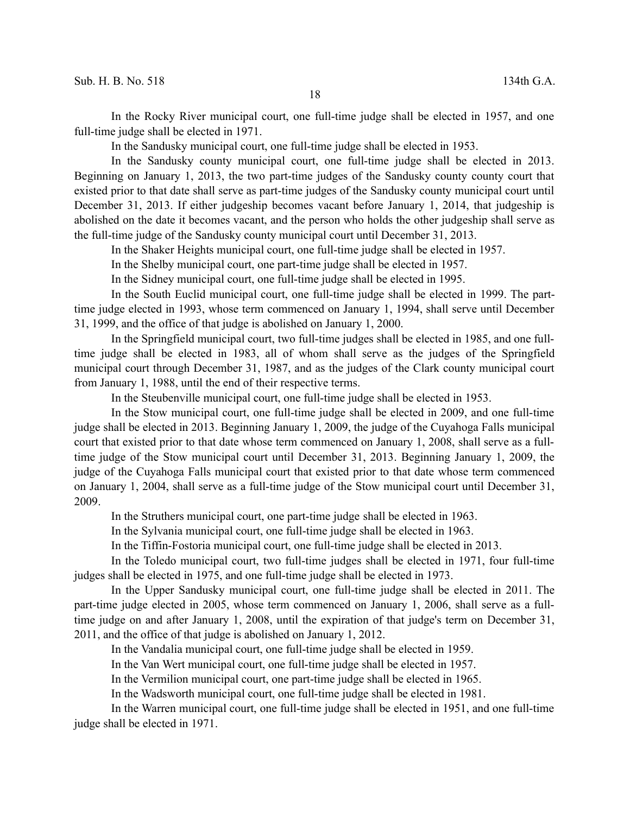In the Rocky River municipal court, one full-time judge shall be elected in 1957, and one full-time judge shall be elected in 1971.

In the Sandusky municipal court, one full-time judge shall be elected in 1953.

In the Sandusky county municipal court, one full-time judge shall be elected in 2013. Beginning on January 1, 2013, the two part-time judges of the Sandusky county county court that existed prior to that date shall serve as part-time judges of the Sandusky county municipal court until December 31, 2013. If either judgeship becomes vacant before January 1, 2014, that judgeship is abolished on the date it becomes vacant, and the person who holds the other judgeship shall serve as the full-time judge of the Sandusky county municipal court until December 31, 2013.

In the Shaker Heights municipal court, one full-time judge shall be elected in 1957.

In the Shelby municipal court, one part-time judge shall be elected in 1957.

In the Sidney municipal court, one full-time judge shall be elected in 1995.

In the South Euclid municipal court, one full-time judge shall be elected in 1999. The parttime judge elected in 1993, whose term commenced on January 1, 1994, shall serve until December 31, 1999, and the office of that judge is abolished on January 1, 2000.

In the Springfield municipal court, two full-time judges shall be elected in 1985, and one fulltime judge shall be elected in 1983, all of whom shall serve as the judges of the Springfield municipal court through December 31, 1987, and as the judges of the Clark county municipal court from January 1, 1988, until the end of their respective terms.

In the Steubenville municipal court, one full-time judge shall be elected in 1953.

In the Stow municipal court, one full-time judge shall be elected in 2009, and one full-time judge shall be elected in 2013. Beginning January 1, 2009, the judge of the Cuyahoga Falls municipal court that existed prior to that date whose term commenced on January 1, 2008, shall serve as a fulltime judge of the Stow municipal court until December 31, 2013. Beginning January 1, 2009, the judge of the Cuyahoga Falls municipal court that existed prior to that date whose term commenced on January 1, 2004, shall serve as a full-time judge of the Stow municipal court until December 31, 2009.

In the Struthers municipal court, one part-time judge shall be elected in 1963.

In the Sylvania municipal court, one full-time judge shall be elected in 1963.

In the Tiffin-Fostoria municipal court, one full-time judge shall be elected in 2013.

In the Toledo municipal court, two full-time judges shall be elected in 1971, four full-time judges shall be elected in 1975, and one full-time judge shall be elected in 1973.

In the Upper Sandusky municipal court, one full-time judge shall be elected in 2011. The part-time judge elected in 2005, whose term commenced on January 1, 2006, shall serve as a fulltime judge on and after January 1, 2008, until the expiration of that judge's term on December 31, 2011, and the office of that judge is abolished on January 1, 2012.

In the Vandalia municipal court, one full-time judge shall be elected in 1959.

In the Van Wert municipal court, one full-time judge shall be elected in 1957.

In the Vermilion municipal court, one part-time judge shall be elected in 1965.

In the Wadsworth municipal court, one full-time judge shall be elected in 1981.

In the Warren municipal court, one full-time judge shall be elected in 1951, and one full-time judge shall be elected in 1971.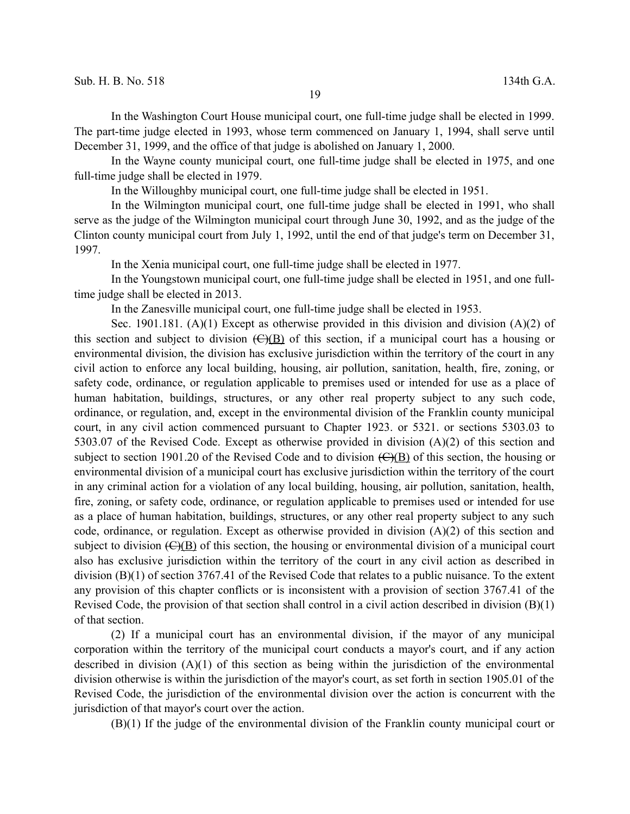In the Washington Court House municipal court, one full-time judge shall be elected in 1999. The part-time judge elected in 1993, whose term commenced on January 1, 1994, shall serve until December 31, 1999, and the office of that judge is abolished on January 1, 2000.

In the Wayne county municipal court, one full-time judge shall be elected in 1975, and one full-time judge shall be elected in 1979.

In the Willoughby municipal court, one full-time judge shall be elected in 1951.

In the Wilmington municipal court, one full-time judge shall be elected in 1991, who shall serve as the judge of the Wilmington municipal court through June 30, 1992, and as the judge of the Clinton county municipal court from July 1, 1992, until the end of that judge's term on December 31, 1997.

In the Xenia municipal court, one full-time judge shall be elected in 1977.

In the Youngstown municipal court, one full-time judge shall be elected in 1951, and one fulltime judge shall be elected in 2013.

In the Zanesville municipal court, one full-time judge shall be elected in 1953.

Sec. 1901.181. (A)(1) Except as otherwise provided in this division and division (A)(2) of this section and subject to division  $\left(\frac{C}{B}\right)$  of this section, if a municipal court has a housing or environmental division, the division has exclusive jurisdiction within the territory of the court in any civil action to enforce any local building, housing, air pollution, sanitation, health, fire, zoning, or safety code, ordinance, or regulation applicable to premises used or intended for use as a place of human habitation, buildings, structures, or any other real property subject to any such code, ordinance, or regulation, and, except in the environmental division of the Franklin county municipal court, in any civil action commenced pursuant to Chapter 1923. or 5321. or sections 5303.03 to 5303.07 of the Revised Code. Except as otherwise provided in division (A)(2) of this section and subject to section 1901.20 of the Revised Code and to division  $(\bigoplus)(B)$  of this section, the housing or environmental division of a municipal court has exclusive jurisdiction within the territory of the court in any criminal action for a violation of any local building, housing, air pollution, sanitation, health, fire, zoning, or safety code, ordinance, or regulation applicable to premises used or intended for use as a place of human habitation, buildings, structures, or any other real property subject to any such code, ordinance, or regulation. Except as otherwise provided in division  $(A)(2)$  of this section and subject to division  $(\Theta)(B)$  of this section, the housing or environmental division of a municipal court also has exclusive jurisdiction within the territory of the court in any civil action as described in division (B)(1) of section 3767.41 of the Revised Code that relates to a public nuisance. To the extent any provision of this chapter conflicts or is inconsistent with a provision of section 3767.41 of the Revised Code, the provision of that section shall control in a civil action described in division (B)(1) of that section.

(2) If a municipal court has an environmental division, if the mayor of any municipal corporation within the territory of the municipal court conducts a mayor's court, and if any action described in division  $(A)(1)$  of this section as being within the jurisdiction of the environmental division otherwise is within the jurisdiction of the mayor's court, as set forth in section 1905.01 of the Revised Code, the jurisdiction of the environmental division over the action is concurrent with the jurisdiction of that mayor's court over the action.

(B)(1) If the judge of the environmental division of the Franklin county municipal court or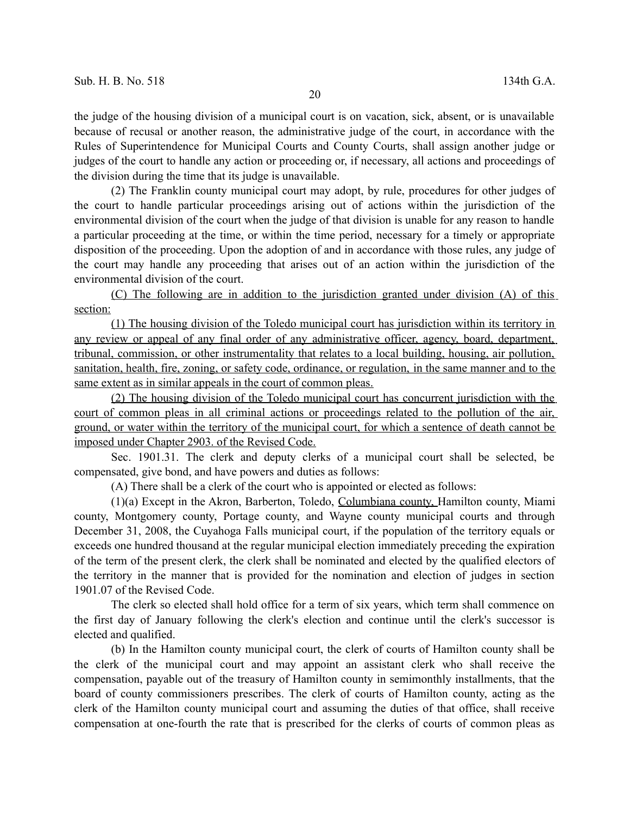the judge of the housing division of a municipal court is on vacation, sick, absent, or is unavailable because of recusal or another reason, the administrative judge of the court, in accordance with the Rules of Superintendence for Municipal Courts and County Courts, shall assign another judge or judges of the court to handle any action or proceeding or, if necessary, all actions and proceedings of the division during the time that its judge is unavailable.

(2) The Franklin county municipal court may adopt, by rule, procedures for other judges of the court to handle particular proceedings arising out of actions within the jurisdiction of the environmental division of the court when the judge of that division is unable for any reason to handle a particular proceeding at the time, or within the time period, necessary for a timely or appropriate disposition of the proceeding. Upon the adoption of and in accordance with those rules, any judge of the court may handle any proceeding that arises out of an action within the jurisdiction of the environmental division of the court.

(C) The following are in addition to the jurisdiction granted under division (A) of this section:

(1) The housing division of the Toledo municipal court has jurisdiction within its territory in any review or appeal of any final order of any administrative officer, agency, board, department, tribunal, commission, or other instrumentality that relates to a local building, housing, air pollution, sanitation, health, fire, zoning, or safety code, ordinance, or regulation, in the same manner and to the same extent as in similar appeals in the court of common pleas.

(2) The housing division of the Toledo municipal court has concurrent jurisdiction with the court of common pleas in all criminal actions or proceedings related to the pollution of the air, ground, or water within the territory of the municipal court, for which a sentence of death cannot be imposed under Chapter 2903. of the Revised Code.

Sec. 1901.31. The clerk and deputy clerks of a municipal court shall be selected, be compensated, give bond, and have powers and duties as follows:

(A) There shall be a clerk of the court who is appointed or elected as follows:

(1)(a) Except in the Akron, Barberton, Toledo, Columbiana county, Hamilton county, Miami county, Montgomery county, Portage county, and Wayne county municipal courts and through December 31, 2008, the Cuyahoga Falls municipal court, if the population of the territory equals or exceeds one hundred thousand at the regular municipal election immediately preceding the expiration of the term of the present clerk, the clerk shall be nominated and elected by the qualified electors of the territory in the manner that is provided for the nomination and election of judges in section 1901.07 of the Revised Code.

The clerk so elected shall hold office for a term of six years, which term shall commence on the first day of January following the clerk's election and continue until the clerk's successor is elected and qualified.

(b) In the Hamilton county municipal court, the clerk of courts of Hamilton county shall be the clerk of the municipal court and may appoint an assistant clerk who shall receive the compensation, payable out of the treasury of Hamilton county in semimonthly installments, that the board of county commissioners prescribes. The clerk of courts of Hamilton county, acting as the clerk of the Hamilton county municipal court and assuming the duties of that office, shall receive compensation at one-fourth the rate that is prescribed for the clerks of courts of common pleas as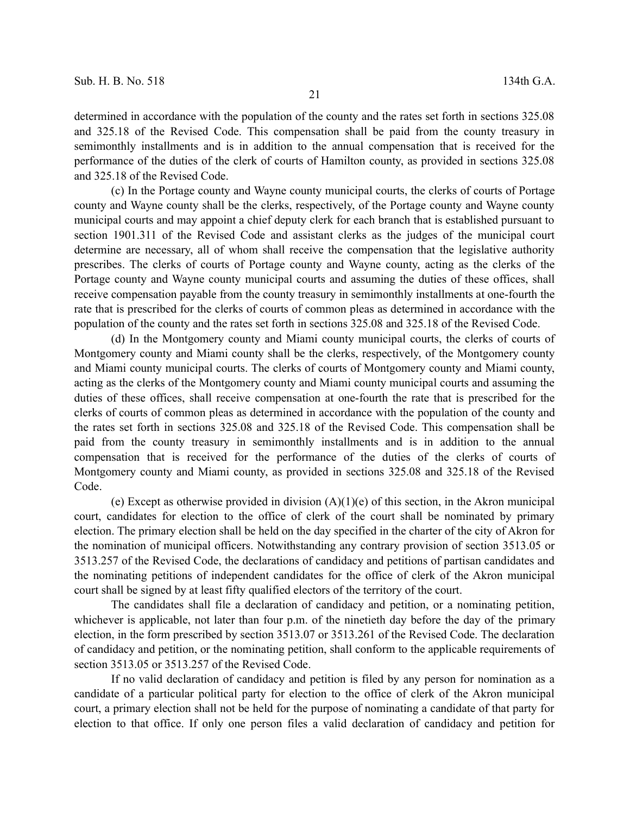determined in accordance with the population of the county and the rates set forth in sections 325.08 and 325.18 of the Revised Code. This compensation shall be paid from the county treasury in semimonthly installments and is in addition to the annual compensation that is received for the performance of the duties of the clerk of courts of Hamilton county, as provided in sections 325.08 and 325.18 of the Revised Code.

(c) In the Portage county and Wayne county municipal courts, the clerks of courts of Portage county and Wayne county shall be the clerks, respectively, of the Portage county and Wayne county municipal courts and may appoint a chief deputy clerk for each branch that is established pursuant to section 1901.311 of the Revised Code and assistant clerks as the judges of the municipal court determine are necessary, all of whom shall receive the compensation that the legislative authority prescribes. The clerks of courts of Portage county and Wayne county, acting as the clerks of the Portage county and Wayne county municipal courts and assuming the duties of these offices, shall receive compensation payable from the county treasury in semimonthly installments at one-fourth the rate that is prescribed for the clerks of courts of common pleas as determined in accordance with the population of the county and the rates set forth in sections 325.08 and 325.18 of the Revised Code.

(d) In the Montgomery county and Miami county municipal courts, the clerks of courts of Montgomery county and Miami county shall be the clerks, respectively, of the Montgomery county and Miami county municipal courts. The clerks of courts of Montgomery county and Miami county, acting as the clerks of the Montgomery county and Miami county municipal courts and assuming the duties of these offices, shall receive compensation at one-fourth the rate that is prescribed for the clerks of courts of common pleas as determined in accordance with the population of the county and the rates set forth in sections 325.08 and 325.18 of the Revised Code. This compensation shall be paid from the county treasury in semimonthly installments and is in addition to the annual compensation that is received for the performance of the duties of the clerks of courts of Montgomery county and Miami county, as provided in sections 325.08 and 325.18 of the Revised Code.

(e) Except as otherwise provided in division  $(A)(1)(e)$  of this section, in the Akron municipal court, candidates for election to the office of clerk of the court shall be nominated by primary election. The primary election shall be held on the day specified in the charter of the city of Akron for the nomination of municipal officers. Notwithstanding any contrary provision of section 3513.05 or 3513.257 of the Revised Code, the declarations of candidacy and petitions of partisan candidates and the nominating petitions of independent candidates for the office of clerk of the Akron municipal court shall be signed by at least fifty qualified electors of the territory of the court.

The candidates shall file a declaration of candidacy and petition, or a nominating petition, whichever is applicable, not later than four p.m. of the ninetieth day before the day of the primary election, in the form prescribed by section 3513.07 or 3513.261 of the Revised Code. The declaration of candidacy and petition, or the nominating petition, shall conform to the applicable requirements of section 3513.05 or 3513.257 of the Revised Code.

If no valid declaration of candidacy and petition is filed by any person for nomination as a candidate of a particular political party for election to the office of clerk of the Akron municipal court, a primary election shall not be held for the purpose of nominating a candidate of that party for election to that office. If only one person files a valid declaration of candidacy and petition for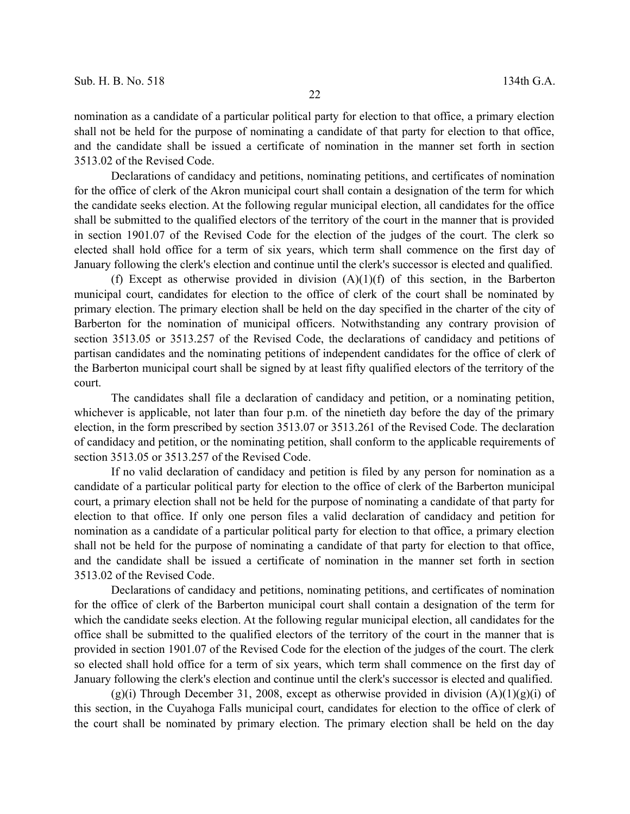nomination as a candidate of a particular political party for election to that office, a primary election shall not be held for the purpose of nominating a candidate of that party for election to that office, and the candidate shall be issued a certificate of nomination in the manner set forth in section 3513.02 of the Revised Code.

Declarations of candidacy and petitions, nominating petitions, and certificates of nomination for the office of clerk of the Akron municipal court shall contain a designation of the term for which the candidate seeks election. At the following regular municipal election, all candidates for the office shall be submitted to the qualified electors of the territory of the court in the manner that is provided in section 1901.07 of the Revised Code for the election of the judges of the court. The clerk so elected shall hold office for a term of six years, which term shall commence on the first day of January following the clerk's election and continue until the clerk's successor is elected and qualified.

(f) Except as otherwise provided in division (A)(1)(f) of this section, in the Barberton municipal court, candidates for election to the office of clerk of the court shall be nominated by primary election. The primary election shall be held on the day specified in the charter of the city of Barberton for the nomination of municipal officers. Notwithstanding any contrary provision of section 3513.05 or 3513.257 of the Revised Code, the declarations of candidacy and petitions of partisan candidates and the nominating petitions of independent candidates for the office of clerk of the Barberton municipal court shall be signed by at least fifty qualified electors of the territory of the court.

The candidates shall file a declaration of candidacy and petition, or a nominating petition, whichever is applicable, not later than four p.m. of the ninetieth day before the day of the primary election, in the form prescribed by section 3513.07 or 3513.261 of the Revised Code. The declaration of candidacy and petition, or the nominating petition, shall conform to the applicable requirements of section 3513.05 or 3513.257 of the Revised Code.

If no valid declaration of candidacy and petition is filed by any person for nomination as a candidate of a particular political party for election to the office of clerk of the Barberton municipal court, a primary election shall not be held for the purpose of nominating a candidate of that party for election to that office. If only one person files a valid declaration of candidacy and petition for nomination as a candidate of a particular political party for election to that office, a primary election shall not be held for the purpose of nominating a candidate of that party for election to that office, and the candidate shall be issued a certificate of nomination in the manner set forth in section 3513.02 of the Revised Code.

Declarations of candidacy and petitions, nominating petitions, and certificates of nomination for the office of clerk of the Barberton municipal court shall contain a designation of the term for which the candidate seeks election. At the following regular municipal election, all candidates for the office shall be submitted to the qualified electors of the territory of the court in the manner that is provided in section 1901.07 of the Revised Code for the election of the judges of the court. The clerk so elected shall hold office for a term of six years, which term shall commence on the first day of January following the clerk's election and continue until the clerk's successor is elected and qualified.

 $(g)(i)$  Through December 31, 2008, except as otherwise provided in division  $(A)(1)(g)(i)$  of this section, in the Cuyahoga Falls municipal court, candidates for election to the office of clerk of the court shall be nominated by primary election. The primary election shall be held on the day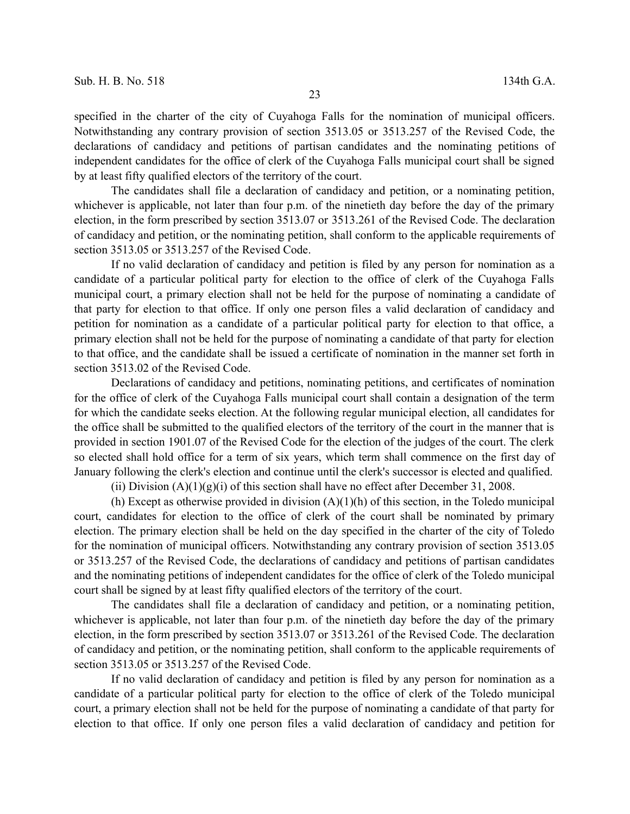specified in the charter of the city of Cuyahoga Falls for the nomination of municipal officers. Notwithstanding any contrary provision of section 3513.05 or 3513.257 of the Revised Code, the declarations of candidacy and petitions of partisan candidates and the nominating petitions of independent candidates for the office of clerk of the Cuyahoga Falls municipal court shall be signed by at least fifty qualified electors of the territory of the court.

The candidates shall file a declaration of candidacy and petition, or a nominating petition, whichever is applicable, not later than four p.m. of the ninetieth day before the day of the primary election, in the form prescribed by section 3513.07 or 3513.261 of the Revised Code. The declaration of candidacy and petition, or the nominating petition, shall conform to the applicable requirements of section 3513.05 or 3513.257 of the Revised Code.

If no valid declaration of candidacy and petition is filed by any person for nomination as a candidate of a particular political party for election to the office of clerk of the Cuyahoga Falls municipal court, a primary election shall not be held for the purpose of nominating a candidate of that party for election to that office. If only one person files a valid declaration of candidacy and petition for nomination as a candidate of a particular political party for election to that office, a primary election shall not be held for the purpose of nominating a candidate of that party for election to that office, and the candidate shall be issued a certificate of nomination in the manner set forth in section 3513.02 of the Revised Code.

Declarations of candidacy and petitions, nominating petitions, and certificates of nomination for the office of clerk of the Cuyahoga Falls municipal court shall contain a designation of the term for which the candidate seeks election. At the following regular municipal election, all candidates for the office shall be submitted to the qualified electors of the territory of the court in the manner that is provided in section 1901.07 of the Revised Code for the election of the judges of the court. The clerk so elected shall hold office for a term of six years, which term shall commence on the first day of January following the clerk's election and continue until the clerk's successor is elected and qualified.

(ii) Division  $(A)(1)(g)(i)$  of this section shall have no effect after December 31, 2008.

(h) Except as otherwise provided in division  $(A)(1)(h)$  of this section, in the Toledo municipal court, candidates for election to the office of clerk of the court shall be nominated by primary election. The primary election shall be held on the day specified in the charter of the city of Toledo for the nomination of municipal officers. Notwithstanding any contrary provision of section 3513.05 or 3513.257 of the Revised Code, the declarations of candidacy and petitions of partisan candidates and the nominating petitions of independent candidates for the office of clerk of the Toledo municipal court shall be signed by at least fifty qualified electors of the territory of the court.

The candidates shall file a declaration of candidacy and petition, or a nominating petition, whichever is applicable, not later than four p.m. of the ninetieth day before the day of the primary election, in the form prescribed by section 3513.07 or 3513.261 of the Revised Code. The declaration of candidacy and petition, or the nominating petition, shall conform to the applicable requirements of section 3513.05 or 3513.257 of the Revised Code.

If no valid declaration of candidacy and petition is filed by any person for nomination as a candidate of a particular political party for election to the office of clerk of the Toledo municipal court, a primary election shall not be held for the purpose of nominating a candidate of that party for election to that office. If only one person files a valid declaration of candidacy and petition for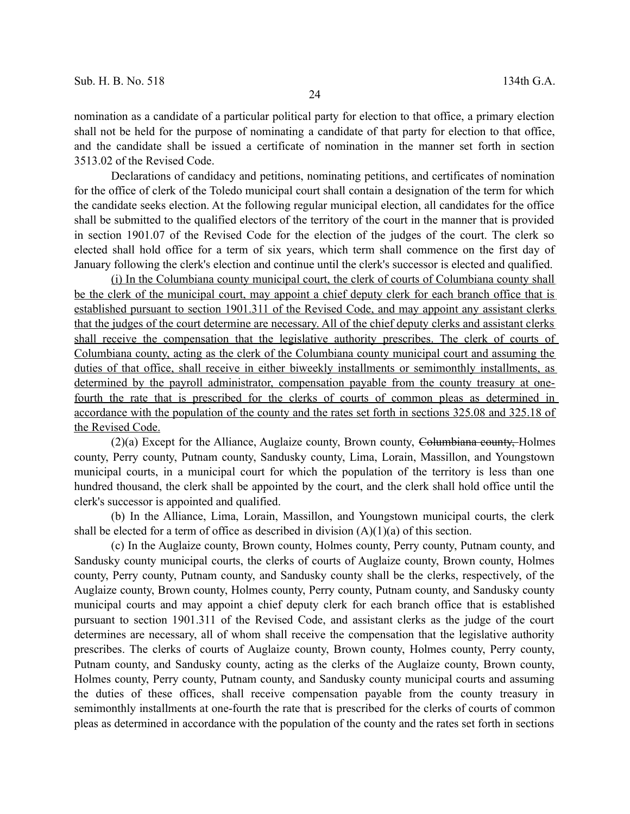nomination as a candidate of a particular political party for election to that office, a primary election shall not be held for the purpose of nominating a candidate of that party for election to that office, and the candidate shall be issued a certificate of nomination in the manner set forth in section 3513.02 of the Revised Code.

Declarations of candidacy and petitions, nominating petitions, and certificates of nomination for the office of clerk of the Toledo municipal court shall contain a designation of the term for which the candidate seeks election. At the following regular municipal election, all candidates for the office shall be submitted to the qualified electors of the territory of the court in the manner that is provided in section 1901.07 of the Revised Code for the election of the judges of the court. The clerk so elected shall hold office for a term of six years, which term shall commence on the first day of January following the clerk's election and continue until the clerk's successor is elected and qualified.

(i) In the Columbiana county municipal court, the clerk of courts of Columbiana county shall be the clerk of the municipal court, may appoint a chief deputy clerk for each branch office that is established pursuant to section 1901.311 of the Revised Code, and may appoint any assistant clerks that the judges of the court determine are necessary. All of the chief deputy clerks and assistant clerks shall receive the compensation that the legislative authority prescribes. The clerk of courts of Columbiana county, acting as the clerk of the Columbiana county municipal court and assuming the duties of that office, shall receive in either biweekly installments or semimonthly installments, as determined by the payroll administrator, compensation payable from the county treasury at onefourth the rate that is prescribed for the clerks of courts of common pleas as determined in accordance with the population of the county and the rates set forth in sections 325.08 and 325.18 of the Revised Code.

 $(2)(a)$  Except for the Alliance, Auglaize county, Brown county, Columbiana county, Holmes county, Perry county, Putnam county, Sandusky county, Lima, Lorain, Massillon, and Youngstown municipal courts, in a municipal court for which the population of the territory is less than one hundred thousand, the clerk shall be appointed by the court, and the clerk shall hold office until the clerk's successor is appointed and qualified.

(b) In the Alliance, Lima, Lorain, Massillon, and Youngstown municipal courts, the clerk shall be elected for a term of office as described in division  $(A)(1)(a)$  of this section.

(c) In the Auglaize county, Brown county, Holmes county, Perry county, Putnam county, and Sandusky county municipal courts, the clerks of courts of Auglaize county, Brown county, Holmes county, Perry county, Putnam county, and Sandusky county shall be the clerks, respectively, of the Auglaize county, Brown county, Holmes county, Perry county, Putnam county, and Sandusky county municipal courts and may appoint a chief deputy clerk for each branch office that is established pursuant to section 1901.311 of the Revised Code, and assistant clerks as the judge of the court determines are necessary, all of whom shall receive the compensation that the legislative authority prescribes. The clerks of courts of Auglaize county, Brown county, Holmes county, Perry county, Putnam county, and Sandusky county, acting as the clerks of the Auglaize county, Brown county, Holmes county, Perry county, Putnam county, and Sandusky county municipal courts and assuming the duties of these offices, shall receive compensation payable from the county treasury in semimonthly installments at one-fourth the rate that is prescribed for the clerks of courts of common pleas as determined in accordance with the population of the county and the rates set forth in sections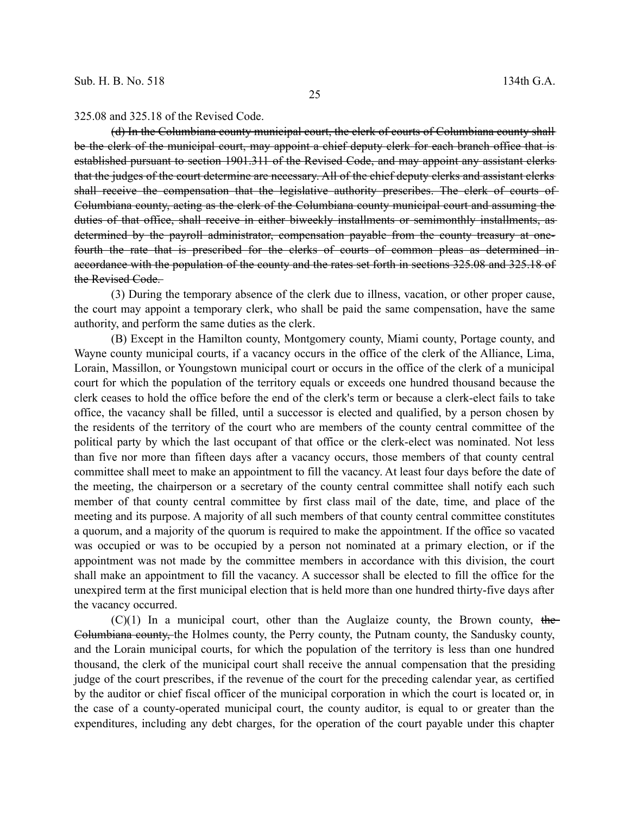325.08 and 325.18 of the Revised Code.

(d) In the Columbiana county municipal court, the clerk of courts of Columbiana county shall be the clerk of the municipal court, may appoint a chief deputy clerk for each branch office that is established pursuant to section 1901.311 of the Revised Code, and may appoint any assistant clerks that the judges of the court determine are necessary. All of the chief deputy clerks and assistant clerks shall receive the compensation that the legislative authority prescribes. The clerk of courts of Columbiana county, acting as the clerk of the Columbiana county municipal court and assuming the duties of that office, shall receive in either biweekly installments or semimonthly installments, as determined by the payroll administrator, compensation payable from the county treasury at onefourth the rate that is prescribed for the clerks of courts of common pleas as determined in accordance with the population of the county and the rates set forth in sections 325.08 and 325.18 of the Revised Code.

(3) During the temporary absence of the clerk due to illness, vacation, or other proper cause, the court may appoint a temporary clerk, who shall be paid the same compensation, have the same authority, and perform the same duties as the clerk.

(B) Except in the Hamilton county, Montgomery county, Miami county, Portage county, and Wayne county municipal courts, if a vacancy occurs in the office of the clerk of the Alliance, Lima, Lorain, Massillon, or Youngstown municipal court or occurs in the office of the clerk of a municipal court for which the population of the territory equals or exceeds one hundred thousand because the clerk ceases to hold the office before the end of the clerk's term or because a clerk-elect fails to take office, the vacancy shall be filled, until a successor is elected and qualified, by a person chosen by the residents of the territory of the court who are members of the county central committee of the political party by which the last occupant of that office or the clerk-elect was nominated. Not less than five nor more than fifteen days after a vacancy occurs, those members of that county central committee shall meet to make an appointment to fill the vacancy. At least four days before the date of the meeting, the chairperson or a secretary of the county central committee shall notify each such member of that county central committee by first class mail of the date, time, and place of the meeting and its purpose. A majority of all such members of that county central committee constitutes a quorum, and a majority of the quorum is required to make the appointment. If the office so vacated was occupied or was to be occupied by a person not nominated at a primary election, or if the appointment was not made by the committee members in accordance with this division, the court shall make an appointment to fill the vacancy. A successor shall be elected to fill the office for the unexpired term at the first municipal election that is held more than one hundred thirty-five days after the vacancy occurred.

 $(C)(1)$  In a municipal court, other than the Auglaize county, the Brown county, the Columbiana county, the Holmes county, the Perry county, the Putnam county, the Sandusky county, and the Lorain municipal courts, for which the population of the territory is less than one hundred thousand, the clerk of the municipal court shall receive the annual compensation that the presiding judge of the court prescribes, if the revenue of the court for the preceding calendar year, as certified by the auditor or chief fiscal officer of the municipal corporation in which the court is located or, in the case of a county-operated municipal court, the county auditor, is equal to or greater than the expenditures, including any debt charges, for the operation of the court payable under this chapter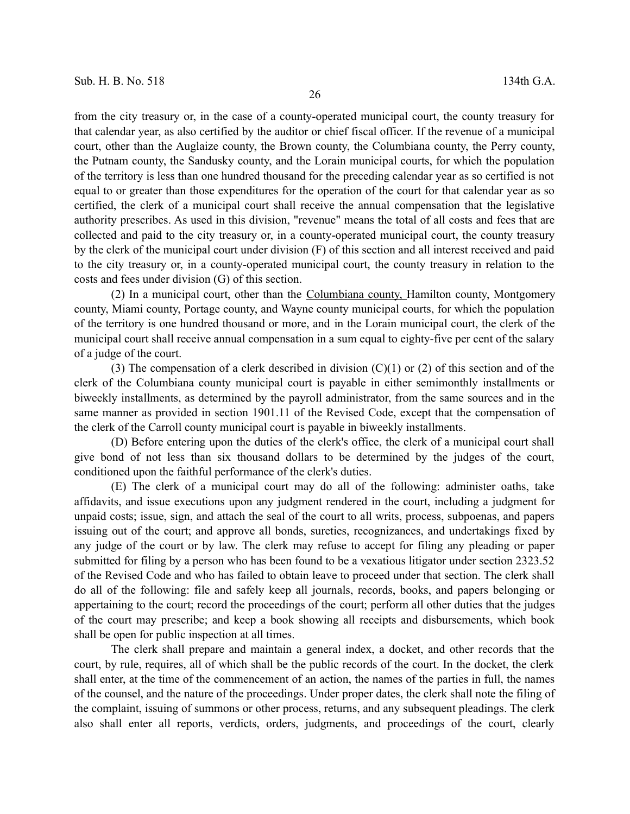from the city treasury or, in the case of a county-operated municipal court, the county treasury for that calendar year, as also certified by the auditor or chief fiscal officer. If the revenue of a municipal court, other than the Auglaize county, the Brown county, the Columbiana county, the Perry county, the Putnam county, the Sandusky county, and the Lorain municipal courts, for which the population of the territory is less than one hundred thousand for the preceding calendar year as so certified is not equal to or greater than those expenditures for the operation of the court for that calendar year as so certified, the clerk of a municipal court shall receive the annual compensation that the legislative authority prescribes. As used in this division, "revenue" means the total of all costs and fees that are collected and paid to the city treasury or, in a county-operated municipal court, the county treasury by the clerk of the municipal court under division (F) of this section and all interest received and paid to the city treasury or, in a county-operated municipal court, the county treasury in relation to the costs and fees under division (G) of this section.

(2) In a municipal court, other than the Columbiana county, Hamilton county, Montgomery county, Miami county, Portage county, and Wayne county municipal courts, for which the population of the territory is one hundred thousand or more, and in the Lorain municipal court, the clerk of the municipal court shall receive annual compensation in a sum equal to eighty-five per cent of the salary of a judge of the court.

(3) The compensation of a clerk described in division  $(C)(1)$  or (2) of this section and of the clerk of the Columbiana county municipal court is payable in either semimonthly installments or biweekly installments, as determined by the payroll administrator, from the same sources and in the same manner as provided in section 1901.11 of the Revised Code, except that the compensation of the clerk of the Carroll county municipal court is payable in biweekly installments.

(D) Before entering upon the duties of the clerk's office, the clerk of a municipal court shall give bond of not less than six thousand dollars to be determined by the judges of the court, conditioned upon the faithful performance of the clerk's duties.

(E) The clerk of a municipal court may do all of the following: administer oaths, take affidavits, and issue executions upon any judgment rendered in the court, including a judgment for unpaid costs; issue, sign, and attach the seal of the court to all writs, process, subpoenas, and papers issuing out of the court; and approve all bonds, sureties, recognizances, and undertakings fixed by any judge of the court or by law. The clerk may refuse to accept for filing any pleading or paper submitted for filing by a person who has been found to be a vexatious litigator under section 2323.52 of the Revised Code and who has failed to obtain leave to proceed under that section. The clerk shall do all of the following: file and safely keep all journals, records, books, and papers belonging or appertaining to the court; record the proceedings of the court; perform all other duties that the judges of the court may prescribe; and keep a book showing all receipts and disbursements, which book shall be open for public inspection at all times.

The clerk shall prepare and maintain a general index, a docket, and other records that the court, by rule, requires, all of which shall be the public records of the court. In the docket, the clerk shall enter, at the time of the commencement of an action, the names of the parties in full, the names of the counsel, and the nature of the proceedings. Under proper dates, the clerk shall note the filing of the complaint, issuing of summons or other process, returns, and any subsequent pleadings. The clerk also shall enter all reports, verdicts, orders, judgments, and proceedings of the court, clearly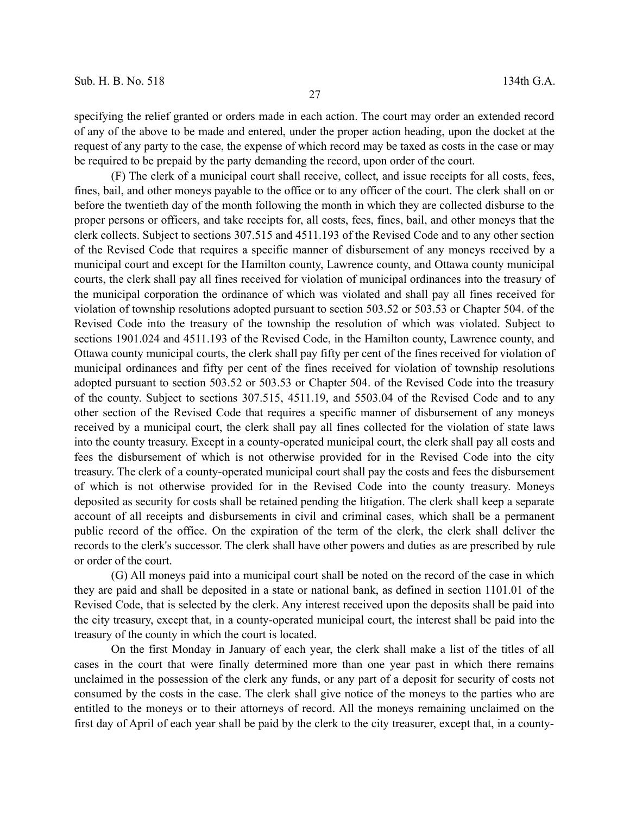specifying the relief granted or orders made in each action. The court may order an extended record of any of the above to be made and entered, under the proper action heading, upon the docket at the request of any party to the case, the expense of which record may be taxed as costs in the case or may be required to be prepaid by the party demanding the record, upon order of the court.

(F) The clerk of a municipal court shall receive, collect, and issue receipts for all costs, fees, fines, bail, and other moneys payable to the office or to any officer of the court. The clerk shall on or before the twentieth day of the month following the month in which they are collected disburse to the proper persons or officers, and take receipts for, all costs, fees, fines, bail, and other moneys that the clerk collects. Subject to sections 307.515 and 4511.193 of the Revised Code and to any other section of the Revised Code that requires a specific manner of disbursement of any moneys received by a municipal court and except for the Hamilton county, Lawrence county, and Ottawa county municipal courts, the clerk shall pay all fines received for violation of municipal ordinances into the treasury of the municipal corporation the ordinance of which was violated and shall pay all fines received for violation of township resolutions adopted pursuant to section 503.52 or 503.53 or Chapter 504. of the Revised Code into the treasury of the township the resolution of which was violated. Subject to sections 1901.024 and 4511.193 of the Revised Code, in the Hamilton county, Lawrence county, and Ottawa county municipal courts, the clerk shall pay fifty per cent of the fines received for violation of municipal ordinances and fifty per cent of the fines received for violation of township resolutions adopted pursuant to section 503.52 or 503.53 or Chapter 504. of the Revised Code into the treasury of the county. Subject to sections 307.515, 4511.19, and 5503.04 of the Revised Code and to any other section of the Revised Code that requires a specific manner of disbursement of any moneys received by a municipal court, the clerk shall pay all fines collected for the violation of state laws into the county treasury. Except in a county-operated municipal court, the clerk shall pay all costs and fees the disbursement of which is not otherwise provided for in the Revised Code into the city treasury. The clerk of a county-operated municipal court shall pay the costs and fees the disbursement of which is not otherwise provided for in the Revised Code into the county treasury. Moneys deposited as security for costs shall be retained pending the litigation. The clerk shall keep a separate account of all receipts and disbursements in civil and criminal cases, which shall be a permanent public record of the office. On the expiration of the term of the clerk, the clerk shall deliver the records to the clerk's successor. The clerk shall have other powers and duties as are prescribed by rule or order of the court.

(G) All moneys paid into a municipal court shall be noted on the record of the case in which they are paid and shall be deposited in a state or national bank, as defined in section 1101.01 of the Revised Code, that is selected by the clerk. Any interest received upon the deposits shall be paid into the city treasury, except that, in a county-operated municipal court, the interest shall be paid into the treasury of the county in which the court is located.

On the first Monday in January of each year, the clerk shall make a list of the titles of all cases in the court that were finally determined more than one year past in which there remains unclaimed in the possession of the clerk any funds, or any part of a deposit for security of costs not consumed by the costs in the case. The clerk shall give notice of the moneys to the parties who are entitled to the moneys or to their attorneys of record. All the moneys remaining unclaimed on the first day of April of each year shall be paid by the clerk to the city treasurer, except that, in a county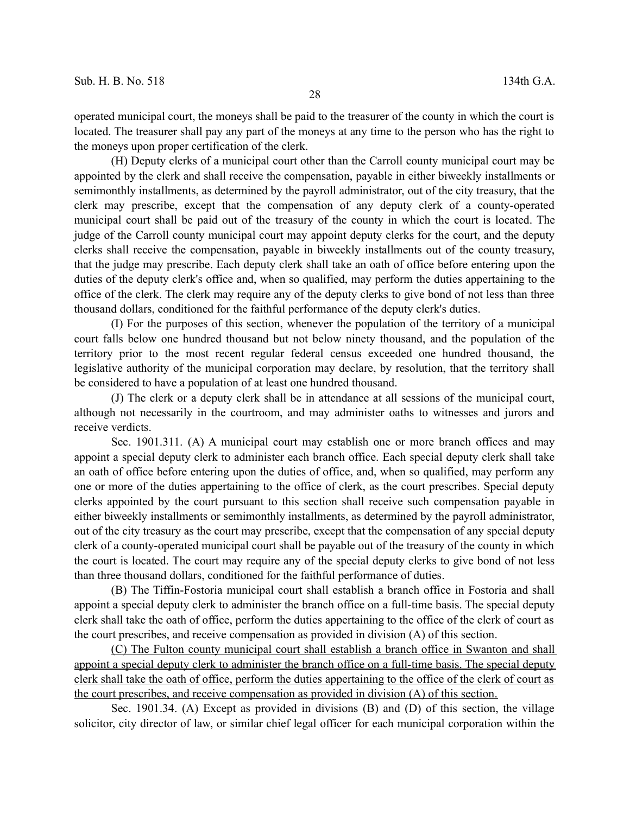operated municipal court, the moneys shall be paid to the treasurer of the county in which the court is located. The treasurer shall pay any part of the moneys at any time to the person who has the right to the moneys upon proper certification of the clerk.

(H) Deputy clerks of a municipal court other than the Carroll county municipal court may be appointed by the clerk and shall receive the compensation, payable in either biweekly installments or semimonthly installments, as determined by the payroll administrator, out of the city treasury, that the clerk may prescribe, except that the compensation of any deputy clerk of a county-operated municipal court shall be paid out of the treasury of the county in which the court is located. The judge of the Carroll county municipal court may appoint deputy clerks for the court, and the deputy clerks shall receive the compensation, payable in biweekly installments out of the county treasury, that the judge may prescribe. Each deputy clerk shall take an oath of office before entering upon the duties of the deputy clerk's office and, when so qualified, may perform the duties appertaining to the office of the clerk. The clerk may require any of the deputy clerks to give bond of not less than three thousand dollars, conditioned for the faithful performance of the deputy clerk's duties.

(I) For the purposes of this section, whenever the population of the territory of a municipal court falls below one hundred thousand but not below ninety thousand, and the population of the territory prior to the most recent regular federal census exceeded one hundred thousand, the legislative authority of the municipal corporation may declare, by resolution, that the territory shall be considered to have a population of at least one hundred thousand.

(J) The clerk or a deputy clerk shall be in attendance at all sessions of the municipal court, although not necessarily in the courtroom, and may administer oaths to witnesses and jurors and receive verdicts.

Sec. 1901.311. (A) A municipal court may establish one or more branch offices and may appoint a special deputy clerk to administer each branch office. Each special deputy clerk shall take an oath of office before entering upon the duties of office, and, when so qualified, may perform any one or more of the duties appertaining to the office of clerk, as the court prescribes. Special deputy clerks appointed by the court pursuant to this section shall receive such compensation payable in either biweekly installments or semimonthly installments, as determined by the payroll administrator, out of the city treasury as the court may prescribe, except that the compensation of any special deputy clerk of a county-operated municipal court shall be payable out of the treasury of the county in which the court is located. The court may require any of the special deputy clerks to give bond of not less than three thousand dollars, conditioned for the faithful performance of duties.

(B) The Tiffin-Fostoria municipal court shall establish a branch office in Fostoria and shall appoint a special deputy clerk to administer the branch office on a full-time basis. The special deputy clerk shall take the oath of office, perform the duties appertaining to the office of the clerk of court as the court prescribes, and receive compensation as provided in division (A) of this section.

(C) The Fulton county municipal court shall establish a branch office in Swanton and shall appoint a special deputy clerk to administer the branch office on a full-time basis. The special deputy clerk shall take the oath of office, perform the duties appertaining to the office of the clerk of court as the court prescribes, and receive compensation as provided in division (A) of this section.

Sec. 1901.34. (A) Except as provided in divisions (B) and (D) of this section, the village solicitor, city director of law, or similar chief legal officer for each municipal corporation within the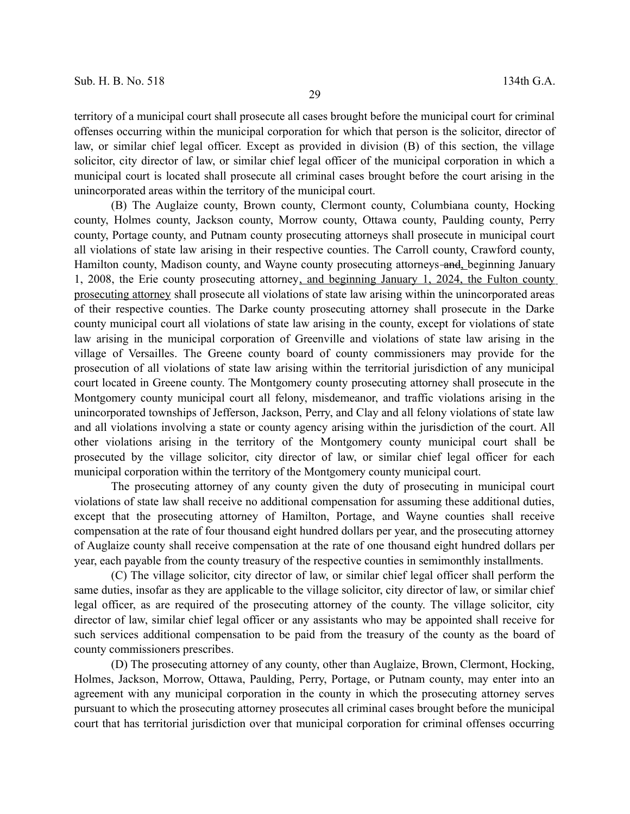territory of a municipal court shall prosecute all cases brought before the municipal court for criminal offenses occurring within the municipal corporation for which that person is the solicitor, director of law, or similar chief legal officer. Except as provided in division (B) of this section, the village solicitor, city director of law, or similar chief legal officer of the municipal corporation in which a municipal court is located shall prosecute all criminal cases brought before the court arising in the unincorporated areas within the territory of the municipal court.

(B) The Auglaize county, Brown county, Clermont county, Columbiana county, Hocking county, Holmes county, Jackson county, Morrow county, Ottawa county, Paulding county, Perry county, Portage county, and Putnam county prosecuting attorneys shall prosecute in municipal court all violations of state law arising in their respective counties. The Carroll county, Crawford county, Hamilton county, Madison county, and Wayne county prosecuting attorneys-and beginning January 1, 2008, the Erie county prosecuting attorney, and beginning January 1, 2024, the Fulton county prosecuting attorney shall prosecute all violations of state law arising within the unincorporated areas of their respective counties. The Darke county prosecuting attorney shall prosecute in the Darke county municipal court all violations of state law arising in the county, except for violations of state law arising in the municipal corporation of Greenville and violations of state law arising in the village of Versailles. The Greene county board of county commissioners may provide for the prosecution of all violations of state law arising within the territorial jurisdiction of any municipal court located in Greene county. The Montgomery county prosecuting attorney shall prosecute in the Montgomery county municipal court all felony, misdemeanor, and traffic violations arising in the unincorporated townships of Jefferson, Jackson, Perry, and Clay and all felony violations of state law and all violations involving a state or county agency arising within the jurisdiction of the court. All other violations arising in the territory of the Montgomery county municipal court shall be prosecuted by the village solicitor, city director of law, or similar chief legal officer for each municipal corporation within the territory of the Montgomery county municipal court.

The prosecuting attorney of any county given the duty of prosecuting in municipal court violations of state law shall receive no additional compensation for assuming these additional duties, except that the prosecuting attorney of Hamilton, Portage, and Wayne counties shall receive compensation at the rate of four thousand eight hundred dollars per year, and the prosecuting attorney of Auglaize county shall receive compensation at the rate of one thousand eight hundred dollars per year, each payable from the county treasury of the respective counties in semimonthly installments.

(C) The village solicitor, city director of law, or similar chief legal officer shall perform the same duties, insofar as they are applicable to the village solicitor, city director of law, or similar chief legal officer, as are required of the prosecuting attorney of the county. The village solicitor, city director of law, similar chief legal officer or any assistants who may be appointed shall receive for such services additional compensation to be paid from the treasury of the county as the board of county commissioners prescribes.

(D) The prosecuting attorney of any county, other than Auglaize, Brown, Clermont, Hocking, Holmes, Jackson, Morrow, Ottawa, Paulding, Perry, Portage, or Putnam county, may enter into an agreement with any municipal corporation in the county in which the prosecuting attorney serves pursuant to which the prosecuting attorney prosecutes all criminal cases brought before the municipal court that has territorial jurisdiction over that municipal corporation for criminal offenses occurring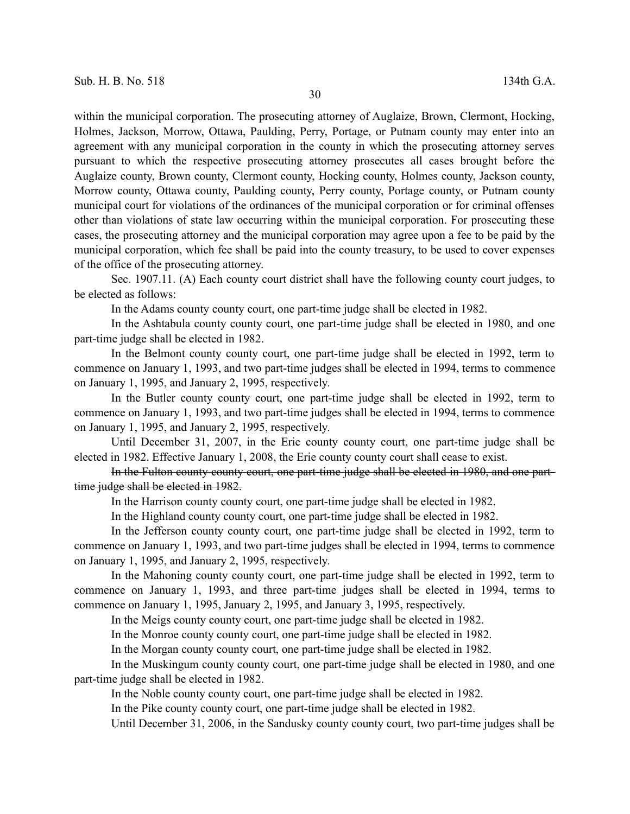within the municipal corporation. The prosecuting attorney of Auglaize, Brown, Clermont, Hocking, Holmes, Jackson, Morrow, Ottawa, Paulding, Perry, Portage, or Putnam county may enter into an agreement with any municipal corporation in the county in which the prosecuting attorney serves pursuant to which the respective prosecuting attorney prosecutes all cases brought before the Auglaize county, Brown county, Clermont county, Hocking county, Holmes county, Jackson county, Morrow county, Ottawa county, Paulding county, Perry county, Portage county, or Putnam county municipal court for violations of the ordinances of the municipal corporation or for criminal offenses other than violations of state law occurring within the municipal corporation. For prosecuting these cases, the prosecuting attorney and the municipal corporation may agree upon a fee to be paid by the municipal corporation, which fee shall be paid into the county treasury, to be used to cover expenses of the office of the prosecuting attorney.

Sec. 1907.11. (A) Each county court district shall have the following county court judges, to be elected as follows:

In the Adams county county court, one part-time judge shall be elected in 1982.

In the Ashtabula county county court, one part-time judge shall be elected in 1980, and one part-time judge shall be elected in 1982.

In the Belmont county county court, one part-time judge shall be elected in 1992, term to commence on January 1, 1993, and two part-time judges shall be elected in 1994, terms to commence on January 1, 1995, and January 2, 1995, respectively.

In the Butler county county court, one part-time judge shall be elected in 1992, term to commence on January 1, 1993, and two part-time judges shall be elected in 1994, terms to commence on January 1, 1995, and January 2, 1995, respectively.

Until December 31, 2007, in the Erie county county court, one part-time judge shall be elected in 1982. Effective January 1, 2008, the Erie county county court shall cease to exist.

In the Fulton county county court, one part-time judge shall be elected in 1980, and one parttime judge shall be elected in 1982.

In the Harrison county county court, one part-time judge shall be elected in 1982.

In the Highland county county court, one part-time judge shall be elected in 1982.

In the Jefferson county county court, one part-time judge shall be elected in 1992, term to commence on January 1, 1993, and two part-time judges shall be elected in 1994, terms to commence on January 1, 1995, and January 2, 1995, respectively.

In the Mahoning county county court, one part-time judge shall be elected in 1992, term to commence on January 1, 1993, and three part-time judges shall be elected in 1994, terms to commence on January 1, 1995, January 2, 1995, and January 3, 1995, respectively.

In the Meigs county county court, one part-time judge shall be elected in 1982.

In the Monroe county county court, one part-time judge shall be elected in 1982.

In the Morgan county county court, one part-time judge shall be elected in 1982.

In the Muskingum county county court, one part-time judge shall be elected in 1980, and one part-time judge shall be elected in 1982.

In the Noble county county court, one part-time judge shall be elected in 1982.

In the Pike county county court, one part-time judge shall be elected in 1982.

Until December 31, 2006, in the Sandusky county county court, two part-time judges shall be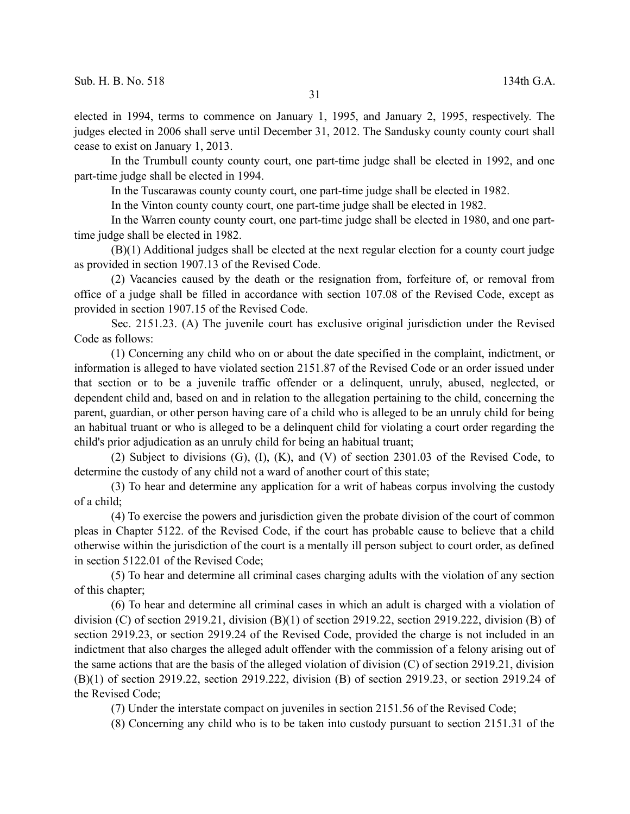elected in 1994, terms to commence on January 1, 1995, and January 2, 1995, respectively. The judges elected in 2006 shall serve until December 31, 2012. The Sandusky county county court shall cease to exist on January 1, 2013.

In the Trumbull county county court, one part-time judge shall be elected in 1992, and one part-time judge shall be elected in 1994.

In the Tuscarawas county county court, one part-time judge shall be elected in 1982.

In the Vinton county county court, one part-time judge shall be elected in 1982.

In the Warren county county court, one part-time judge shall be elected in 1980, and one parttime judge shall be elected in 1982.

(B)(1) Additional judges shall be elected at the next regular election for a county court judge as provided in section 1907.13 of the Revised Code.

(2) Vacancies caused by the death or the resignation from, forfeiture of, or removal from office of a judge shall be filled in accordance with section 107.08 of the Revised Code, except as provided in section 1907.15 of the Revised Code.

Sec. 2151.23. (A) The juvenile court has exclusive original jurisdiction under the Revised Code as follows:

(1) Concerning any child who on or about the date specified in the complaint, indictment, or information is alleged to have violated section 2151.87 of the Revised Code or an order issued under that section or to be a juvenile traffic offender or a delinquent, unruly, abused, neglected, or dependent child and, based on and in relation to the allegation pertaining to the child, concerning the parent, guardian, or other person having care of a child who is alleged to be an unruly child for being an habitual truant or who is alleged to be a delinquent child for violating a court order regarding the child's prior adjudication as an unruly child for being an habitual truant;

(2) Subject to divisions (G), (I), (K), and (V) of section 2301.03 of the Revised Code, to determine the custody of any child not a ward of another court of this state;

(3) To hear and determine any application for a writ of habeas corpus involving the custody of a child;

(4) To exercise the powers and jurisdiction given the probate division of the court of common pleas in Chapter 5122. of the Revised Code, if the court has probable cause to believe that a child otherwise within the jurisdiction of the court is a mentally ill person subject to court order, as defined in section 5122.01 of the Revised Code;

(5) To hear and determine all criminal cases charging adults with the violation of any section of this chapter;

(6) To hear and determine all criminal cases in which an adult is charged with a violation of division (C) of section 2919.21, division  $(B)(1)$  of section 2919.22, section 2919.222, division  $(B)$  of section 2919.23, or section 2919.24 of the Revised Code, provided the charge is not included in an indictment that also charges the alleged adult offender with the commission of a felony arising out of the same actions that are the basis of the alleged violation of division (C) of section 2919.21, division (B)(1) of section 2919.22, section 2919.222, division (B) of section 2919.23, or section 2919.24 of the Revised Code;

(7) Under the interstate compact on juveniles in section 2151.56 of the Revised Code;

(8) Concerning any child who is to be taken into custody pursuant to section 2151.31 of the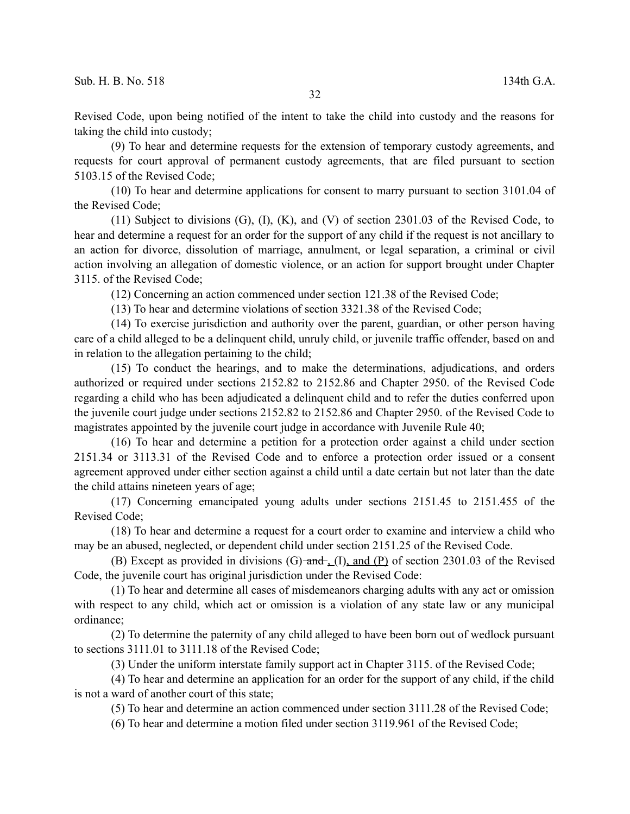Revised Code, upon being notified of the intent to take the child into custody and the reasons for taking the child into custody;

(9) To hear and determine requests for the extension of temporary custody agreements, and requests for court approval of permanent custody agreements, that are filed pursuant to section 5103.15 of the Revised Code;

(10) To hear and determine applications for consent to marry pursuant to section 3101.04 of the Revised Code;

(11) Subject to divisions (G), (I), (K), and (V) of section 2301.03 of the Revised Code, to hear and determine a request for an order for the support of any child if the request is not ancillary to an action for divorce, dissolution of marriage, annulment, or legal separation, a criminal or civil action involving an allegation of domestic violence, or an action for support brought under Chapter 3115. of the Revised Code;

(12) Concerning an action commenced under section 121.38 of the Revised Code;

(13) To hear and determine violations of section 3321.38 of the Revised Code;

(14) To exercise jurisdiction and authority over the parent, guardian, or other person having care of a child alleged to be a delinquent child, unruly child, or juvenile traffic offender, based on and in relation to the allegation pertaining to the child;

(15) To conduct the hearings, and to make the determinations, adjudications, and orders authorized or required under sections 2152.82 to 2152.86 and Chapter 2950. of the Revised Code regarding a child who has been adjudicated a delinquent child and to refer the duties conferred upon the juvenile court judge under sections 2152.82 to 2152.86 and Chapter 2950. of the Revised Code to magistrates appointed by the juvenile court judge in accordance with Juvenile Rule 40;

(16) To hear and determine a petition for a protection order against a child under section 2151.34 or 3113.31 of the Revised Code and to enforce a protection order issued or a consent agreement approved under either section against a child until a date certain but not later than the date the child attains nineteen years of age;

(17) Concerning emancipated young adults under sections 2151.45 to 2151.455 of the Revised Code;

(18) To hear and determine a request for a court order to examine and interview a child who may be an abused, neglected, or dependent child under section 2151.25 of the Revised Code.

(B) Except as provided in divisions  $(G)$ -and-,  $(I)$ , and  $(P)$  of section 2301.03 of the Revised Code, the juvenile court has original jurisdiction under the Revised Code:

(1) To hear and determine all cases of misdemeanors charging adults with any act or omission with respect to any child, which act or omission is a violation of any state law or any municipal ordinance;

(2) To determine the paternity of any child alleged to have been born out of wedlock pursuant to sections 3111.01 to 3111.18 of the Revised Code;

(3) Under the uniform interstate family support act in Chapter 3115. of the Revised Code;

(4) To hear and determine an application for an order for the support of any child, if the child is not a ward of another court of this state;

(5) To hear and determine an action commenced under section 3111.28 of the Revised Code;

(6) To hear and determine a motion filed under section 3119.961 of the Revised Code;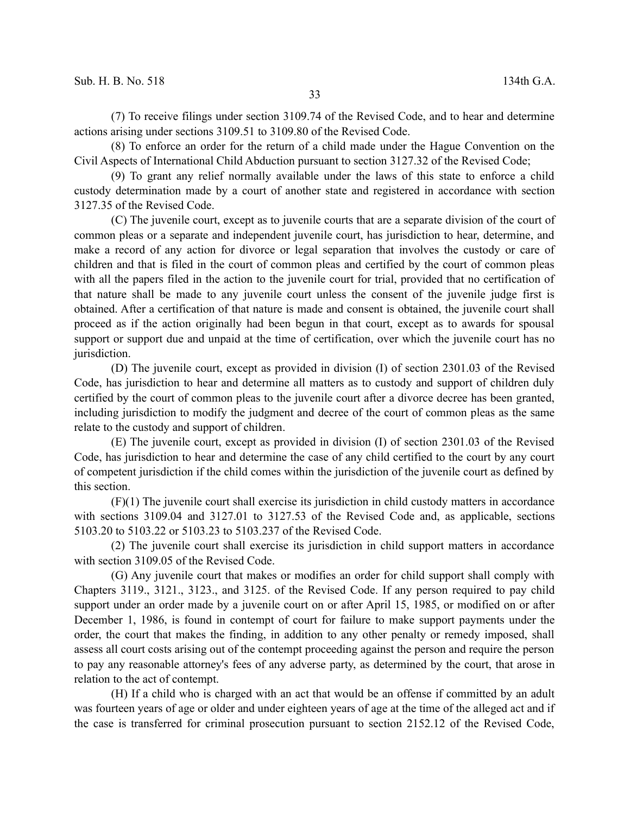(7) To receive filings under section 3109.74 of the Revised Code, and to hear and determine actions arising under sections 3109.51 to 3109.80 of the Revised Code.

(8) To enforce an order for the return of a child made under the Hague Convention on the Civil Aspects of International Child Abduction pursuant to section 3127.32 of the Revised Code;

(9) To grant any relief normally available under the laws of this state to enforce a child custody determination made by a court of another state and registered in accordance with section 3127.35 of the Revised Code.

(C) The juvenile court, except as to juvenile courts that are a separate division of the court of common pleas or a separate and independent juvenile court, has jurisdiction to hear, determine, and make a record of any action for divorce or legal separation that involves the custody or care of children and that is filed in the court of common pleas and certified by the court of common pleas with all the papers filed in the action to the juvenile court for trial, provided that no certification of that nature shall be made to any juvenile court unless the consent of the juvenile judge first is obtained. After a certification of that nature is made and consent is obtained, the juvenile court shall proceed as if the action originally had been begun in that court, except as to awards for spousal support or support due and unpaid at the time of certification, over which the juvenile court has no jurisdiction.

(D) The juvenile court, except as provided in division (I) of section 2301.03 of the Revised Code, has jurisdiction to hear and determine all matters as to custody and support of children duly certified by the court of common pleas to the juvenile court after a divorce decree has been granted, including jurisdiction to modify the judgment and decree of the court of common pleas as the same relate to the custody and support of children.

(E) The juvenile court, except as provided in division (I) of section 2301.03 of the Revised Code, has jurisdiction to hear and determine the case of any child certified to the court by any court of competent jurisdiction if the child comes within the jurisdiction of the juvenile court as defined by this section.

(F)(1) The juvenile court shall exercise its jurisdiction in child custody matters in accordance with sections 3109.04 and 3127.01 to 3127.53 of the Revised Code and, as applicable, sections 5103.20 to 5103.22 or 5103.23 to 5103.237 of the Revised Code.

(2) The juvenile court shall exercise its jurisdiction in child support matters in accordance with section 3109.05 of the Revised Code.

(G) Any juvenile court that makes or modifies an order for child support shall comply with Chapters 3119., 3121., 3123., and 3125. of the Revised Code. If any person required to pay child support under an order made by a juvenile court on or after April 15, 1985, or modified on or after December 1, 1986, is found in contempt of court for failure to make support payments under the order, the court that makes the finding, in addition to any other penalty or remedy imposed, shall assess all court costs arising out of the contempt proceeding against the person and require the person to pay any reasonable attorney's fees of any adverse party, as determined by the court, that arose in relation to the act of contempt.

(H) If a child who is charged with an act that would be an offense if committed by an adult was fourteen years of age or older and under eighteen years of age at the time of the alleged act and if the case is transferred for criminal prosecution pursuant to section 2152.12 of the Revised Code,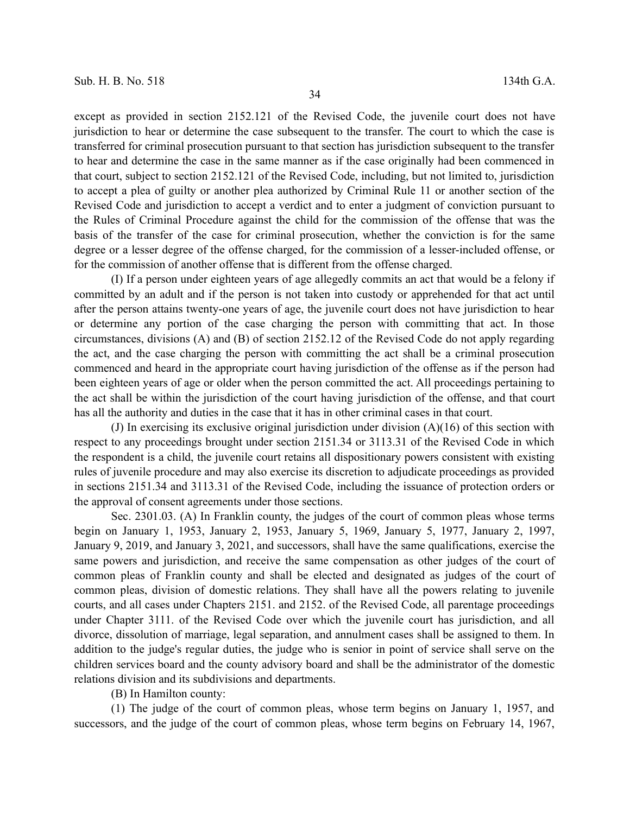except as provided in section 2152.121 of the Revised Code, the juvenile court does not have jurisdiction to hear or determine the case subsequent to the transfer. The court to which the case is transferred for criminal prosecution pursuant to that section has jurisdiction subsequent to the transfer to hear and determine the case in the same manner as if the case originally had been commenced in that court, subject to section 2152.121 of the Revised Code, including, but not limited to, jurisdiction to accept a plea of guilty or another plea authorized by Criminal Rule 11 or another section of the Revised Code and jurisdiction to accept a verdict and to enter a judgment of conviction pursuant to the Rules of Criminal Procedure against the child for the commission of the offense that was the basis of the transfer of the case for criminal prosecution, whether the conviction is for the same degree or a lesser degree of the offense charged, for the commission of a lesser-included offense, or for the commission of another offense that is different from the offense charged.

(I) If a person under eighteen years of age allegedly commits an act that would be a felony if committed by an adult and if the person is not taken into custody or apprehended for that act until after the person attains twenty-one years of age, the juvenile court does not have jurisdiction to hear or determine any portion of the case charging the person with committing that act. In those circumstances, divisions (A) and (B) of section 2152.12 of the Revised Code do not apply regarding the act, and the case charging the person with committing the act shall be a criminal prosecution commenced and heard in the appropriate court having jurisdiction of the offense as if the person had been eighteen years of age or older when the person committed the act. All proceedings pertaining to the act shall be within the jurisdiction of the court having jurisdiction of the offense, and that court has all the authority and duties in the case that it has in other criminal cases in that court.

(J) In exercising its exclusive original jurisdiction under division  $(A)(16)$  of this section with respect to any proceedings brought under section 2151.34 or 3113.31 of the Revised Code in which the respondent is a child, the juvenile court retains all dispositionary powers consistent with existing rules of juvenile procedure and may also exercise its discretion to adjudicate proceedings as provided in sections 2151.34 and 3113.31 of the Revised Code, including the issuance of protection orders or the approval of consent agreements under those sections.

Sec. 2301.03. (A) In Franklin county, the judges of the court of common pleas whose terms begin on January 1, 1953, January 2, 1953, January 5, 1969, January 5, 1977, January 2, 1997, January 9, 2019, and January 3, 2021, and successors, shall have the same qualifications, exercise the same powers and jurisdiction, and receive the same compensation as other judges of the court of common pleas of Franklin county and shall be elected and designated as judges of the court of common pleas, division of domestic relations. They shall have all the powers relating to juvenile courts, and all cases under Chapters 2151. and 2152. of the Revised Code, all parentage proceedings under Chapter 3111. of the Revised Code over which the juvenile court has jurisdiction, and all divorce, dissolution of marriage, legal separation, and annulment cases shall be assigned to them. In addition to the judge's regular duties, the judge who is senior in point of service shall serve on the children services board and the county advisory board and shall be the administrator of the domestic relations division and its subdivisions and departments.

(B) In Hamilton county:

(1) The judge of the court of common pleas, whose term begins on January 1, 1957, and successors, and the judge of the court of common pleas, whose term begins on February 14, 1967,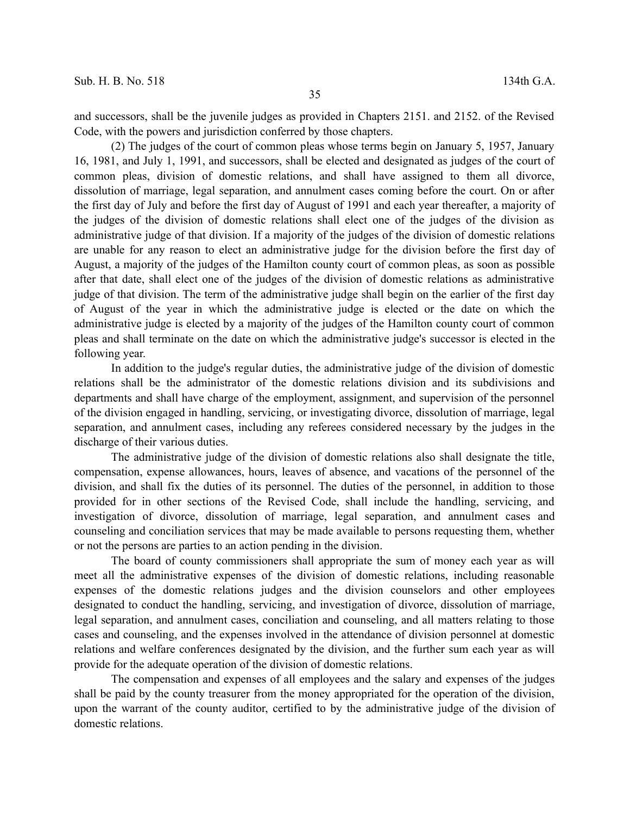and successors, shall be the juvenile judges as provided in Chapters 2151. and 2152. of the Revised Code, with the powers and jurisdiction conferred by those chapters.

(2) The judges of the court of common pleas whose terms begin on January 5, 1957, January 16, 1981, and July 1, 1991, and successors, shall be elected and designated as judges of the court of common pleas, division of domestic relations, and shall have assigned to them all divorce, dissolution of marriage, legal separation, and annulment cases coming before the court. On or after the first day of July and before the first day of August of 1991 and each year thereafter, a majority of the judges of the division of domestic relations shall elect one of the judges of the division as administrative judge of that division. If a majority of the judges of the division of domestic relations are unable for any reason to elect an administrative judge for the division before the first day of August, a majority of the judges of the Hamilton county court of common pleas, as soon as possible after that date, shall elect one of the judges of the division of domestic relations as administrative judge of that division. The term of the administrative judge shall begin on the earlier of the first day of August of the year in which the administrative judge is elected or the date on which the administrative judge is elected by a majority of the judges of the Hamilton county court of common pleas and shall terminate on the date on which the administrative judge's successor is elected in the following year.

In addition to the judge's regular duties, the administrative judge of the division of domestic relations shall be the administrator of the domestic relations division and its subdivisions and departments and shall have charge of the employment, assignment, and supervision of the personnel of the division engaged in handling, servicing, or investigating divorce, dissolution of marriage, legal separation, and annulment cases, including any referees considered necessary by the judges in the discharge of their various duties.

The administrative judge of the division of domestic relations also shall designate the title, compensation, expense allowances, hours, leaves of absence, and vacations of the personnel of the division, and shall fix the duties of its personnel. The duties of the personnel, in addition to those provided for in other sections of the Revised Code, shall include the handling, servicing, and investigation of divorce, dissolution of marriage, legal separation, and annulment cases and counseling and conciliation services that may be made available to persons requesting them, whether or not the persons are parties to an action pending in the division.

The board of county commissioners shall appropriate the sum of money each year as will meet all the administrative expenses of the division of domestic relations, including reasonable expenses of the domestic relations judges and the division counselors and other employees designated to conduct the handling, servicing, and investigation of divorce, dissolution of marriage, legal separation, and annulment cases, conciliation and counseling, and all matters relating to those cases and counseling, and the expenses involved in the attendance of division personnel at domestic relations and welfare conferences designated by the division, and the further sum each year as will provide for the adequate operation of the division of domestic relations.

The compensation and expenses of all employees and the salary and expenses of the judges shall be paid by the county treasurer from the money appropriated for the operation of the division, upon the warrant of the county auditor, certified to by the administrative judge of the division of domestic relations.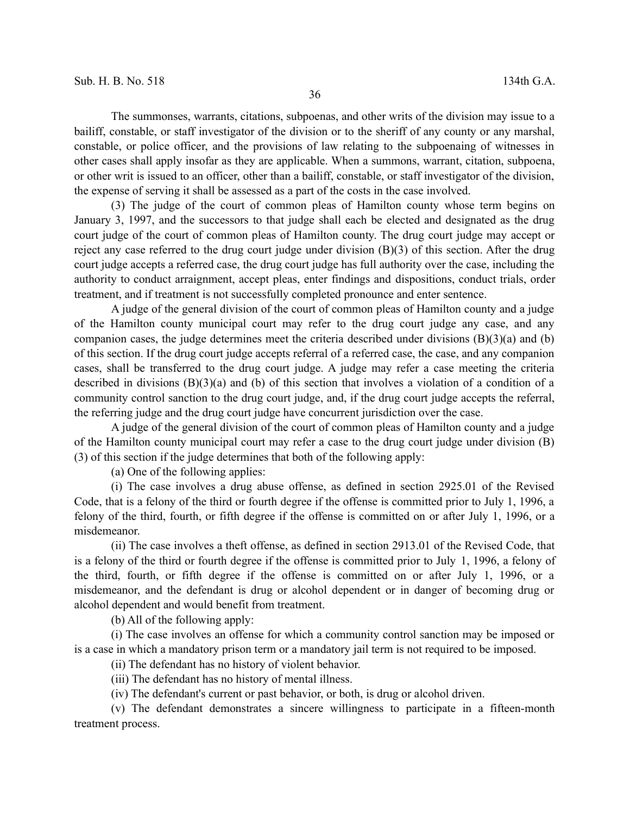The summonses, warrants, citations, subpoenas, and other writs of the division may issue to a bailiff, constable, or staff investigator of the division or to the sheriff of any county or any marshal, constable, or police officer, and the provisions of law relating to the subpoenaing of witnesses in other cases shall apply insofar as they are applicable. When a summons, warrant, citation, subpoena, or other writ is issued to an officer, other than a bailiff, constable, or staff investigator of the division, the expense of serving it shall be assessed as a part of the costs in the case involved.

(3) The judge of the court of common pleas of Hamilton county whose term begins on January 3, 1997, and the successors to that judge shall each be elected and designated as the drug court judge of the court of common pleas of Hamilton county. The drug court judge may accept or reject any case referred to the drug court judge under division (B)(3) of this section. After the drug court judge accepts a referred case, the drug court judge has full authority over the case, including the authority to conduct arraignment, accept pleas, enter findings and dispositions, conduct trials, order treatment, and if treatment is not successfully completed pronounce and enter sentence.

A judge of the general division of the court of common pleas of Hamilton county and a judge of the Hamilton county municipal court may refer to the drug court judge any case, and any companion cases, the judge determines meet the criteria described under divisions (B)(3)(a) and (b) of this section. If the drug court judge accepts referral of a referred case, the case, and any companion cases, shall be transferred to the drug court judge. A judge may refer a case meeting the criteria described in divisions  $(B)(3)(a)$  and (b) of this section that involves a violation of a condition of a community control sanction to the drug court judge, and, if the drug court judge accepts the referral, the referring judge and the drug court judge have concurrent jurisdiction over the case.

A judge of the general division of the court of common pleas of Hamilton county and a judge of the Hamilton county municipal court may refer a case to the drug court judge under division (B) (3) of this section if the judge determines that both of the following apply:

(a) One of the following applies:

(i) The case involves a drug abuse offense, as defined in section 2925.01 of the Revised Code, that is a felony of the third or fourth degree if the offense is committed prior to July 1, 1996, a felony of the third, fourth, or fifth degree if the offense is committed on or after July 1, 1996, or a misdemeanor.

(ii) The case involves a theft offense, as defined in section 2913.01 of the Revised Code, that is a felony of the third or fourth degree if the offense is committed prior to July 1, 1996, a felony of the third, fourth, or fifth degree if the offense is committed on or after July 1, 1996, or a misdemeanor, and the defendant is drug or alcohol dependent or in danger of becoming drug or alcohol dependent and would benefit from treatment.

(b) All of the following apply:

(i) The case involves an offense for which a community control sanction may be imposed or is a case in which a mandatory prison term or a mandatory jail term is not required to be imposed.

(ii) The defendant has no history of violent behavior.

(iii) The defendant has no history of mental illness.

(iv) The defendant's current or past behavior, or both, is drug or alcohol driven.

(v) The defendant demonstrates a sincere willingness to participate in a fifteen-month treatment process.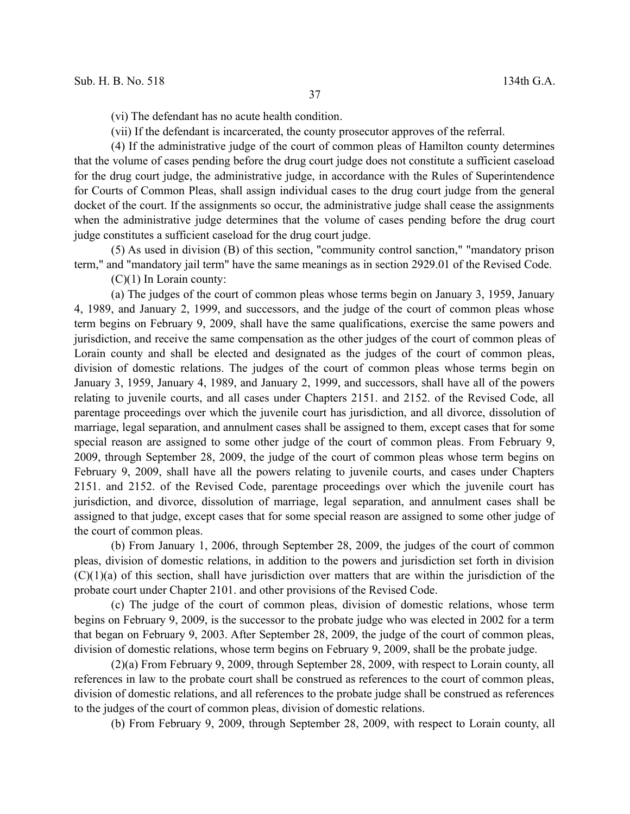(vi) The defendant has no acute health condition.

(vii) If the defendant is incarcerated, the county prosecutor approves of the referral.

(4) If the administrative judge of the court of common pleas of Hamilton county determines that the volume of cases pending before the drug court judge does not constitute a sufficient caseload for the drug court judge, the administrative judge, in accordance with the Rules of Superintendence for Courts of Common Pleas, shall assign individual cases to the drug court judge from the general docket of the court. If the assignments so occur, the administrative judge shall cease the assignments when the administrative judge determines that the volume of cases pending before the drug court judge constitutes a sufficient caseload for the drug court judge.

(5) As used in division (B) of this section, "community control sanction," "mandatory prison term," and "mandatory jail term" have the same meanings as in section 2929.01 of the Revised Code.

(C)(1) In Lorain county:

(a) The judges of the court of common pleas whose terms begin on January 3, 1959, January 4, 1989, and January 2, 1999, and successors, and the judge of the court of common pleas whose term begins on February 9, 2009, shall have the same qualifications, exercise the same powers and jurisdiction, and receive the same compensation as the other judges of the court of common pleas of Lorain county and shall be elected and designated as the judges of the court of common pleas, division of domestic relations. The judges of the court of common pleas whose terms begin on January 3, 1959, January 4, 1989, and January 2, 1999, and successors, shall have all of the powers relating to juvenile courts, and all cases under Chapters 2151. and 2152. of the Revised Code, all parentage proceedings over which the juvenile court has jurisdiction, and all divorce, dissolution of marriage, legal separation, and annulment cases shall be assigned to them, except cases that for some special reason are assigned to some other judge of the court of common pleas. From February 9, 2009, through September 28, 2009, the judge of the court of common pleas whose term begins on February 9, 2009, shall have all the powers relating to juvenile courts, and cases under Chapters 2151. and 2152. of the Revised Code, parentage proceedings over which the juvenile court has jurisdiction, and divorce, dissolution of marriage, legal separation, and annulment cases shall be assigned to that judge, except cases that for some special reason are assigned to some other judge of the court of common pleas.

(b) From January 1, 2006, through September 28, 2009, the judges of the court of common pleas, division of domestic relations, in addition to the powers and jurisdiction set forth in division  $(C)(1)(a)$  of this section, shall have jurisdiction over matters that are within the jurisdiction of the probate court under Chapter 2101. and other provisions of the Revised Code.

(c) The judge of the court of common pleas, division of domestic relations, whose term begins on February 9, 2009, is the successor to the probate judge who was elected in 2002 for a term that began on February 9, 2003. After September 28, 2009, the judge of the court of common pleas, division of domestic relations, whose term begins on February 9, 2009, shall be the probate judge.

(2)(a) From February 9, 2009, through September 28, 2009, with respect to Lorain county, all references in law to the probate court shall be construed as references to the court of common pleas, division of domestic relations, and all references to the probate judge shall be construed as references to the judges of the court of common pleas, division of domestic relations.

(b) From February 9, 2009, through September 28, 2009, with respect to Lorain county, all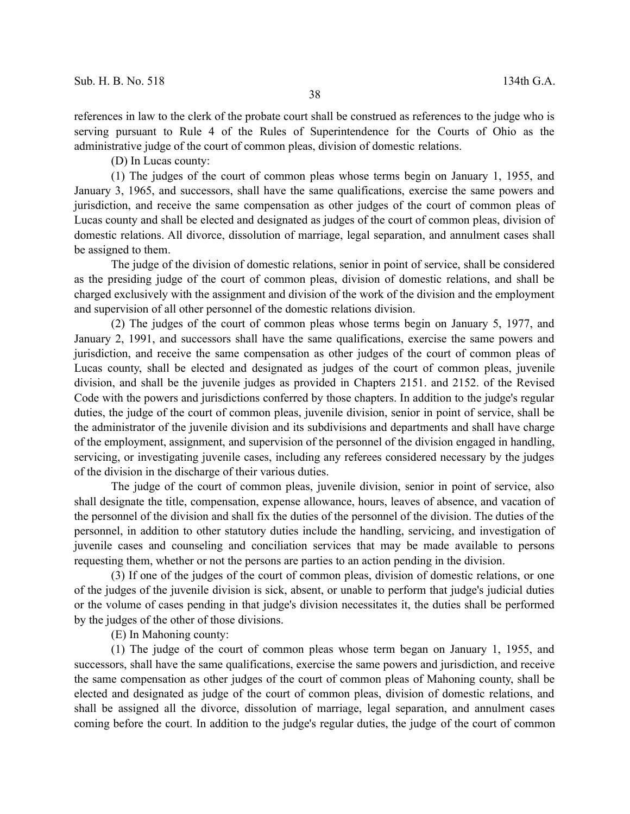references in law to the clerk of the probate court shall be construed as references to the judge who is serving pursuant to Rule 4 of the Rules of Superintendence for the Courts of Ohio as the administrative judge of the court of common pleas, division of domestic relations.

(D) In Lucas county:

(1) The judges of the court of common pleas whose terms begin on January 1, 1955, and January 3, 1965, and successors, shall have the same qualifications, exercise the same powers and jurisdiction, and receive the same compensation as other judges of the court of common pleas of Lucas county and shall be elected and designated as judges of the court of common pleas, division of domestic relations. All divorce, dissolution of marriage, legal separation, and annulment cases shall be assigned to them.

The judge of the division of domestic relations, senior in point of service, shall be considered as the presiding judge of the court of common pleas, division of domestic relations, and shall be charged exclusively with the assignment and division of the work of the division and the employment and supervision of all other personnel of the domestic relations division.

(2) The judges of the court of common pleas whose terms begin on January 5, 1977, and January 2, 1991, and successors shall have the same qualifications, exercise the same powers and jurisdiction, and receive the same compensation as other judges of the court of common pleas of Lucas county, shall be elected and designated as judges of the court of common pleas, juvenile division, and shall be the juvenile judges as provided in Chapters 2151. and 2152. of the Revised Code with the powers and jurisdictions conferred by those chapters. In addition to the judge's regular duties, the judge of the court of common pleas, juvenile division, senior in point of service, shall be the administrator of the juvenile division and its subdivisions and departments and shall have charge of the employment, assignment, and supervision of the personnel of the division engaged in handling, servicing, or investigating juvenile cases, including any referees considered necessary by the judges of the division in the discharge of their various duties.

The judge of the court of common pleas, juvenile division, senior in point of service, also shall designate the title, compensation, expense allowance, hours, leaves of absence, and vacation of the personnel of the division and shall fix the duties of the personnel of the division. The duties of the personnel, in addition to other statutory duties include the handling, servicing, and investigation of juvenile cases and counseling and conciliation services that may be made available to persons requesting them, whether or not the persons are parties to an action pending in the division.

(3) If one of the judges of the court of common pleas, division of domestic relations, or one of the judges of the juvenile division is sick, absent, or unable to perform that judge's judicial duties or the volume of cases pending in that judge's division necessitates it, the duties shall be performed by the judges of the other of those divisions.

(E) In Mahoning county:

(1) The judge of the court of common pleas whose term began on January 1, 1955, and successors, shall have the same qualifications, exercise the same powers and jurisdiction, and receive the same compensation as other judges of the court of common pleas of Mahoning county, shall be elected and designated as judge of the court of common pleas, division of domestic relations, and shall be assigned all the divorce, dissolution of marriage, legal separation, and annulment cases coming before the court. In addition to the judge's regular duties, the judge of the court of common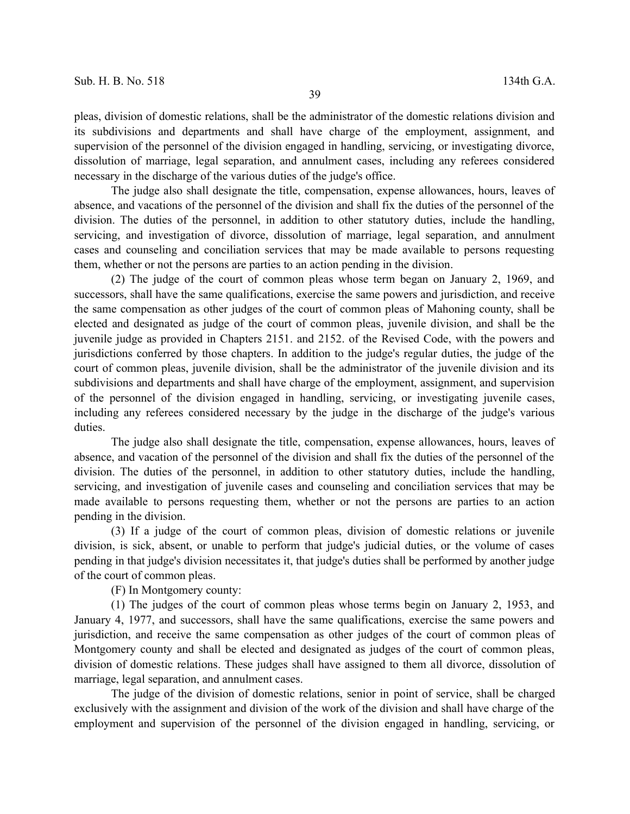pleas, division of domestic relations, shall be the administrator of the domestic relations division and its subdivisions and departments and shall have charge of the employment, assignment, and supervision of the personnel of the division engaged in handling, servicing, or investigating divorce, dissolution of marriage, legal separation, and annulment cases, including any referees considered necessary in the discharge of the various duties of the judge's office.

The judge also shall designate the title, compensation, expense allowances, hours, leaves of absence, and vacations of the personnel of the division and shall fix the duties of the personnel of the division. The duties of the personnel, in addition to other statutory duties, include the handling, servicing, and investigation of divorce, dissolution of marriage, legal separation, and annulment cases and counseling and conciliation services that may be made available to persons requesting them, whether or not the persons are parties to an action pending in the division.

(2) The judge of the court of common pleas whose term began on January 2, 1969, and successors, shall have the same qualifications, exercise the same powers and jurisdiction, and receive the same compensation as other judges of the court of common pleas of Mahoning county, shall be elected and designated as judge of the court of common pleas, juvenile division, and shall be the juvenile judge as provided in Chapters 2151. and 2152. of the Revised Code, with the powers and jurisdictions conferred by those chapters. In addition to the judge's regular duties, the judge of the court of common pleas, juvenile division, shall be the administrator of the juvenile division and its subdivisions and departments and shall have charge of the employment, assignment, and supervision of the personnel of the division engaged in handling, servicing, or investigating juvenile cases, including any referees considered necessary by the judge in the discharge of the judge's various duties.

The judge also shall designate the title, compensation, expense allowances, hours, leaves of absence, and vacation of the personnel of the division and shall fix the duties of the personnel of the division. The duties of the personnel, in addition to other statutory duties, include the handling, servicing, and investigation of juvenile cases and counseling and conciliation services that may be made available to persons requesting them, whether or not the persons are parties to an action pending in the division.

(3) If a judge of the court of common pleas, division of domestic relations or juvenile division, is sick, absent, or unable to perform that judge's judicial duties, or the volume of cases pending in that judge's division necessitates it, that judge's duties shall be performed by another judge of the court of common pleas.

(F) In Montgomery county:

(1) The judges of the court of common pleas whose terms begin on January 2, 1953, and January 4, 1977, and successors, shall have the same qualifications, exercise the same powers and jurisdiction, and receive the same compensation as other judges of the court of common pleas of Montgomery county and shall be elected and designated as judges of the court of common pleas, division of domestic relations. These judges shall have assigned to them all divorce, dissolution of marriage, legal separation, and annulment cases.

The judge of the division of domestic relations, senior in point of service, shall be charged exclusively with the assignment and division of the work of the division and shall have charge of the employment and supervision of the personnel of the division engaged in handling, servicing, or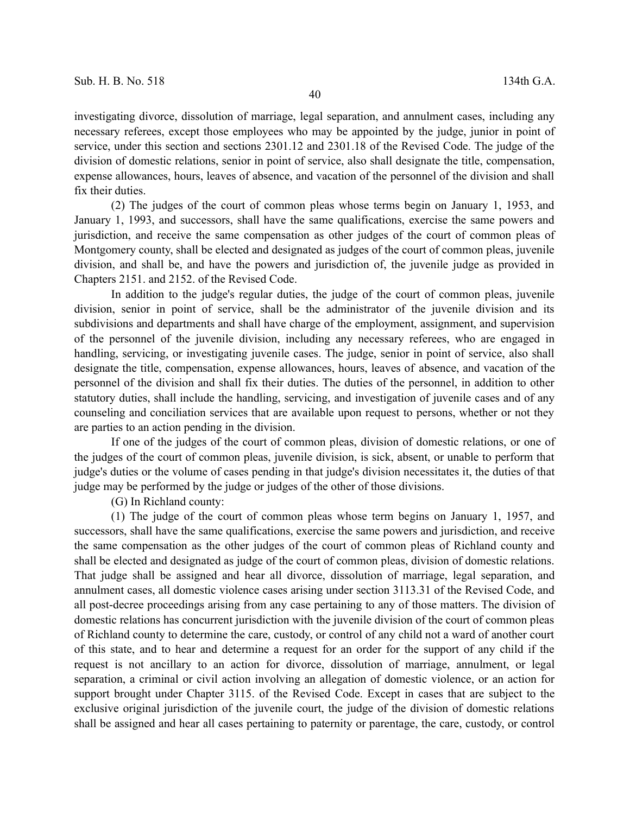investigating divorce, dissolution of marriage, legal separation, and annulment cases, including any necessary referees, except those employees who may be appointed by the judge, junior in point of service, under this section and sections 2301.12 and 2301.18 of the Revised Code. The judge of the division of domestic relations, senior in point of service, also shall designate the title, compensation, expense allowances, hours, leaves of absence, and vacation of the personnel of the division and shall fix their duties.

(2) The judges of the court of common pleas whose terms begin on January 1, 1953, and January 1, 1993, and successors, shall have the same qualifications, exercise the same powers and jurisdiction, and receive the same compensation as other judges of the court of common pleas of Montgomery county, shall be elected and designated as judges of the court of common pleas, juvenile division, and shall be, and have the powers and jurisdiction of, the juvenile judge as provided in Chapters 2151. and 2152. of the Revised Code.

In addition to the judge's regular duties, the judge of the court of common pleas, juvenile division, senior in point of service, shall be the administrator of the juvenile division and its subdivisions and departments and shall have charge of the employment, assignment, and supervision of the personnel of the juvenile division, including any necessary referees, who are engaged in handling, servicing, or investigating juvenile cases. The judge, senior in point of service, also shall designate the title, compensation, expense allowances, hours, leaves of absence, and vacation of the personnel of the division and shall fix their duties. The duties of the personnel, in addition to other statutory duties, shall include the handling, servicing, and investigation of juvenile cases and of any counseling and conciliation services that are available upon request to persons, whether or not they are parties to an action pending in the division.

If one of the judges of the court of common pleas, division of domestic relations, or one of the judges of the court of common pleas, juvenile division, is sick, absent, or unable to perform that judge's duties or the volume of cases pending in that judge's division necessitates it, the duties of that judge may be performed by the judge or judges of the other of those divisions.

(G) In Richland county:

(1) The judge of the court of common pleas whose term begins on January 1, 1957, and successors, shall have the same qualifications, exercise the same powers and jurisdiction, and receive the same compensation as the other judges of the court of common pleas of Richland county and shall be elected and designated as judge of the court of common pleas, division of domestic relations. That judge shall be assigned and hear all divorce, dissolution of marriage, legal separation, and annulment cases, all domestic violence cases arising under section 3113.31 of the Revised Code, and all post-decree proceedings arising from any case pertaining to any of those matters. The division of domestic relations has concurrent jurisdiction with the juvenile division of the court of common pleas of Richland county to determine the care, custody, or control of any child not a ward of another court of this state, and to hear and determine a request for an order for the support of any child if the request is not ancillary to an action for divorce, dissolution of marriage, annulment, or legal separation, a criminal or civil action involving an allegation of domestic violence, or an action for support brought under Chapter 3115. of the Revised Code. Except in cases that are subject to the exclusive original jurisdiction of the juvenile court, the judge of the division of domestic relations shall be assigned and hear all cases pertaining to paternity or parentage, the care, custody, or control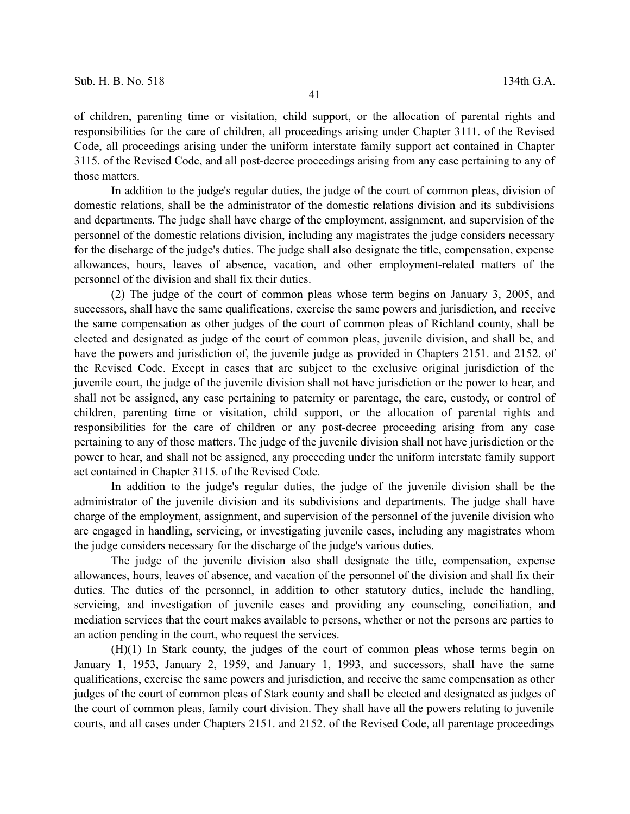of children, parenting time or visitation, child support, or the allocation of parental rights and responsibilities for the care of children, all proceedings arising under Chapter 3111. of the Revised Code, all proceedings arising under the uniform interstate family support act contained in Chapter 3115. of the Revised Code, and all post-decree proceedings arising from any case pertaining to any of those matters.

In addition to the judge's regular duties, the judge of the court of common pleas, division of domestic relations, shall be the administrator of the domestic relations division and its subdivisions and departments. The judge shall have charge of the employment, assignment, and supervision of the personnel of the domestic relations division, including any magistrates the judge considers necessary for the discharge of the judge's duties. The judge shall also designate the title, compensation, expense allowances, hours, leaves of absence, vacation, and other employment-related matters of the personnel of the division and shall fix their duties.

(2) The judge of the court of common pleas whose term begins on January 3, 2005, and successors, shall have the same qualifications, exercise the same powers and jurisdiction, and receive the same compensation as other judges of the court of common pleas of Richland county, shall be elected and designated as judge of the court of common pleas, juvenile division, and shall be, and have the powers and jurisdiction of, the juvenile judge as provided in Chapters 2151. and 2152. of the Revised Code. Except in cases that are subject to the exclusive original jurisdiction of the juvenile court, the judge of the juvenile division shall not have jurisdiction or the power to hear, and shall not be assigned, any case pertaining to paternity or parentage, the care, custody, or control of children, parenting time or visitation, child support, or the allocation of parental rights and responsibilities for the care of children or any post-decree proceeding arising from any case pertaining to any of those matters. The judge of the juvenile division shall not have jurisdiction or the power to hear, and shall not be assigned, any proceeding under the uniform interstate family support act contained in Chapter 3115. of the Revised Code.

In addition to the judge's regular duties, the judge of the juvenile division shall be the administrator of the juvenile division and its subdivisions and departments. The judge shall have charge of the employment, assignment, and supervision of the personnel of the juvenile division who are engaged in handling, servicing, or investigating juvenile cases, including any magistrates whom the judge considers necessary for the discharge of the judge's various duties.

The judge of the juvenile division also shall designate the title, compensation, expense allowances, hours, leaves of absence, and vacation of the personnel of the division and shall fix their duties. The duties of the personnel, in addition to other statutory duties, include the handling, servicing, and investigation of juvenile cases and providing any counseling, conciliation, and mediation services that the court makes available to persons, whether or not the persons are parties to an action pending in the court, who request the services.

(H)(1) In Stark county, the judges of the court of common pleas whose terms begin on January 1, 1953, January 2, 1959, and January 1, 1993, and successors, shall have the same qualifications, exercise the same powers and jurisdiction, and receive the same compensation as other judges of the court of common pleas of Stark county and shall be elected and designated as judges of the court of common pleas, family court division. They shall have all the powers relating to juvenile courts, and all cases under Chapters 2151. and 2152. of the Revised Code, all parentage proceedings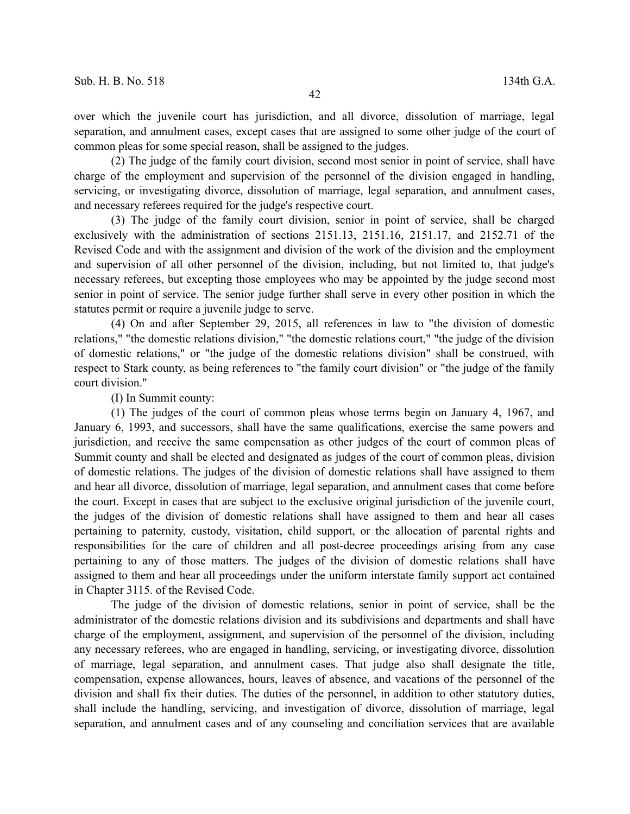over which the juvenile court has jurisdiction, and all divorce, dissolution of marriage, legal separation, and annulment cases, except cases that are assigned to some other judge of the court of common pleas for some special reason, shall be assigned to the judges.

(2) The judge of the family court division, second most senior in point of service, shall have charge of the employment and supervision of the personnel of the division engaged in handling, servicing, or investigating divorce, dissolution of marriage, legal separation, and annulment cases, and necessary referees required for the judge's respective court.

(3) The judge of the family court division, senior in point of service, shall be charged exclusively with the administration of sections 2151.13, 2151.16, 2151.17, and 2152.71 of the Revised Code and with the assignment and division of the work of the division and the employment and supervision of all other personnel of the division, including, but not limited to, that judge's necessary referees, but excepting those employees who may be appointed by the judge second most senior in point of service. The senior judge further shall serve in every other position in which the statutes permit or require a juvenile judge to serve.

(4) On and after September 29, 2015, all references in law to "the division of domestic relations," "the domestic relations division," "the domestic relations court," "the judge of the division of domestic relations," or "the judge of the domestic relations division" shall be construed, with respect to Stark county, as being references to "the family court division" or "the judge of the family court division."

(I) In Summit county:

(1) The judges of the court of common pleas whose terms begin on January 4, 1967, and January 6, 1993, and successors, shall have the same qualifications, exercise the same powers and jurisdiction, and receive the same compensation as other judges of the court of common pleas of Summit county and shall be elected and designated as judges of the court of common pleas, division of domestic relations. The judges of the division of domestic relations shall have assigned to them and hear all divorce, dissolution of marriage, legal separation, and annulment cases that come before the court. Except in cases that are subject to the exclusive original jurisdiction of the juvenile court, the judges of the division of domestic relations shall have assigned to them and hear all cases pertaining to paternity, custody, visitation, child support, or the allocation of parental rights and responsibilities for the care of children and all post-decree proceedings arising from any case pertaining to any of those matters. The judges of the division of domestic relations shall have assigned to them and hear all proceedings under the uniform interstate family support act contained in Chapter 3115. of the Revised Code.

The judge of the division of domestic relations, senior in point of service, shall be the administrator of the domestic relations division and its subdivisions and departments and shall have charge of the employment, assignment, and supervision of the personnel of the division, including any necessary referees, who are engaged in handling, servicing, or investigating divorce, dissolution of marriage, legal separation, and annulment cases. That judge also shall designate the title, compensation, expense allowances, hours, leaves of absence, and vacations of the personnel of the division and shall fix their duties. The duties of the personnel, in addition to other statutory duties, shall include the handling, servicing, and investigation of divorce, dissolution of marriage, legal separation, and annulment cases and of any counseling and conciliation services that are available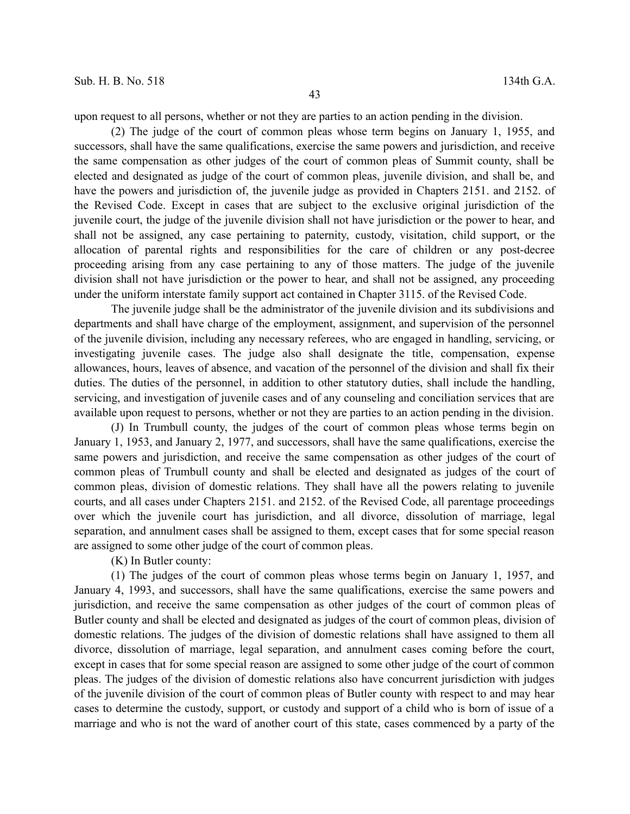upon request to all persons, whether or not they are parties to an action pending in the division.

(2) The judge of the court of common pleas whose term begins on January 1, 1955, and successors, shall have the same qualifications, exercise the same powers and jurisdiction, and receive the same compensation as other judges of the court of common pleas of Summit county, shall be elected and designated as judge of the court of common pleas, juvenile division, and shall be, and have the powers and jurisdiction of, the juvenile judge as provided in Chapters 2151. and 2152. of the Revised Code. Except in cases that are subject to the exclusive original jurisdiction of the juvenile court, the judge of the juvenile division shall not have jurisdiction or the power to hear, and shall not be assigned, any case pertaining to paternity, custody, visitation, child support, or the allocation of parental rights and responsibilities for the care of children or any post-decree proceeding arising from any case pertaining to any of those matters. The judge of the juvenile division shall not have jurisdiction or the power to hear, and shall not be assigned, any proceeding under the uniform interstate family support act contained in Chapter 3115. of the Revised Code.

The juvenile judge shall be the administrator of the juvenile division and its subdivisions and departments and shall have charge of the employment, assignment, and supervision of the personnel of the juvenile division, including any necessary referees, who are engaged in handling, servicing, or investigating juvenile cases. The judge also shall designate the title, compensation, expense allowances, hours, leaves of absence, and vacation of the personnel of the division and shall fix their duties. The duties of the personnel, in addition to other statutory duties, shall include the handling, servicing, and investigation of juvenile cases and of any counseling and conciliation services that are available upon request to persons, whether or not they are parties to an action pending in the division.

(J) In Trumbull county, the judges of the court of common pleas whose terms begin on January 1, 1953, and January 2, 1977, and successors, shall have the same qualifications, exercise the same powers and jurisdiction, and receive the same compensation as other judges of the court of common pleas of Trumbull county and shall be elected and designated as judges of the court of common pleas, division of domestic relations. They shall have all the powers relating to juvenile courts, and all cases under Chapters 2151. and 2152. of the Revised Code, all parentage proceedings over which the juvenile court has jurisdiction, and all divorce, dissolution of marriage, legal separation, and annulment cases shall be assigned to them, except cases that for some special reason are assigned to some other judge of the court of common pleas.

(K) In Butler county:

(1) The judges of the court of common pleas whose terms begin on January 1, 1957, and January 4, 1993, and successors, shall have the same qualifications, exercise the same powers and jurisdiction, and receive the same compensation as other judges of the court of common pleas of Butler county and shall be elected and designated as judges of the court of common pleas, division of domestic relations. The judges of the division of domestic relations shall have assigned to them all divorce, dissolution of marriage, legal separation, and annulment cases coming before the court, except in cases that for some special reason are assigned to some other judge of the court of common pleas. The judges of the division of domestic relations also have concurrent jurisdiction with judges of the juvenile division of the court of common pleas of Butler county with respect to and may hear cases to determine the custody, support, or custody and support of a child who is born of issue of a marriage and who is not the ward of another court of this state, cases commenced by a party of the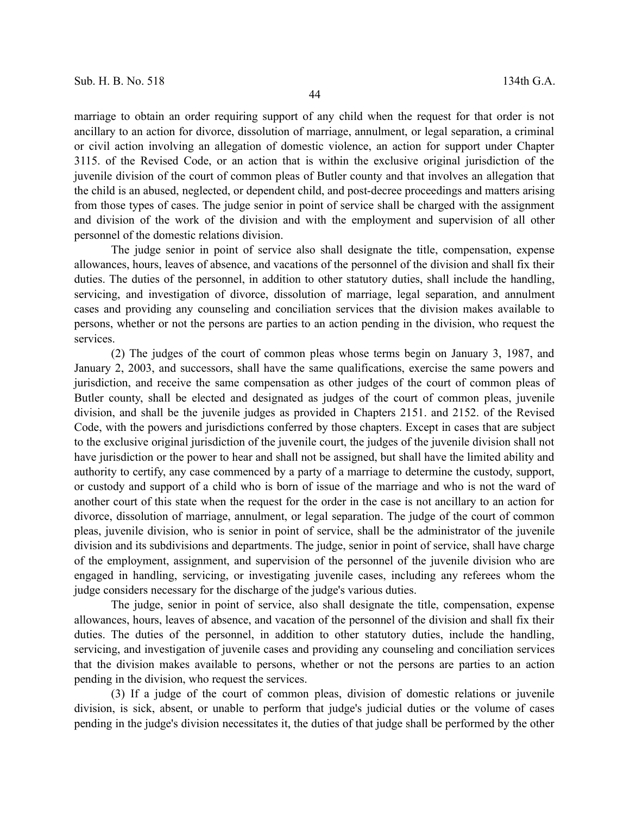marriage to obtain an order requiring support of any child when the request for that order is not ancillary to an action for divorce, dissolution of marriage, annulment, or legal separation, a criminal or civil action involving an allegation of domestic violence, an action for support under Chapter 3115. of the Revised Code, or an action that is within the exclusive original jurisdiction of the juvenile division of the court of common pleas of Butler county and that involves an allegation that the child is an abused, neglected, or dependent child, and post-decree proceedings and matters arising from those types of cases. The judge senior in point of service shall be charged with the assignment and division of the work of the division and with the employment and supervision of all other personnel of the domestic relations division.

The judge senior in point of service also shall designate the title, compensation, expense allowances, hours, leaves of absence, and vacations of the personnel of the division and shall fix their duties. The duties of the personnel, in addition to other statutory duties, shall include the handling, servicing, and investigation of divorce, dissolution of marriage, legal separation, and annulment cases and providing any counseling and conciliation services that the division makes available to persons, whether or not the persons are parties to an action pending in the division, who request the services.

(2) The judges of the court of common pleas whose terms begin on January 3, 1987, and January 2, 2003, and successors, shall have the same qualifications, exercise the same powers and jurisdiction, and receive the same compensation as other judges of the court of common pleas of Butler county, shall be elected and designated as judges of the court of common pleas, juvenile division, and shall be the juvenile judges as provided in Chapters 2151. and 2152. of the Revised Code, with the powers and jurisdictions conferred by those chapters. Except in cases that are subject to the exclusive original jurisdiction of the juvenile court, the judges of the juvenile division shall not have jurisdiction or the power to hear and shall not be assigned, but shall have the limited ability and authority to certify, any case commenced by a party of a marriage to determine the custody, support, or custody and support of a child who is born of issue of the marriage and who is not the ward of another court of this state when the request for the order in the case is not ancillary to an action for divorce, dissolution of marriage, annulment, or legal separation. The judge of the court of common pleas, juvenile division, who is senior in point of service, shall be the administrator of the juvenile division and its subdivisions and departments. The judge, senior in point of service, shall have charge of the employment, assignment, and supervision of the personnel of the juvenile division who are engaged in handling, servicing, or investigating juvenile cases, including any referees whom the judge considers necessary for the discharge of the judge's various duties.

The judge, senior in point of service, also shall designate the title, compensation, expense allowances, hours, leaves of absence, and vacation of the personnel of the division and shall fix their duties. The duties of the personnel, in addition to other statutory duties, include the handling, servicing, and investigation of juvenile cases and providing any counseling and conciliation services that the division makes available to persons, whether or not the persons are parties to an action pending in the division, who request the services.

(3) If a judge of the court of common pleas, division of domestic relations or juvenile division, is sick, absent, or unable to perform that judge's judicial duties or the volume of cases pending in the judge's division necessitates it, the duties of that judge shall be performed by the other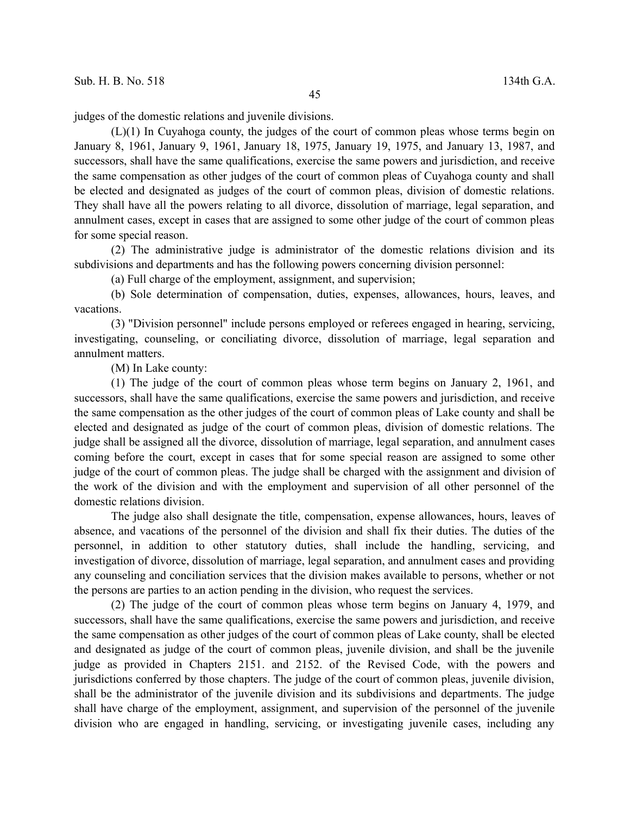judges of the domestic relations and juvenile divisions.

(L)(1) In Cuyahoga county, the judges of the court of common pleas whose terms begin on January 8, 1961, January 9, 1961, January 18, 1975, January 19, 1975, and January 13, 1987, and successors, shall have the same qualifications, exercise the same powers and jurisdiction, and receive the same compensation as other judges of the court of common pleas of Cuyahoga county and shall be elected and designated as judges of the court of common pleas, division of domestic relations. They shall have all the powers relating to all divorce, dissolution of marriage, legal separation, and annulment cases, except in cases that are assigned to some other judge of the court of common pleas for some special reason.

(2) The administrative judge is administrator of the domestic relations division and its subdivisions and departments and has the following powers concerning division personnel:

(a) Full charge of the employment, assignment, and supervision;

(b) Sole determination of compensation, duties, expenses, allowances, hours, leaves, and vacations.

(3) "Division personnel" include persons employed or referees engaged in hearing, servicing, investigating, counseling, or conciliating divorce, dissolution of marriage, legal separation and annulment matters.

(M) In Lake county:

(1) The judge of the court of common pleas whose term begins on January 2, 1961, and successors, shall have the same qualifications, exercise the same powers and jurisdiction, and receive the same compensation as the other judges of the court of common pleas of Lake county and shall be elected and designated as judge of the court of common pleas, division of domestic relations. The judge shall be assigned all the divorce, dissolution of marriage, legal separation, and annulment cases coming before the court, except in cases that for some special reason are assigned to some other judge of the court of common pleas. The judge shall be charged with the assignment and division of the work of the division and with the employment and supervision of all other personnel of the domestic relations division.

The judge also shall designate the title, compensation, expense allowances, hours, leaves of absence, and vacations of the personnel of the division and shall fix their duties. The duties of the personnel, in addition to other statutory duties, shall include the handling, servicing, and investigation of divorce, dissolution of marriage, legal separation, and annulment cases and providing any counseling and conciliation services that the division makes available to persons, whether or not the persons are parties to an action pending in the division, who request the services.

(2) The judge of the court of common pleas whose term begins on January 4, 1979, and successors, shall have the same qualifications, exercise the same powers and jurisdiction, and receive the same compensation as other judges of the court of common pleas of Lake county, shall be elected and designated as judge of the court of common pleas, juvenile division, and shall be the juvenile judge as provided in Chapters 2151. and 2152. of the Revised Code, with the powers and jurisdictions conferred by those chapters. The judge of the court of common pleas, juvenile division, shall be the administrator of the juvenile division and its subdivisions and departments. The judge shall have charge of the employment, assignment, and supervision of the personnel of the juvenile division who are engaged in handling, servicing, or investigating juvenile cases, including any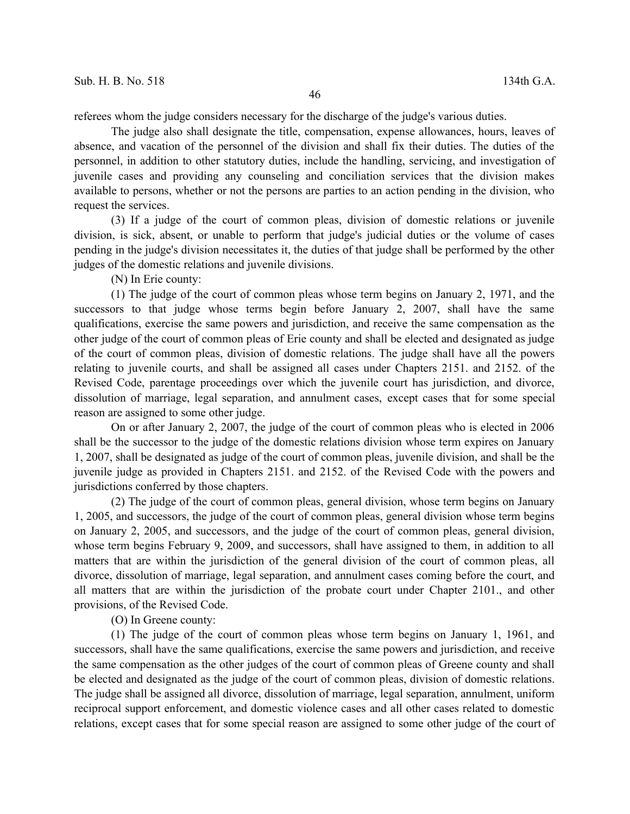referees whom the judge considers necessary for the discharge of the judge's various duties.

The judge also shall designate the title, compensation, expense allowances, hours, leaves of absence, and vacation of the personnel of the division and shall fix their duties. The duties of the personnel, in addition to other statutory duties, include the handling, servicing, and investigation of juvenile cases and providing any counseling and conciliation services that the division makes available to persons, whether or not the persons are parties to an action pending in the division, who request the services.

(3) If a judge of the court of common pleas, division of domestic relations or juvenile division, is sick, absent, or unable to perform that judge's judicial duties or the volume of cases pending in the judge's division necessitates it, the duties of that judge shall be performed by the other judges of the domestic relations and juvenile divisions.

(N) In Erie county:

(1) The judge of the court of common pleas whose term begins on January 2, 1971, and the successors to that judge whose terms begin before January 2, 2007, shall have the same qualifications, exercise the same powers and jurisdiction, and receive the same compensation as the other judge of the court of common pleas of Erie county and shall be elected and designated as judge of the court of common pleas, division of domestic relations. The judge shall have all the powers relating to juvenile courts, and shall be assigned all cases under Chapters 2151. and 2152. of the Revised Code, parentage proceedings over which the juvenile court has jurisdiction, and divorce, dissolution of marriage, legal separation, and annulment cases, except cases that for some special reason are assigned to some other judge.

On or after January 2, 2007, the judge of the court of common pleas who is elected in 2006 shall be the successor to the judge of the domestic relations division whose term expires on January 1, 2007, shall be designated as judge of the court of common pleas, juvenile division, and shall be the juvenile judge as provided in Chapters 2151. and 2152. of the Revised Code with the powers and jurisdictions conferred by those chapters.

(2) The judge of the court of common pleas, general division, whose term begins on January 1, 2005, and successors, the judge of the court of common pleas, general division whose term begins on January 2, 2005, and successors, and the judge of the court of common pleas, general division, whose term begins February 9, 2009, and successors, shall have assigned to them, in addition to all matters that are within the jurisdiction of the general division of the court of common pleas, all divorce, dissolution of marriage, legal separation, and annulment cases coming before the court, and all matters that are within the jurisdiction of the probate court under Chapter 2101., and other provisions, of the Revised Code.

(O) In Greene county:

(1) The judge of the court of common pleas whose term begins on January 1, 1961, and successors, shall have the same qualifications, exercise the same powers and jurisdiction, and receive the same compensation as the other judges of the court of common pleas of Greene county and shall be elected and designated as the judge of the court of common pleas, division of domestic relations. The judge shall be assigned all divorce, dissolution of marriage, legal separation, annulment, uniform reciprocal support enforcement, and domestic violence cases and all other cases related to domestic relations, except cases that for some special reason are assigned to some other judge of the court of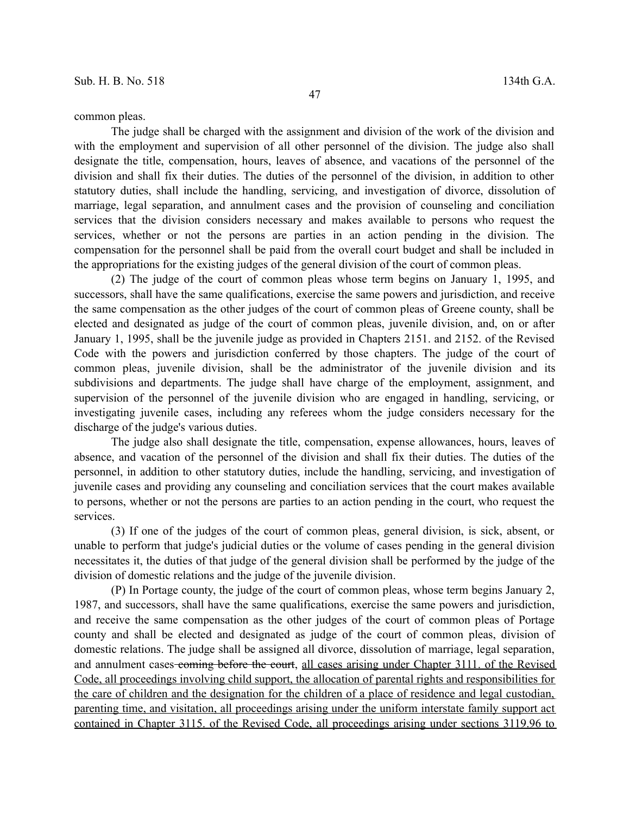common pleas.

The judge shall be charged with the assignment and division of the work of the division and with the employment and supervision of all other personnel of the division. The judge also shall designate the title, compensation, hours, leaves of absence, and vacations of the personnel of the division and shall fix their duties. The duties of the personnel of the division, in addition to other statutory duties, shall include the handling, servicing, and investigation of divorce, dissolution of marriage, legal separation, and annulment cases and the provision of counseling and conciliation services that the division considers necessary and makes available to persons who request the services, whether or not the persons are parties in an action pending in the division. The compensation for the personnel shall be paid from the overall court budget and shall be included in the appropriations for the existing judges of the general division of the court of common pleas.

(2) The judge of the court of common pleas whose term begins on January 1, 1995, and successors, shall have the same qualifications, exercise the same powers and jurisdiction, and receive the same compensation as the other judges of the court of common pleas of Greene county, shall be elected and designated as judge of the court of common pleas, juvenile division, and, on or after January 1, 1995, shall be the juvenile judge as provided in Chapters 2151. and 2152. of the Revised Code with the powers and jurisdiction conferred by those chapters. The judge of the court of common pleas, juvenile division, shall be the administrator of the juvenile division and its subdivisions and departments. The judge shall have charge of the employment, assignment, and supervision of the personnel of the juvenile division who are engaged in handling, servicing, or investigating juvenile cases, including any referees whom the judge considers necessary for the discharge of the judge's various duties.

The judge also shall designate the title, compensation, expense allowances, hours, leaves of absence, and vacation of the personnel of the division and shall fix their duties. The duties of the personnel, in addition to other statutory duties, include the handling, servicing, and investigation of juvenile cases and providing any counseling and conciliation services that the court makes available to persons, whether or not the persons are parties to an action pending in the court, who request the services.

(3) If one of the judges of the court of common pleas, general division, is sick, absent, or unable to perform that judge's judicial duties or the volume of cases pending in the general division necessitates it, the duties of that judge of the general division shall be performed by the judge of the division of domestic relations and the judge of the juvenile division.

(P) In Portage county, the judge of the court of common pleas, whose term begins January 2, 1987, and successors, shall have the same qualifications, exercise the same powers and jurisdiction, and receive the same compensation as the other judges of the court of common pleas of Portage county and shall be elected and designated as judge of the court of common pleas, division of domestic relations. The judge shall be assigned all divorce, dissolution of marriage, legal separation, and annulment cases coming before the court, all cases arising under Chapter 3111. of the Revised Code, all proceedings involving child support, the allocation of parental rights and responsibilities for the care of children and the designation for the children of a place of residence and legal custodian, parenting time, and visitation, all proceedings arising under the uniform interstate family support act contained in Chapter 3115. of the Revised Code, all proceedings arising under sections 3119.96 to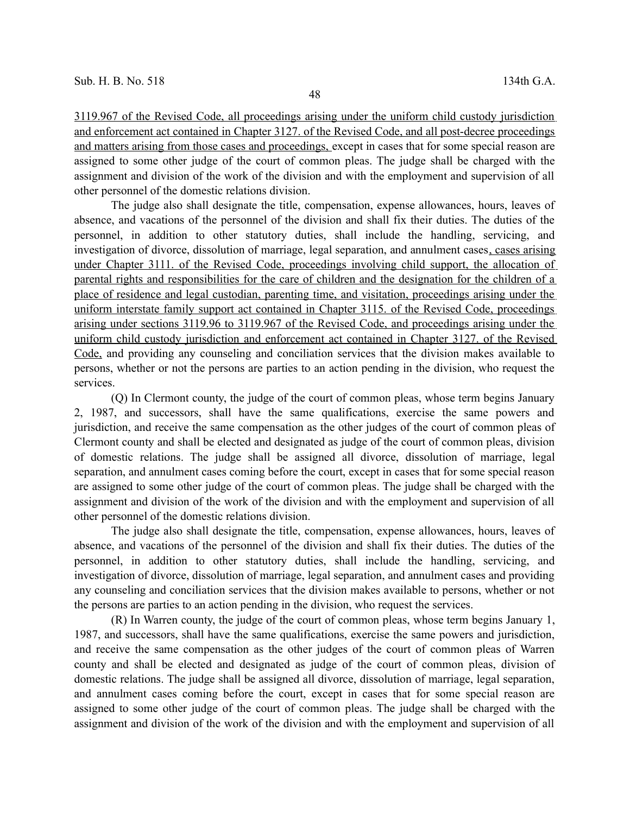3119.967 of the Revised Code, all proceedings arising under the uniform child custody jurisdiction and enforcement act contained in Chapter 3127. of the Revised Code, and all post-decree proceedings and matters arising from those cases and proceedings, except in cases that for some special reason are assigned to some other judge of the court of common pleas. The judge shall be charged with the assignment and division of the work of the division and with the employment and supervision of all other personnel of the domestic relations division.

The judge also shall designate the title, compensation, expense allowances, hours, leaves of absence, and vacations of the personnel of the division and shall fix their duties. The duties of the personnel, in addition to other statutory duties, shall include the handling, servicing, and investigation of divorce, dissolution of marriage, legal separation, and annulment cases, cases arising under Chapter 3111. of the Revised Code, proceedings involving child support, the allocation of parental rights and responsibilities for the care of children and the designation for the children of a place of residence and legal custodian, parenting time, and visitation, proceedings arising under the uniform interstate family support act contained in Chapter 3115. of the Revised Code, proceedings arising under sections 3119.96 to 3119.967 of the Revised Code, and proceedings arising under the uniform child custody jurisdiction and enforcement act contained in Chapter 3127. of the Revised Code, and providing any counseling and conciliation services that the division makes available to persons, whether or not the persons are parties to an action pending in the division, who request the services.

(Q) In Clermont county, the judge of the court of common pleas, whose term begins January 2, 1987, and successors, shall have the same qualifications, exercise the same powers and jurisdiction, and receive the same compensation as the other judges of the court of common pleas of Clermont county and shall be elected and designated as judge of the court of common pleas, division of domestic relations. The judge shall be assigned all divorce, dissolution of marriage, legal separation, and annulment cases coming before the court, except in cases that for some special reason are assigned to some other judge of the court of common pleas. The judge shall be charged with the assignment and division of the work of the division and with the employment and supervision of all other personnel of the domestic relations division.

The judge also shall designate the title, compensation, expense allowances, hours, leaves of absence, and vacations of the personnel of the division and shall fix their duties. The duties of the personnel, in addition to other statutory duties, shall include the handling, servicing, and investigation of divorce, dissolution of marriage, legal separation, and annulment cases and providing any counseling and conciliation services that the division makes available to persons, whether or not the persons are parties to an action pending in the division, who request the services.

(R) In Warren county, the judge of the court of common pleas, whose term begins January 1, 1987, and successors, shall have the same qualifications, exercise the same powers and jurisdiction, and receive the same compensation as the other judges of the court of common pleas of Warren county and shall be elected and designated as judge of the court of common pleas, division of domestic relations. The judge shall be assigned all divorce, dissolution of marriage, legal separation, and annulment cases coming before the court, except in cases that for some special reason are assigned to some other judge of the court of common pleas. The judge shall be charged with the assignment and division of the work of the division and with the employment and supervision of all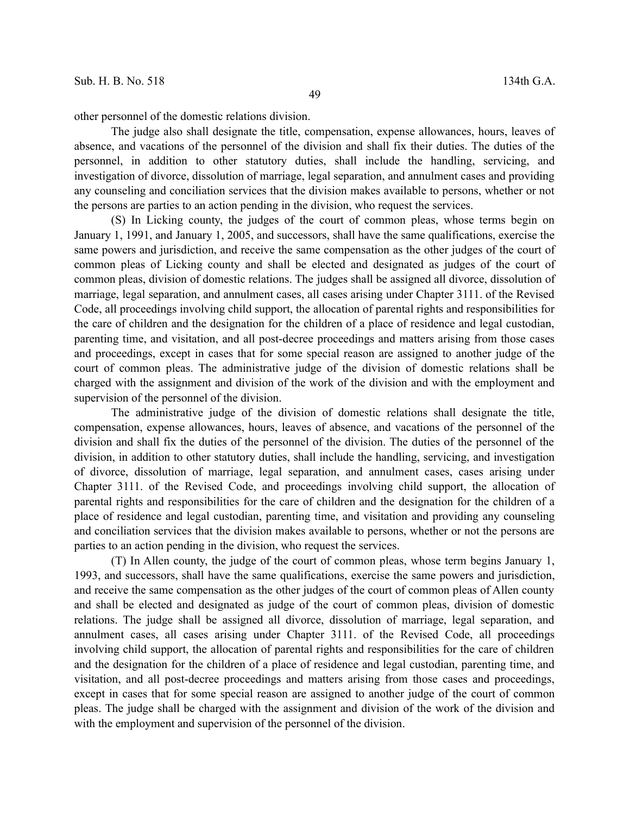other personnel of the domestic relations division.

The judge also shall designate the title, compensation, expense allowances, hours, leaves of absence, and vacations of the personnel of the division and shall fix their duties. The duties of the personnel, in addition to other statutory duties, shall include the handling, servicing, and investigation of divorce, dissolution of marriage, legal separation, and annulment cases and providing any counseling and conciliation services that the division makes available to persons, whether or not the persons are parties to an action pending in the division, who request the services.

(S) In Licking county, the judges of the court of common pleas, whose terms begin on January 1, 1991, and January 1, 2005, and successors, shall have the same qualifications, exercise the same powers and jurisdiction, and receive the same compensation as the other judges of the court of common pleas of Licking county and shall be elected and designated as judges of the court of common pleas, division of domestic relations. The judges shall be assigned all divorce, dissolution of marriage, legal separation, and annulment cases, all cases arising under Chapter 3111. of the Revised Code, all proceedings involving child support, the allocation of parental rights and responsibilities for the care of children and the designation for the children of a place of residence and legal custodian, parenting time, and visitation, and all post-decree proceedings and matters arising from those cases and proceedings, except in cases that for some special reason are assigned to another judge of the court of common pleas. The administrative judge of the division of domestic relations shall be charged with the assignment and division of the work of the division and with the employment and supervision of the personnel of the division.

The administrative judge of the division of domestic relations shall designate the title, compensation, expense allowances, hours, leaves of absence, and vacations of the personnel of the division and shall fix the duties of the personnel of the division. The duties of the personnel of the division, in addition to other statutory duties, shall include the handling, servicing, and investigation of divorce, dissolution of marriage, legal separation, and annulment cases, cases arising under Chapter 3111. of the Revised Code, and proceedings involving child support, the allocation of parental rights and responsibilities for the care of children and the designation for the children of a place of residence and legal custodian, parenting time, and visitation and providing any counseling and conciliation services that the division makes available to persons, whether or not the persons are parties to an action pending in the division, who request the services.

(T) In Allen county, the judge of the court of common pleas, whose term begins January 1, 1993, and successors, shall have the same qualifications, exercise the same powers and jurisdiction, and receive the same compensation as the other judges of the court of common pleas of Allen county and shall be elected and designated as judge of the court of common pleas, division of domestic relations. The judge shall be assigned all divorce, dissolution of marriage, legal separation, and annulment cases, all cases arising under Chapter 3111. of the Revised Code, all proceedings involving child support, the allocation of parental rights and responsibilities for the care of children and the designation for the children of a place of residence and legal custodian, parenting time, and visitation, and all post-decree proceedings and matters arising from those cases and proceedings, except in cases that for some special reason are assigned to another judge of the court of common pleas. The judge shall be charged with the assignment and division of the work of the division and with the employment and supervision of the personnel of the division.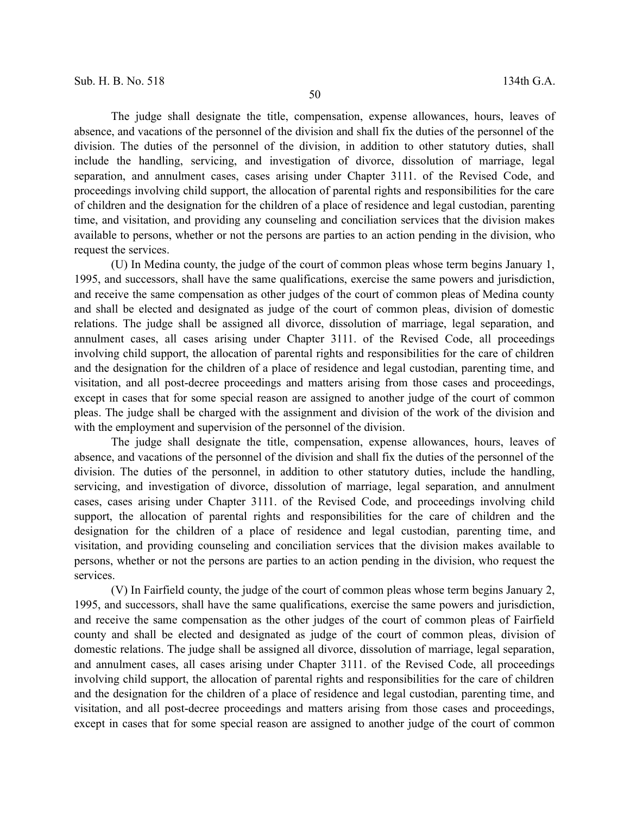The judge shall designate the title, compensation, expense allowances, hours, leaves of absence, and vacations of the personnel of the division and shall fix the duties of the personnel of the division. The duties of the personnel of the division, in addition to other statutory duties, shall include the handling, servicing, and investigation of divorce, dissolution of marriage, legal separation, and annulment cases, cases arising under Chapter 3111. of the Revised Code, and proceedings involving child support, the allocation of parental rights and responsibilities for the care of children and the designation for the children of a place of residence and legal custodian, parenting time, and visitation, and providing any counseling and conciliation services that the division makes available to persons, whether or not the persons are parties to an action pending in the division, who request the services.

(U) In Medina county, the judge of the court of common pleas whose term begins January 1, 1995, and successors, shall have the same qualifications, exercise the same powers and jurisdiction, and receive the same compensation as other judges of the court of common pleas of Medina county and shall be elected and designated as judge of the court of common pleas, division of domestic relations. The judge shall be assigned all divorce, dissolution of marriage, legal separation, and annulment cases, all cases arising under Chapter 3111. of the Revised Code, all proceedings involving child support, the allocation of parental rights and responsibilities for the care of children and the designation for the children of a place of residence and legal custodian, parenting time, and visitation, and all post-decree proceedings and matters arising from those cases and proceedings, except in cases that for some special reason are assigned to another judge of the court of common pleas. The judge shall be charged with the assignment and division of the work of the division and with the employment and supervision of the personnel of the division.

The judge shall designate the title, compensation, expense allowances, hours, leaves of absence, and vacations of the personnel of the division and shall fix the duties of the personnel of the division. The duties of the personnel, in addition to other statutory duties, include the handling, servicing, and investigation of divorce, dissolution of marriage, legal separation, and annulment cases, cases arising under Chapter 3111. of the Revised Code, and proceedings involving child support, the allocation of parental rights and responsibilities for the care of children and the designation for the children of a place of residence and legal custodian, parenting time, and visitation, and providing counseling and conciliation services that the division makes available to persons, whether or not the persons are parties to an action pending in the division, who request the services.

(V) In Fairfield county, the judge of the court of common pleas whose term begins January 2, 1995, and successors, shall have the same qualifications, exercise the same powers and jurisdiction, and receive the same compensation as the other judges of the court of common pleas of Fairfield county and shall be elected and designated as judge of the court of common pleas, division of domestic relations. The judge shall be assigned all divorce, dissolution of marriage, legal separation, and annulment cases, all cases arising under Chapter 3111. of the Revised Code, all proceedings involving child support, the allocation of parental rights and responsibilities for the care of children and the designation for the children of a place of residence and legal custodian, parenting time, and visitation, and all post-decree proceedings and matters arising from those cases and proceedings, except in cases that for some special reason are assigned to another judge of the court of common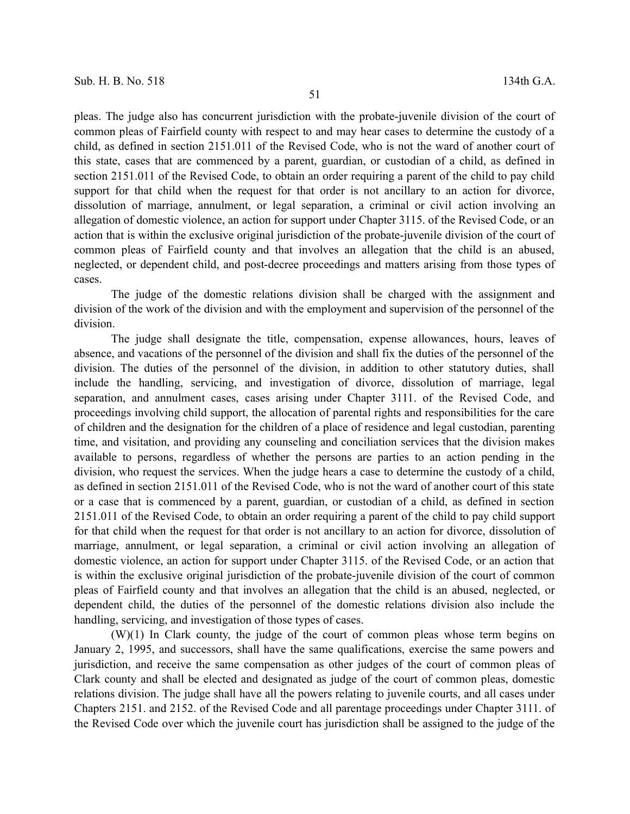pleas. The judge also has concurrent jurisdiction with the probate-juvenile division of the court of common pleas of Fairfield county with respect to and may hear cases to determine the custody of a child, as defined in section 2151.011 of the Revised Code, who is not the ward of another court of this state, cases that are commenced by a parent, guardian, or custodian of a child, as defined in section 2151.011 of the Revised Code, to obtain an order requiring a parent of the child to pay child support for that child when the request for that order is not ancillary to an action for divorce, dissolution of marriage, annulment, or legal separation, a criminal or civil action involving an allegation of domestic violence, an action for support under Chapter 3115. of the Revised Code, or an action that is within the exclusive original jurisdiction of the probate-juvenile division of the court of common pleas of Fairfield county and that involves an allegation that the child is an abused, neglected, or dependent child, and post-decree proceedings and matters arising from those types of cases.

The judge of the domestic relations division shall be charged with the assignment and division of the work of the division and with the employment and supervision of the personnel of the division.

The judge shall designate the title, compensation, expense allowances, hours, leaves of absence, and vacations of the personnel of the division and shall fix the duties of the personnel of the division. The duties of the personnel of the division, in addition to other statutory duties, shall include the handling, servicing, and investigation of divorce, dissolution of marriage, legal separation, and annulment cases, cases arising under Chapter 3111. of the Revised Code, and proceedings involving child support, the allocation of parental rights and responsibilities for the care of children and the designation for the children of a place of residence and legal custodian, parenting time, and visitation, and providing any counseling and conciliation services that the division makes available to persons, regardless of whether the persons are parties to an action pending in the division, who request the services. When the judge hears a case to determine the custody of a child, as defined in section 2151.011 of the Revised Code, who is not the ward of another court of this state or a case that is commenced by a parent, guardian, or custodian of a child, as defined in section 2151.011 of the Revised Code, to obtain an order requiring a parent of the child to pay child support for that child when the request for that order is not ancillary to an action for divorce, dissolution of marriage, annulment, or legal separation, a criminal or civil action involving an allegation of domestic violence, an action for support under Chapter 3115. of the Revised Code, or an action that is within the exclusive original jurisdiction of the probate-juvenile division of the court of common pleas of Fairfield county and that involves an allegation that the child is an abused, neglected, or dependent child, the duties of the personnel of the domestic relations division also include the handling, servicing, and investigation of those types of cases.

(W)(1) In Clark county, the judge of the court of common pleas whose term begins on January 2, 1995, and successors, shall have the same qualifications, exercise the same powers and jurisdiction, and receive the same compensation as other judges of the court of common pleas of Clark county and shall be elected and designated as judge of the court of common pleas, domestic relations division. The judge shall have all the powers relating to juvenile courts, and all cases under Chapters 2151. and 2152. of the Revised Code and all parentage proceedings under Chapter 3111. of the Revised Code over which the juvenile court has jurisdiction shall be assigned to the judge of the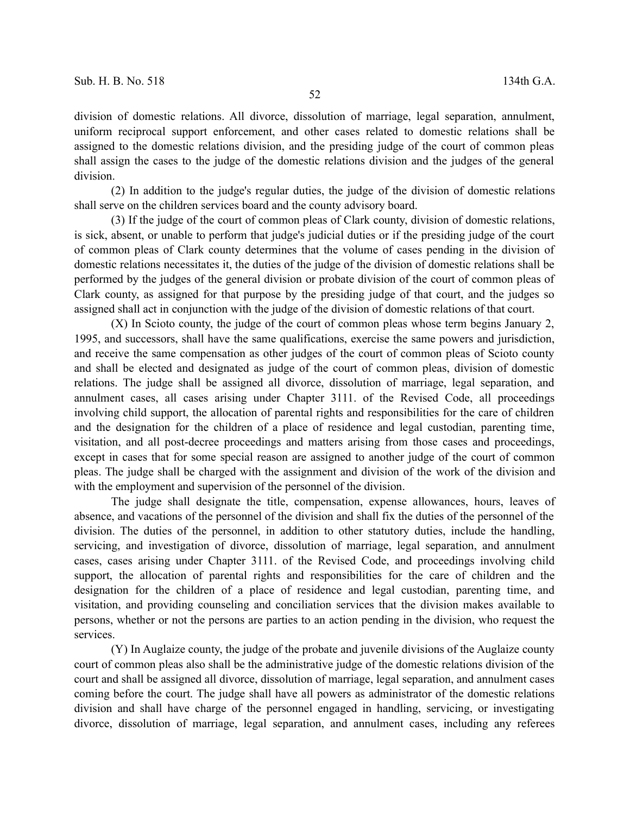division of domestic relations. All divorce, dissolution of marriage, legal separation, annulment, uniform reciprocal support enforcement, and other cases related to domestic relations shall be assigned to the domestic relations division, and the presiding judge of the court of common pleas shall assign the cases to the judge of the domestic relations division and the judges of the general division.

(2) In addition to the judge's regular duties, the judge of the division of domestic relations shall serve on the children services board and the county advisory board.

(3) If the judge of the court of common pleas of Clark county, division of domestic relations, is sick, absent, or unable to perform that judge's judicial duties or if the presiding judge of the court of common pleas of Clark county determines that the volume of cases pending in the division of domestic relations necessitates it, the duties of the judge of the division of domestic relations shall be performed by the judges of the general division or probate division of the court of common pleas of Clark county, as assigned for that purpose by the presiding judge of that court, and the judges so assigned shall act in conjunction with the judge of the division of domestic relations of that court.

(X) In Scioto county, the judge of the court of common pleas whose term begins January 2, 1995, and successors, shall have the same qualifications, exercise the same powers and jurisdiction, and receive the same compensation as other judges of the court of common pleas of Scioto county and shall be elected and designated as judge of the court of common pleas, division of domestic relations. The judge shall be assigned all divorce, dissolution of marriage, legal separation, and annulment cases, all cases arising under Chapter 3111. of the Revised Code, all proceedings involving child support, the allocation of parental rights and responsibilities for the care of children and the designation for the children of a place of residence and legal custodian, parenting time, visitation, and all post-decree proceedings and matters arising from those cases and proceedings, except in cases that for some special reason are assigned to another judge of the court of common pleas. The judge shall be charged with the assignment and division of the work of the division and with the employment and supervision of the personnel of the division.

The judge shall designate the title, compensation, expense allowances, hours, leaves of absence, and vacations of the personnel of the division and shall fix the duties of the personnel of the division. The duties of the personnel, in addition to other statutory duties, include the handling, servicing, and investigation of divorce, dissolution of marriage, legal separation, and annulment cases, cases arising under Chapter 3111. of the Revised Code, and proceedings involving child support, the allocation of parental rights and responsibilities for the care of children and the designation for the children of a place of residence and legal custodian, parenting time, and visitation, and providing counseling and conciliation services that the division makes available to persons, whether or not the persons are parties to an action pending in the division, who request the services.

(Y) In Auglaize county, the judge of the probate and juvenile divisions of the Auglaize county court of common pleas also shall be the administrative judge of the domestic relations division of the court and shall be assigned all divorce, dissolution of marriage, legal separation, and annulment cases coming before the court. The judge shall have all powers as administrator of the domestic relations division and shall have charge of the personnel engaged in handling, servicing, or investigating divorce, dissolution of marriage, legal separation, and annulment cases, including any referees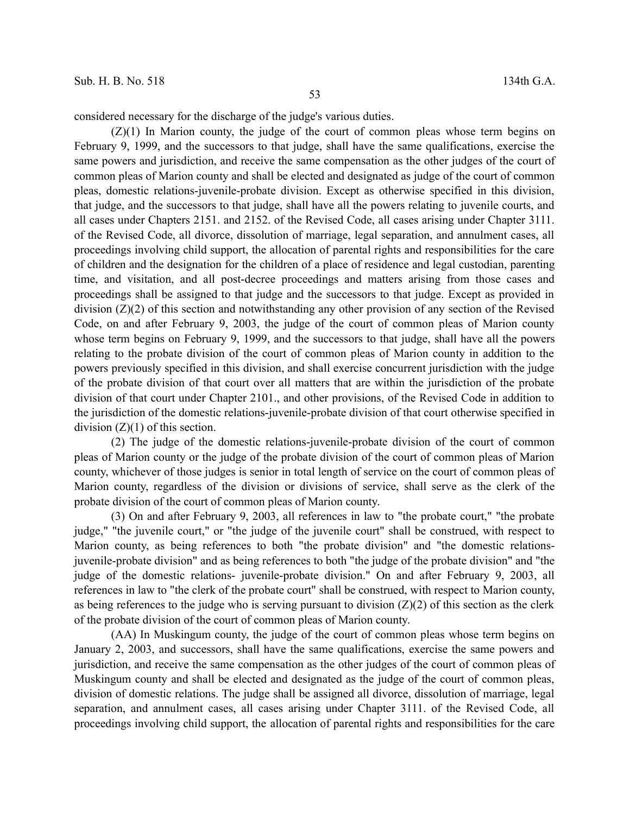considered necessary for the discharge of the judge's various duties.

 $(Z)(1)$  In Marion county, the judge of the court of common pleas whose term begins on February 9, 1999, and the successors to that judge, shall have the same qualifications, exercise the same powers and jurisdiction, and receive the same compensation as the other judges of the court of common pleas of Marion county and shall be elected and designated as judge of the court of common pleas, domestic relations-juvenile-probate division. Except as otherwise specified in this division, that judge, and the successors to that judge, shall have all the powers relating to juvenile courts, and all cases under Chapters 2151. and 2152. of the Revised Code, all cases arising under Chapter 3111. of the Revised Code, all divorce, dissolution of marriage, legal separation, and annulment cases, all proceedings involving child support, the allocation of parental rights and responsibilities for the care of children and the designation for the children of a place of residence and legal custodian, parenting time, and visitation, and all post-decree proceedings and matters arising from those cases and proceedings shall be assigned to that judge and the successors to that judge. Except as provided in division  $(Z)(2)$  of this section and notwithstanding any other provision of any section of the Revised Code, on and after February 9, 2003, the judge of the court of common pleas of Marion county whose term begins on February 9, 1999, and the successors to that judge, shall have all the powers relating to the probate division of the court of common pleas of Marion county in addition to the powers previously specified in this division, and shall exercise concurrent jurisdiction with the judge of the probate division of that court over all matters that are within the jurisdiction of the probate division of that court under Chapter 2101., and other provisions, of the Revised Code in addition to the jurisdiction of the domestic relations-juvenile-probate division of that court otherwise specified in division  $(Z)(1)$  of this section.

(2) The judge of the domestic relations-juvenile-probate division of the court of common pleas of Marion county or the judge of the probate division of the court of common pleas of Marion county, whichever of those judges is senior in total length of service on the court of common pleas of Marion county, regardless of the division or divisions of service, shall serve as the clerk of the probate division of the court of common pleas of Marion county.

(3) On and after February 9, 2003, all references in law to "the probate court," "the probate judge," "the juvenile court," or "the judge of the juvenile court" shall be construed, with respect to Marion county, as being references to both "the probate division" and "the domestic relationsjuvenile-probate division" and as being references to both "the judge of the probate division" and "the judge of the domestic relations- juvenile-probate division." On and after February 9, 2003, all references in law to "the clerk of the probate court" shall be construed, with respect to Marion county, as being references to the judge who is serving pursuant to division  $(Z)(2)$  of this section as the clerk of the probate division of the court of common pleas of Marion county.

(AA) In Muskingum county, the judge of the court of common pleas whose term begins on January 2, 2003, and successors, shall have the same qualifications, exercise the same powers and jurisdiction, and receive the same compensation as the other judges of the court of common pleas of Muskingum county and shall be elected and designated as the judge of the court of common pleas, division of domestic relations. The judge shall be assigned all divorce, dissolution of marriage, legal separation, and annulment cases, all cases arising under Chapter 3111. of the Revised Code, all proceedings involving child support, the allocation of parental rights and responsibilities for the care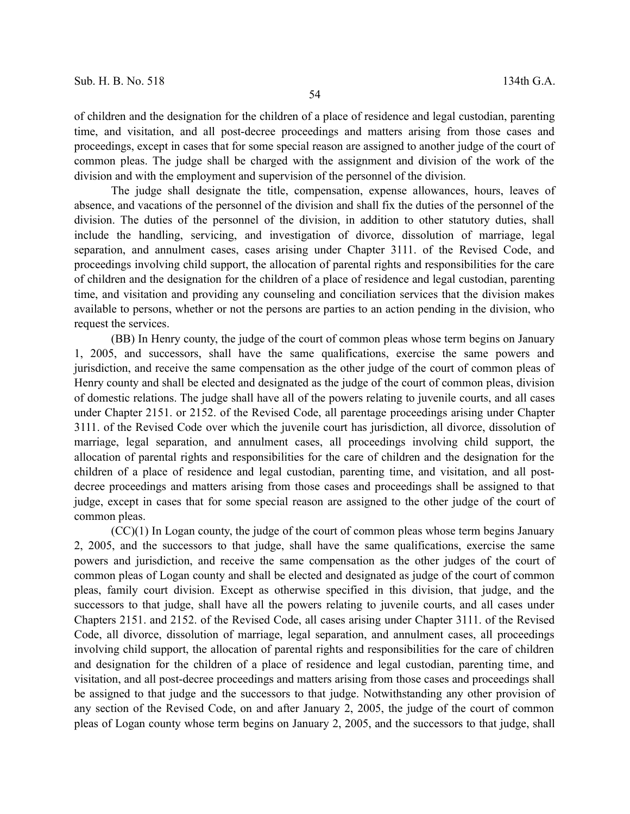of children and the designation for the children of a place of residence and legal custodian, parenting time, and visitation, and all post-decree proceedings and matters arising from those cases and proceedings, except in cases that for some special reason are assigned to another judge of the court of common pleas. The judge shall be charged with the assignment and division of the work of the division and with the employment and supervision of the personnel of the division.

The judge shall designate the title, compensation, expense allowances, hours, leaves of absence, and vacations of the personnel of the division and shall fix the duties of the personnel of the division. The duties of the personnel of the division, in addition to other statutory duties, shall include the handling, servicing, and investigation of divorce, dissolution of marriage, legal separation, and annulment cases, cases arising under Chapter 3111. of the Revised Code, and proceedings involving child support, the allocation of parental rights and responsibilities for the care of children and the designation for the children of a place of residence and legal custodian, parenting time, and visitation and providing any counseling and conciliation services that the division makes available to persons, whether or not the persons are parties to an action pending in the division, who request the services.

(BB) In Henry county, the judge of the court of common pleas whose term begins on January 1, 2005, and successors, shall have the same qualifications, exercise the same powers and jurisdiction, and receive the same compensation as the other judge of the court of common pleas of Henry county and shall be elected and designated as the judge of the court of common pleas, division of domestic relations. The judge shall have all of the powers relating to juvenile courts, and all cases under Chapter 2151. or 2152. of the Revised Code, all parentage proceedings arising under Chapter 3111. of the Revised Code over which the juvenile court has jurisdiction, all divorce, dissolution of marriage, legal separation, and annulment cases, all proceedings involving child support, the allocation of parental rights and responsibilities for the care of children and the designation for the children of a place of residence and legal custodian, parenting time, and visitation, and all postdecree proceedings and matters arising from those cases and proceedings shall be assigned to that judge, except in cases that for some special reason are assigned to the other judge of the court of common pleas.

(CC)(1) In Logan county, the judge of the court of common pleas whose term begins January 2, 2005, and the successors to that judge, shall have the same qualifications, exercise the same powers and jurisdiction, and receive the same compensation as the other judges of the court of common pleas of Logan county and shall be elected and designated as judge of the court of common pleas, family court division. Except as otherwise specified in this division, that judge, and the successors to that judge, shall have all the powers relating to juvenile courts, and all cases under Chapters 2151. and 2152. of the Revised Code, all cases arising under Chapter 3111. of the Revised Code, all divorce, dissolution of marriage, legal separation, and annulment cases, all proceedings involving child support, the allocation of parental rights and responsibilities for the care of children and designation for the children of a place of residence and legal custodian, parenting time, and visitation, and all post-decree proceedings and matters arising from those cases and proceedings shall be assigned to that judge and the successors to that judge. Notwithstanding any other provision of any section of the Revised Code, on and after January 2, 2005, the judge of the court of common pleas of Logan county whose term begins on January 2, 2005, and the successors to that judge, shall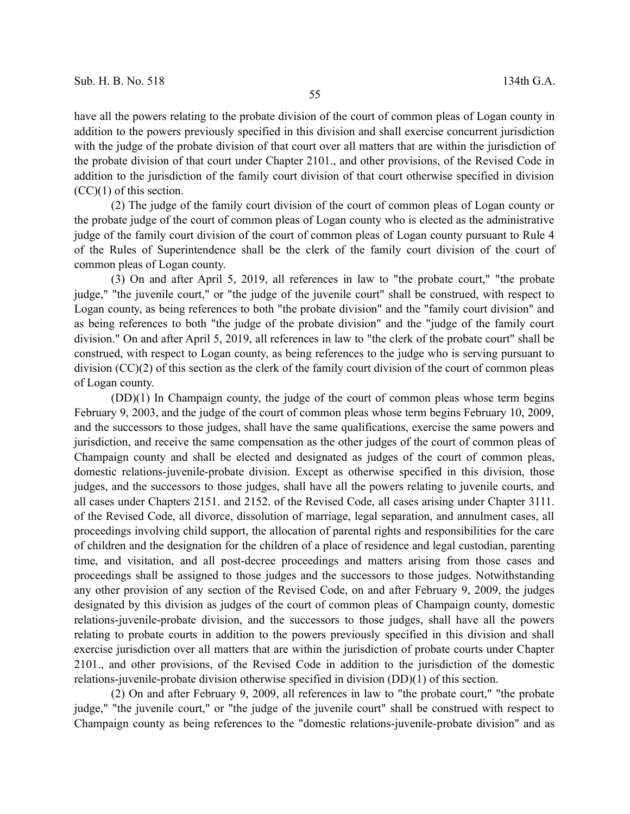have all the powers relating to the probate division of the court of common pleas of Logan county in addition to the powers previously specified in this division and shall exercise concurrent jurisdiction with the judge of the probate division of that court over all matters that are within the jurisdiction of the probate division of that court under Chapter 2101., and other provisions, of the Revised Code in addition to the jurisdiction of the family court division of that court otherwise specified in division (CC)(1) of this section.

(2) The judge of the family court division of the court of common pleas of Logan county or the probate judge of the court of common pleas of Logan county who is elected as the administrative judge of the family court division of the court of common pleas of Logan county pursuant to Rule 4 of the Rules of Superintendence shall be the clerk of the family court division of the court of common pleas of Logan county.

(3) On and after April 5, 2019, all references in law to "the probate court," "the probate judge," "the juvenile court," or "the judge of the juvenile court" shall be construed, with respect to Logan county, as being references to both "the probate division" and the "family court division" and as being references to both "the judge of the probate division" and the "judge of the family court division." On and after April 5, 2019, all references in law to "the clerk of the probate court" shall be construed, with respect to Logan county, as being references to the judge who is serving pursuant to division (CC)(2) of this section as the clerk of the family court division of the court of common pleas of Logan county.

(DD)(1) In Champaign county, the judge of the court of common pleas whose term begins February 9, 2003, and the judge of the court of common pleas whose term begins February 10, 2009, and the successors to those judges, shall have the same qualifications, exercise the same powers and jurisdiction, and receive the same compensation as the other judges of the court of common pleas of Champaign county and shall be elected and designated as judges of the court of common pleas, domestic relations-juvenile-probate division. Except as otherwise specified in this division, those judges, and the successors to those judges, shall have all the powers relating to juvenile courts, and all cases under Chapters 2151. and 2152. of the Revised Code, all cases arising under Chapter 3111. of the Revised Code, all divorce, dissolution of marriage, legal separation, and annulment cases, all proceedings involving child support, the allocation of parental rights and responsibilities for the care of children and the designation for the children of a place of residence and legal custodian, parenting time, and visitation, and all post-decree proceedings and matters arising from those cases and proceedings shall be assigned to those judges and the successors to those judges. Notwithstanding any other provision of any section of the Revised Code, on and after February 9, 2009, the judges designated by this division as judges of the court of common pleas of Champaign county, domestic relations-juvenile-probate division, and the successors to those judges, shall have all the powers relating to probate courts in addition to the powers previously specified in this division and shall exercise jurisdiction over all matters that are within the jurisdiction of probate courts under Chapter 2101., and other provisions, of the Revised Code in addition to the jurisdiction of the domestic relations-juvenile-probate division otherwise specified in division (DD)(1) of this section.

(2) On and after February 9, 2009, all references in law to "the probate court," "the probate judge," "the juvenile court," or "the judge of the juvenile court" shall be construed with respect to Champaign county as being references to the "domestic relations-juvenile-probate division" and as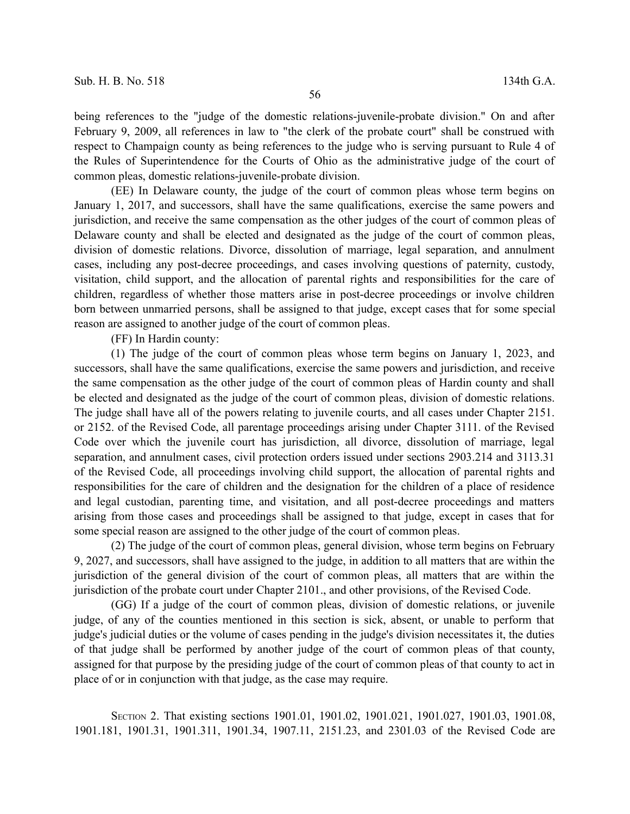being references to the "judge of the domestic relations-juvenile-probate division." On and after February 9, 2009, all references in law to "the clerk of the probate court" shall be construed with respect to Champaign county as being references to the judge who is serving pursuant to Rule 4 of the Rules of Superintendence for the Courts of Ohio as the administrative judge of the court of common pleas, domestic relations-juvenile-probate division.

(EE) In Delaware county, the judge of the court of common pleas whose term begins on January 1, 2017, and successors, shall have the same qualifications, exercise the same powers and jurisdiction, and receive the same compensation as the other judges of the court of common pleas of Delaware county and shall be elected and designated as the judge of the court of common pleas, division of domestic relations. Divorce, dissolution of marriage, legal separation, and annulment cases, including any post-decree proceedings, and cases involving questions of paternity, custody, visitation, child support, and the allocation of parental rights and responsibilities for the care of children, regardless of whether those matters arise in post-decree proceedings or involve children born between unmarried persons, shall be assigned to that judge, except cases that for some special reason are assigned to another judge of the court of common pleas.

(FF) In Hardin county:

(1) The judge of the court of common pleas whose term begins on January 1, 2023, and successors, shall have the same qualifications, exercise the same powers and jurisdiction, and receive the same compensation as the other judge of the court of common pleas of Hardin county and shall be elected and designated as the judge of the court of common pleas, division of domestic relations. The judge shall have all of the powers relating to juvenile courts, and all cases under Chapter 2151. or 2152. of the Revised Code, all parentage proceedings arising under Chapter 3111. of the Revised Code over which the juvenile court has jurisdiction, all divorce, dissolution of marriage, legal separation, and annulment cases, civil protection orders issued under sections 2903.214 and 3113.31 of the Revised Code, all proceedings involving child support, the allocation of parental rights and responsibilities for the care of children and the designation for the children of a place of residence and legal custodian, parenting time, and visitation, and all post-decree proceedings and matters arising from those cases and proceedings shall be assigned to that judge, except in cases that for some special reason are assigned to the other judge of the court of common pleas.

(2) The judge of the court of common pleas, general division, whose term begins on February 9, 2027, and successors, shall have assigned to the judge, in addition to all matters that are within the jurisdiction of the general division of the court of common pleas, all matters that are within the jurisdiction of the probate court under Chapter 2101., and other provisions, of the Revised Code.

(GG) If a judge of the court of common pleas, division of domestic relations, or juvenile judge, of any of the counties mentioned in this section is sick, absent, or unable to perform that judge's judicial duties or the volume of cases pending in the judge's division necessitates it, the duties of that judge shall be performed by another judge of the court of common pleas of that county, assigned for that purpose by the presiding judge of the court of common pleas of that county to act in place of or in conjunction with that judge, as the case may require.

SECTION 2. That existing sections 1901.01, 1901.02, 1901.021, 1901.027, 1901.03, 1901.08, 1901.181, 1901.31, 1901.311, 1901.34, 1907.11, 2151.23, and 2301.03 of the Revised Code are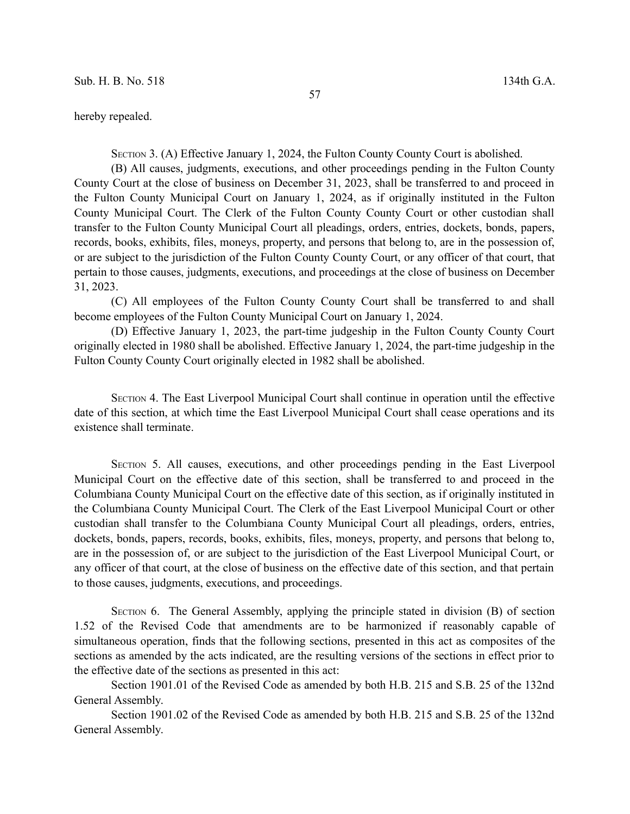hereby repealed.

SECTION 3. (A) Effective January 1, 2024, the Fulton County County Court is abolished.

(B) All causes, judgments, executions, and other proceedings pending in the Fulton County County Court at the close of business on December 31, 2023, shall be transferred to and proceed in the Fulton County Municipal Court on January 1, 2024, as if originally instituted in the Fulton County Municipal Court. The Clerk of the Fulton County County Court or other custodian shall transfer to the Fulton County Municipal Court all pleadings, orders, entries, dockets, bonds, papers, records, books, exhibits, files, moneys, property, and persons that belong to, are in the possession of, or are subject to the jurisdiction of the Fulton County County Court, or any officer of that court, that pertain to those causes, judgments, executions, and proceedings at the close of business on December 31, 2023.

(C) All employees of the Fulton County County Court shall be transferred to and shall become employees of the Fulton County Municipal Court on January 1, 2024.

(D) Effective January 1, 2023, the part-time judgeship in the Fulton County County Court originally elected in 1980 shall be abolished. Effective January 1, 2024, the part-time judgeship in the Fulton County County Court originally elected in 1982 shall be abolished.

SECTION 4. The East Liverpool Municipal Court shall continue in operation until the effective date of this section, at which time the East Liverpool Municipal Court shall cease operations and its existence shall terminate.

SECTION 5. All causes, executions, and other proceedings pending in the East Liverpool Municipal Court on the effective date of this section, shall be transferred to and proceed in the Columbiana County Municipal Court on the effective date of this section, as if originally instituted in the Columbiana County Municipal Court. The Clerk of the East Liverpool Municipal Court or other custodian shall transfer to the Columbiana County Municipal Court all pleadings, orders, entries, dockets, bonds, papers, records, books, exhibits, files, moneys, property, and persons that belong to, are in the possession of, or are subject to the jurisdiction of the East Liverpool Municipal Court, or any officer of that court, at the close of business on the effective date of this section, and that pertain to those causes, judgments, executions, and proceedings.

SECTION 6. The General Assembly, applying the principle stated in division (B) of section 1.52 of the Revised Code that amendments are to be harmonized if reasonably capable of simultaneous operation, finds that the following sections, presented in this act as composites of the sections as amended by the acts indicated, are the resulting versions of the sections in effect prior to the effective date of the sections as presented in this act:

Section 1901.01 of the Revised Code as amended by both H.B. 215 and S.B. 25 of the 132nd General Assembly.

Section 1901.02 of the Revised Code as amended by both H.B. 215 and S.B. 25 of the 132nd General Assembly.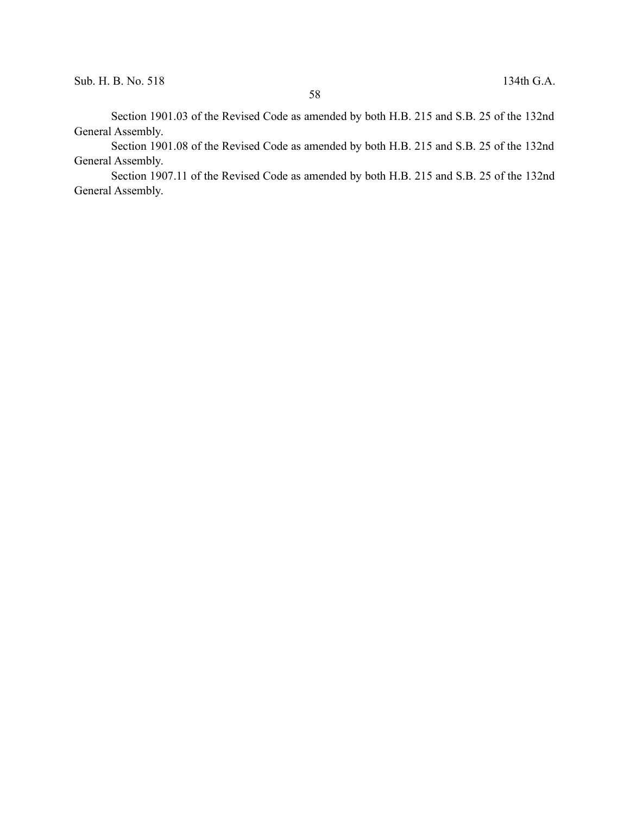Section 1901.03 of the Revised Code as amended by both H.B. 215 and S.B. 25 of the 132nd General Assembly.

Section 1901.08 of the Revised Code as amended by both H.B. 215 and S.B. 25 of the 132nd General Assembly.

Section 1907.11 of the Revised Code as amended by both H.B. 215 and S.B. 25 of the 132nd General Assembly.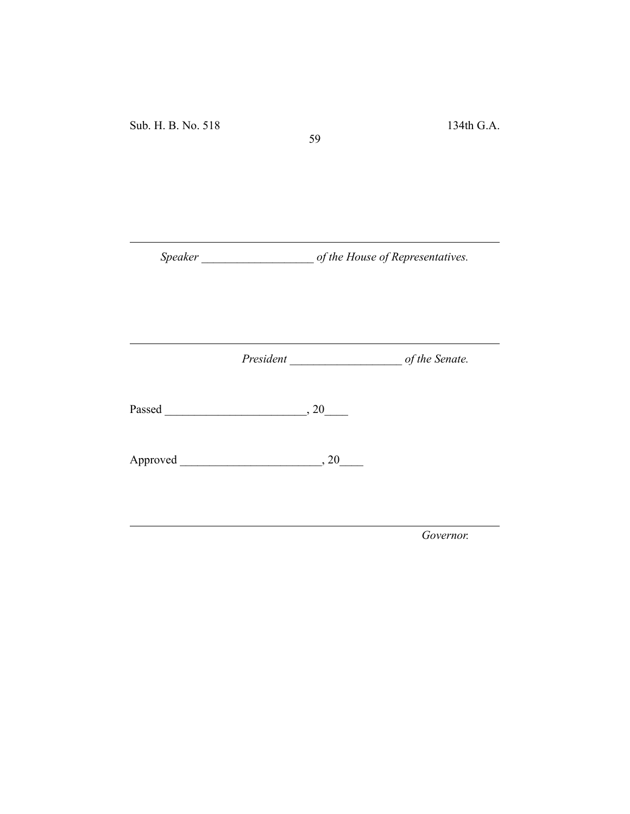*Speaker \_\_\_\_\_\_\_\_\_\_\_\_\_\_\_\_\_\_\_ of the House of Representatives.*

59

*President \_\_\_\_\_\_\_\_\_\_\_\_\_\_\_\_\_\_\_ of the Senate.*

Passed \_\_\_\_\_\_\_\_\_\_\_\_\_\_\_\_\_\_\_\_\_\_\_\_, 20\_\_\_\_

Approved \_\_\_\_\_\_\_\_\_\_\_\_\_\_\_\_\_\_\_\_\_\_\_\_, 20\_\_\_\_

*Governor.*